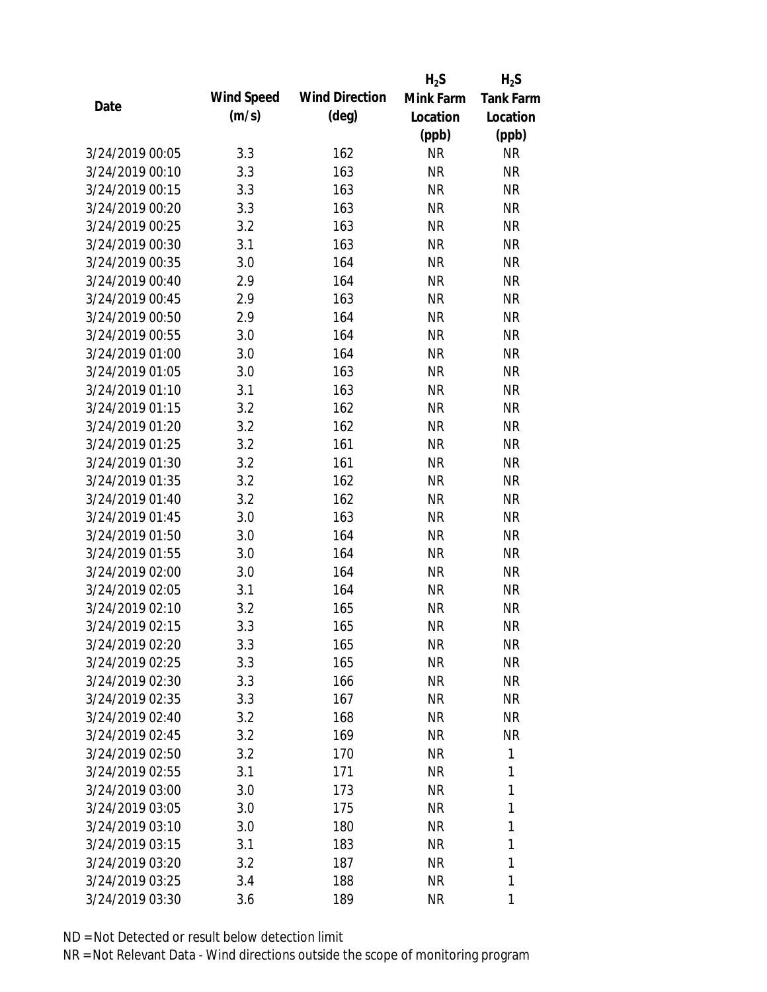|                 |            |                       | $H_2S$    | $H_2S$           |
|-----------------|------------|-----------------------|-----------|------------------|
|                 | Wind Speed | <b>Wind Direction</b> | Mink Farm | <b>Tank Farm</b> |
| Date            | (m/s)      | $(\text{deg})$        | Location  | Location         |
|                 |            |                       | (ppb)     | (ppb)            |
| 3/24/2019 00:05 | 3.3        | 162                   | <b>NR</b> | <b>NR</b>        |
| 3/24/2019 00:10 | 3.3        | 163                   | <b>NR</b> | <b>NR</b>        |
| 3/24/2019 00:15 | 3.3        | 163                   | <b>NR</b> | <b>NR</b>        |
| 3/24/2019 00:20 | 3.3        | 163                   | <b>NR</b> | <b>NR</b>        |
| 3/24/2019 00:25 | 3.2        | 163                   | <b>NR</b> | <b>NR</b>        |
| 3/24/2019 00:30 | 3.1        | 163                   | <b>NR</b> | <b>NR</b>        |
| 3/24/2019 00:35 | 3.0        | 164                   | <b>NR</b> | <b>NR</b>        |
| 3/24/2019 00:40 | 2.9        | 164                   | <b>NR</b> | <b>NR</b>        |
| 3/24/2019 00:45 | 2.9        | 163                   | <b>NR</b> | <b>NR</b>        |
| 3/24/2019 00:50 | 2.9        | 164                   | <b>NR</b> | <b>NR</b>        |
| 3/24/2019 00:55 | 3.0        | 164                   | <b>NR</b> | <b>NR</b>        |
| 3/24/2019 01:00 | 3.0        | 164                   | <b>NR</b> | <b>NR</b>        |
| 3/24/2019 01:05 | 3.0        | 163                   | <b>NR</b> | <b>NR</b>        |
| 3/24/2019 01:10 | 3.1        | 163                   | <b>NR</b> | <b>NR</b>        |
| 3/24/2019 01:15 | 3.2        | 162                   | <b>NR</b> | <b>NR</b>        |
| 3/24/2019 01:20 | 3.2        | 162                   | <b>NR</b> | <b>NR</b>        |
| 3/24/2019 01:25 | 3.2        | 161                   | <b>NR</b> | <b>NR</b>        |
| 3/24/2019 01:30 | 3.2        | 161                   | <b>NR</b> | <b>NR</b>        |
| 3/24/2019 01:35 | 3.2        | 162                   | <b>NR</b> | <b>NR</b>        |
| 3/24/2019 01:40 | 3.2        | 162                   | <b>NR</b> | <b>NR</b>        |
| 3/24/2019 01:45 | 3.0        | 163                   | <b>NR</b> | <b>NR</b>        |
| 3/24/2019 01:50 | 3.0        | 164                   | <b>NR</b> | <b>NR</b>        |
| 3/24/2019 01:55 | 3.0        | 164                   | <b>NR</b> | <b>NR</b>        |
| 3/24/2019 02:00 | 3.0        | 164                   | <b>NR</b> | <b>NR</b>        |
| 3/24/2019 02:05 | 3.1        | 164                   | <b>NR</b> | <b>NR</b>        |
| 3/24/2019 02:10 | 3.2        | 165                   | <b>NR</b> | <b>NR</b>        |
| 3/24/2019 02:15 | 3.3        | 165                   | <b>NR</b> | <b>NR</b>        |
| 3/24/2019 02:20 | 3.3        | 165                   | <b>NR</b> | <b>NR</b>        |
| 3/24/2019 02:25 | 3.3        | 165                   | <b>NR</b> | <b>NR</b>        |
| 3/24/2019 02:30 | 3.3        | 166                   | <b>NR</b> | <b>NR</b>        |
| 3/24/2019 02:35 | 3.3        | 167                   | <b>NR</b> | NR               |
| 3/24/2019 02:40 | 3.2        | 168                   | <b>NR</b> | NR               |
| 3/24/2019 02:45 | 3.2        | 169                   | <b>NR</b> | <b>NR</b>        |
| 3/24/2019 02:50 | 3.2        | 170                   | <b>NR</b> | 1                |
| 3/24/2019 02:55 | 3.1        | 171                   | <b>NR</b> | 1                |
| 3/24/2019 03:00 | 3.0        | 173                   | NR        | 1                |
| 3/24/2019 03:05 | 3.0        | 175                   | <b>NR</b> | 1                |
| 3/24/2019 03:10 | 3.0        | 180                   | <b>NR</b> | 1                |
| 3/24/2019 03:15 | 3.1        | 183                   | <b>NR</b> | 1                |
| 3/24/2019 03:20 | 3.2        | 187                   | <b>NR</b> | 1                |
| 3/24/2019 03:25 | 3.4        | 188                   | <b>NR</b> | 1                |
| 3/24/2019 03:30 | 3.6        | 189                   | <b>NR</b> | 1                |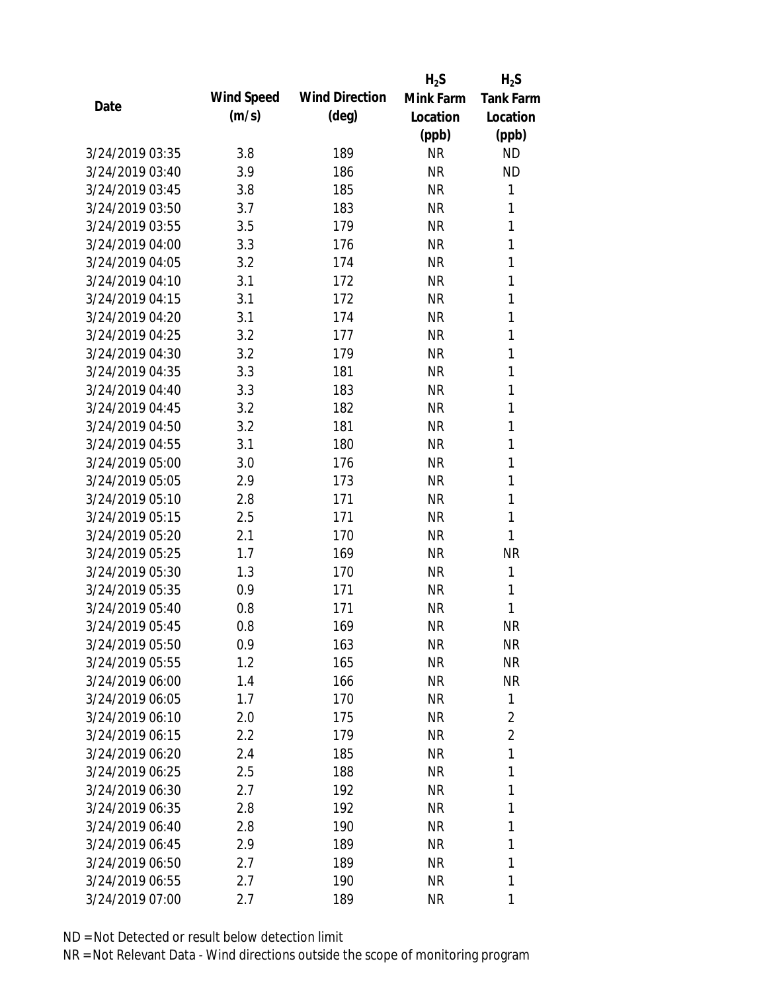|                 |            |                       | $H_2S$    | $H_2S$           |
|-----------------|------------|-----------------------|-----------|------------------|
| Date            | Wind Speed | <b>Wind Direction</b> | Mink Farm | <b>Tank Farm</b> |
|                 | (m/s)      | $(\text{deg})$        | Location  | Location         |
|                 |            |                       | (ppb)     | (ppb)            |
| 3/24/2019 03:35 | 3.8        | 189                   | <b>NR</b> | <b>ND</b>        |
| 3/24/2019 03:40 | 3.9        | 186                   | <b>NR</b> | <b>ND</b>        |
| 3/24/2019 03:45 | 3.8        | 185                   | <b>NR</b> | 1                |
| 3/24/2019 03:50 | 3.7        | 183                   | <b>NR</b> | 1                |
| 3/24/2019 03:55 | 3.5        | 179                   | <b>NR</b> | 1                |
| 3/24/2019 04:00 | 3.3        | 176                   | <b>NR</b> | 1                |
| 3/24/2019 04:05 | 3.2        | 174                   | <b>NR</b> | 1                |
| 3/24/2019 04:10 | 3.1        | 172                   | <b>NR</b> | 1                |
| 3/24/2019 04:15 | 3.1        | 172                   | <b>NR</b> | 1                |
| 3/24/2019 04:20 | 3.1        | 174                   | <b>NR</b> | 1                |
| 3/24/2019 04:25 | 3.2        | 177                   | <b>NR</b> | 1                |
| 3/24/2019 04:30 | 3.2        | 179                   | <b>NR</b> | 1                |
| 3/24/2019 04:35 | 3.3        | 181                   | <b>NR</b> | 1                |
| 3/24/2019 04:40 | 3.3        | 183                   | <b>NR</b> | 1                |
| 3/24/2019 04:45 | 3.2        | 182                   | <b>NR</b> | 1                |
| 3/24/2019 04:50 | 3.2        | 181                   | <b>NR</b> | 1                |
| 3/24/2019 04:55 | 3.1        | 180                   | <b>NR</b> | 1                |
| 3/24/2019 05:00 | 3.0        | 176                   | <b>NR</b> | 1                |
| 3/24/2019 05:05 | 2.9        | 173                   | <b>NR</b> | $\mathbf{1}$     |
| 3/24/2019 05:10 | 2.8        | 171                   | <b>NR</b> | 1                |
| 3/24/2019 05:15 | 2.5        | 171                   | <b>NR</b> | 1                |
| 3/24/2019 05:20 | 2.1        | 170                   | <b>NR</b> | 1                |
| 3/24/2019 05:25 | 1.7        | 169                   | <b>NR</b> | <b>NR</b>        |
| 3/24/2019 05:30 | 1.3        | 170                   | <b>NR</b> | 1                |
| 3/24/2019 05:35 | 0.9        | 171                   | <b>NR</b> | 1                |
| 3/24/2019 05:40 | 0.8        | 171                   | <b>NR</b> | 1                |
| 3/24/2019 05:45 | 0.8        | 169                   | <b>NR</b> | <b>NR</b>        |
| 3/24/2019 05:50 | 0.9        | 163                   | <b>NR</b> | <b>NR</b>        |
| 3/24/2019 05:55 | 1.2        | 165                   | <b>NR</b> | <b>NR</b>        |
| 3/24/2019 06:00 | 1.4        | 166                   | NR        | <b>NR</b>        |
| 3/24/2019 06:05 | 1.7        | 170                   | <b>NR</b> | 1                |
| 3/24/2019 06:10 | 2.0        | 175                   | NR        | $\overline{2}$   |
| 3/24/2019 06:15 | 2.2        | 179                   | NR        | $\overline{2}$   |
| 3/24/2019 06:20 | 2.4        | 185                   | <b>NR</b> | 1                |
| 3/24/2019 06:25 | 2.5        | 188                   | NR        | 1                |
| 3/24/2019 06:30 | 2.7        | 192                   | <b>NR</b> | 1                |
| 3/24/2019 06:35 | 2.8        | 192                   | <b>NR</b> | 1                |
| 3/24/2019 06:40 | 2.8        | 190                   | NR        | 1                |
| 3/24/2019 06:45 | 2.9        | 189                   | NR        | 1                |
| 3/24/2019 06:50 | 2.7        | 189                   | <b>NR</b> | 1                |
| 3/24/2019 06:55 | 2.7        | 190                   | <b>NR</b> | 1                |
| 3/24/2019 07:00 | 2.7        | 189                   | <b>NR</b> | 1                |
|                 |            |                       |           |                  |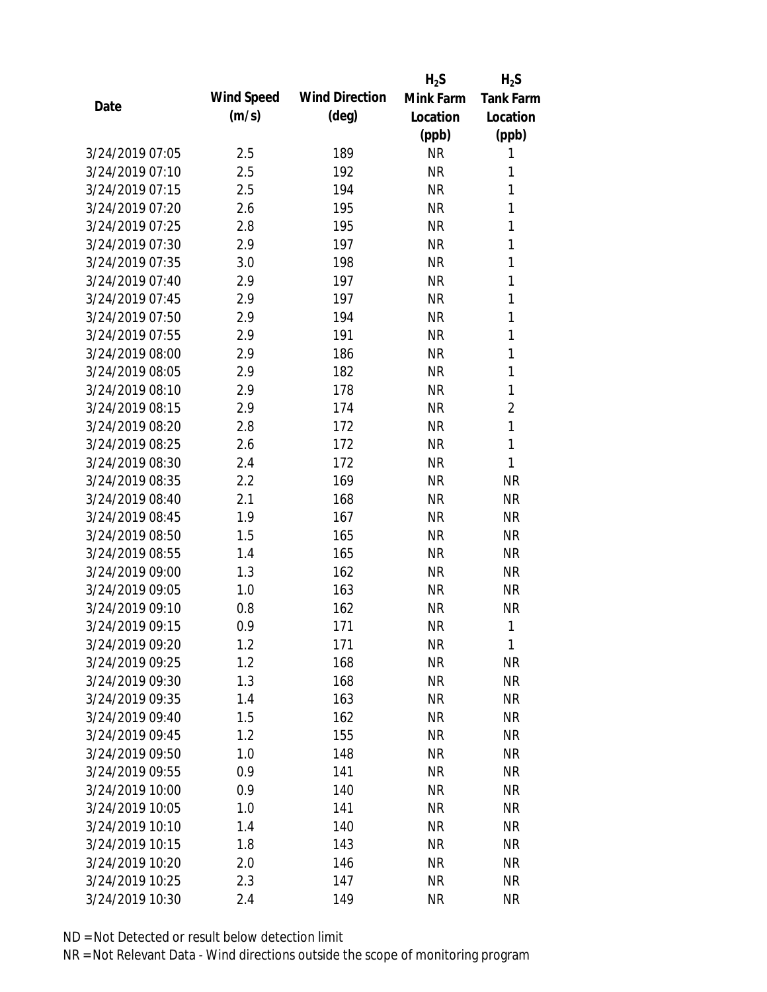|                 |            |                       | $H_2S$    | $H_2S$           |
|-----------------|------------|-----------------------|-----------|------------------|
|                 | Wind Speed | <b>Wind Direction</b> | Mink Farm | <b>Tank Farm</b> |
| Date            | (m/s)      | $(\text{deg})$        | Location  | Location         |
|                 |            |                       | (ppb)     | (ppb)            |
| 3/24/2019 07:05 | 2.5        | 189                   | <b>NR</b> | 1                |
| 3/24/2019 07:10 | 2.5        | 192                   | <b>NR</b> | 1                |
| 3/24/2019 07:15 | 2.5        | 194                   | <b>NR</b> | 1                |
| 3/24/2019 07:20 | 2.6        | 195                   | <b>NR</b> | 1                |
| 3/24/2019 07:25 | 2.8        | 195                   | <b>NR</b> | 1                |
| 3/24/2019 07:30 | 2.9        | 197                   | <b>NR</b> | 1                |
| 3/24/2019 07:35 | 3.0        | 198                   | <b>NR</b> | 1                |
| 3/24/2019 07:40 | 2.9        | 197                   | <b>NR</b> | 1                |
| 3/24/2019 07:45 | 2.9        | 197                   | <b>NR</b> | 1                |
| 3/24/2019 07:50 | 2.9        | 194                   | <b>NR</b> | 1                |
| 3/24/2019 07:55 | 2.9        | 191                   | <b>NR</b> | 1                |
| 3/24/2019 08:00 | 2.9        | 186                   | <b>NR</b> | 1                |
| 3/24/2019 08:05 | 2.9        | 182                   | <b>NR</b> | 1                |
| 3/24/2019 08:10 | 2.9        | 178                   | <b>NR</b> | $\mathbf{1}$     |
| 3/24/2019 08:15 | 2.9        | 174                   | <b>NR</b> | $\overline{2}$   |
| 3/24/2019 08:20 | 2.8        | 172                   | <b>NR</b> | $\mathbf{1}$     |
| 3/24/2019 08:25 | 2.6        | 172                   | <b>NR</b> | $\mathbf{1}$     |
| 3/24/2019 08:30 | 2.4        | 172                   | <b>NR</b> | 1                |
| 3/24/2019 08:35 | 2.2        | 169                   | <b>NR</b> | <b>NR</b>        |
| 3/24/2019 08:40 | 2.1        | 168                   | <b>NR</b> | <b>NR</b>        |
| 3/24/2019 08:45 | 1.9        | 167                   | <b>NR</b> | <b>NR</b>        |
| 3/24/2019 08:50 | 1.5        | 165                   | <b>NR</b> | <b>NR</b>        |
| 3/24/2019 08:55 | 1.4        | 165                   | <b>NR</b> | <b>NR</b>        |
| 3/24/2019 09:00 | 1.3        | 162                   | <b>NR</b> | <b>NR</b>        |
| 3/24/2019 09:05 | 1.0        | 163                   | <b>NR</b> | <b>NR</b>        |
| 3/24/2019 09:10 | 0.8        | 162                   | <b>NR</b> | <b>NR</b>        |
| 3/24/2019 09:15 | 0.9        | 171                   | <b>NR</b> | 1                |
| 3/24/2019 09:20 | 1.2        | 171                   | <b>NR</b> | 1                |
| 3/24/2019 09:25 | 1.2        | 168                   | <b>NR</b> | <b>NR</b>        |
| 3/24/2019 09:30 | 1.3        | 168                   | <b>NR</b> | <b>NR</b>        |
| 3/24/2019 09:35 | 1.4        | 163                   | <b>NR</b> | <b>NR</b>        |
| 3/24/2019 09:40 | 1.5        | 162                   | <b>NR</b> | <b>NR</b>        |
| 3/24/2019 09:45 | 1.2        | 155                   | <b>NR</b> | <b>NR</b>        |
| 3/24/2019 09:50 | 1.0        | 148                   | <b>NR</b> | <b>NR</b>        |
| 3/24/2019 09:55 | 0.9        | 141                   | <b>NR</b> | <b>NR</b>        |
| 3/24/2019 10:00 | 0.9        | 140                   | <b>NR</b> | <b>NR</b>        |
| 3/24/2019 10:05 | 1.0        | 141                   | <b>NR</b> | <b>NR</b>        |
| 3/24/2019 10:10 | 1.4        | 140                   | <b>NR</b> | <b>NR</b>        |
| 3/24/2019 10:15 | 1.8        | 143                   | <b>NR</b> | NR               |
| 3/24/2019 10:20 | 2.0        | 146                   | <b>NR</b> | NR               |
| 3/24/2019 10:25 | 2.3        | 147                   | <b>NR</b> | <b>NR</b>        |
| 3/24/2019 10:30 | 2.4        | 149                   | <b>NR</b> | <b>NR</b>        |
|                 |            |                       |           |                  |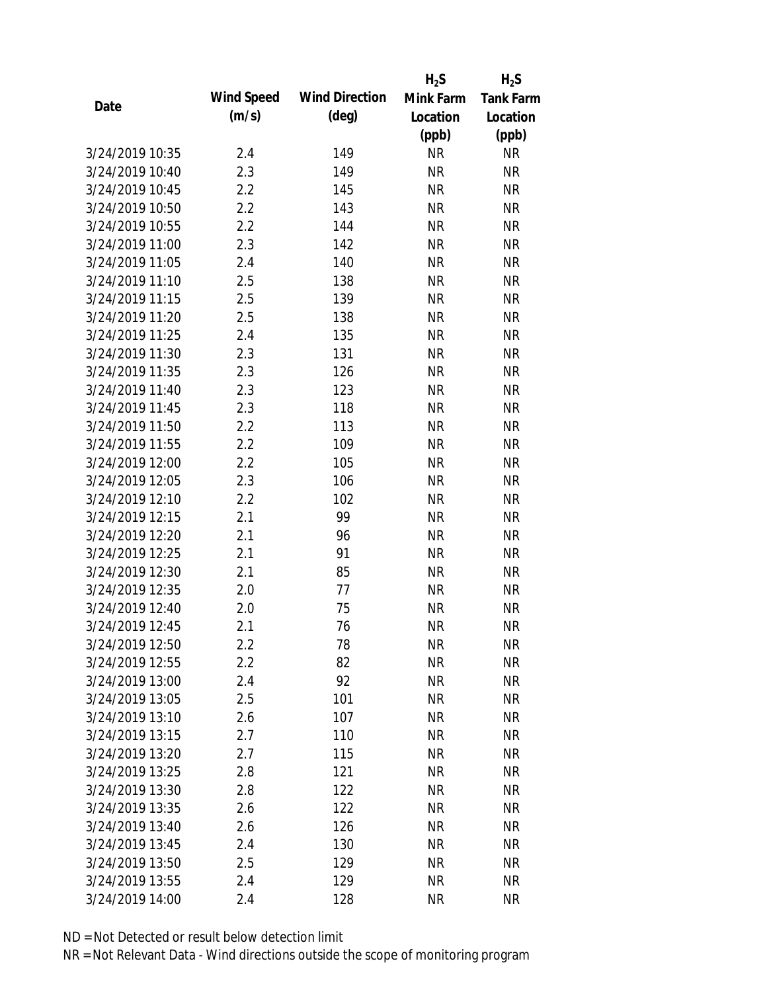|                 |            |                       | $H_2S$    | $H_2S$           |
|-----------------|------------|-----------------------|-----------|------------------|
| Date            | Wind Speed | <b>Wind Direction</b> | Mink Farm | <b>Tank Farm</b> |
|                 | (m/s)      | $(\text{deg})$        | Location  | Location         |
|                 |            |                       | (ppb)     | (ppb)            |
| 3/24/2019 10:35 | 2.4        | 149                   | <b>NR</b> | <b>NR</b>        |
| 3/24/2019 10:40 | 2.3        | 149                   | <b>NR</b> | <b>NR</b>        |
| 3/24/2019 10:45 | 2.2        | 145                   | <b>NR</b> | <b>NR</b>        |
| 3/24/2019 10:50 | 2.2        | 143                   | <b>NR</b> | <b>NR</b>        |
| 3/24/2019 10:55 | 2.2        | 144                   | <b>NR</b> | <b>NR</b>        |
| 3/24/2019 11:00 | 2.3        | 142                   | $\sf NR$  | <b>NR</b>        |
| 3/24/2019 11:05 | 2.4        | 140                   | <b>NR</b> | <b>NR</b>        |
| 3/24/2019 11:10 | 2.5        | 138                   | <b>NR</b> | <b>NR</b>        |
| 3/24/2019 11:15 | 2.5        | 139                   | <b>NR</b> | <b>NR</b>        |
| 3/24/2019 11:20 | 2.5        | 138                   | <b>NR</b> | <b>NR</b>        |
| 3/24/2019 11:25 | 2.4        | 135                   | <b>NR</b> | <b>NR</b>        |
| 3/24/2019 11:30 | 2.3        | 131                   | <b>NR</b> | <b>NR</b>        |
| 3/24/2019 11:35 | 2.3        | 126                   | <b>NR</b> | <b>NR</b>        |
| 3/24/2019 11:40 | 2.3        | 123                   | <b>NR</b> | <b>NR</b>        |
| 3/24/2019 11:45 | 2.3        | 118                   | <b>NR</b> | <b>NR</b>        |
| 3/24/2019 11:50 | 2.2        | 113                   | <b>NR</b> | <b>NR</b>        |
| 3/24/2019 11:55 | 2.2        | 109                   | <b>NR</b> | <b>NR</b>        |
| 3/24/2019 12:00 | 2.2        | 105                   | <b>NR</b> | <b>NR</b>        |
| 3/24/2019 12:05 | 2.3        | 106                   | <b>NR</b> | <b>NR</b>        |
| 3/24/2019 12:10 | 2.2        | 102                   | <b>NR</b> | <b>NR</b>        |
| 3/24/2019 12:15 | 2.1        | 99                    | <b>NR</b> | <b>NR</b>        |
| 3/24/2019 12:20 | 2.1        | 96                    | <b>NR</b> | <b>NR</b>        |
| 3/24/2019 12:25 | 2.1        | 91                    | <b>NR</b> | <b>NR</b>        |
| 3/24/2019 12:30 | 2.1        | 85                    | <b>NR</b> | <b>NR</b>        |
| 3/24/2019 12:35 | 2.0        | 77                    | <b>NR</b> | <b>NR</b>        |
| 3/24/2019 12:40 | 2.0        | 75                    | <b>NR</b> | <b>NR</b>        |
| 3/24/2019 12:45 | 2.1        | 76                    | <b>NR</b> | <b>NR</b>        |
| 3/24/2019 12:50 | $2.2\,$    | 78                    | <b>NR</b> | <b>NR</b>        |
| 3/24/2019 12:55 | 2.2        | 82                    | <b>NR</b> | <b>NR</b>        |
| 3/24/2019 13:00 | 2.4        | 92                    | <b>NR</b> | <b>NR</b>        |
| 3/24/2019 13:05 | 2.5        | 101                   | <b>NR</b> | <b>NR</b>        |
| 3/24/2019 13:10 | 2.6        | 107                   | <b>NR</b> | <b>NR</b>        |
| 3/24/2019 13:15 | 2.7        | 110                   | <b>NR</b> | <b>NR</b>        |
| 3/24/2019 13:20 | 2.7        | 115                   | <b>NR</b> | <b>NR</b>        |
| 3/24/2019 13:25 | 2.8        | 121                   | <b>NR</b> | NR               |
| 3/24/2019 13:30 | 2.8        | 122                   | <b>NR</b> | <b>NR</b>        |
| 3/24/2019 13:35 | 2.6        | 122                   | <b>NR</b> | <b>NR</b>        |
| 3/24/2019 13:40 | 2.6        | 126                   | NR        | <b>NR</b>        |
| 3/24/2019 13:45 | 2.4        | 130                   | <b>NR</b> | <b>NR</b>        |
| 3/24/2019 13:50 | 2.5        | 129                   | <b>NR</b> | NR               |
| 3/24/2019 13:55 | 2.4        | 129                   | <b>NR</b> | <b>NR</b>        |
| 3/24/2019 14:00 | 2.4        | 128                   | <b>NR</b> | <b>NR</b>        |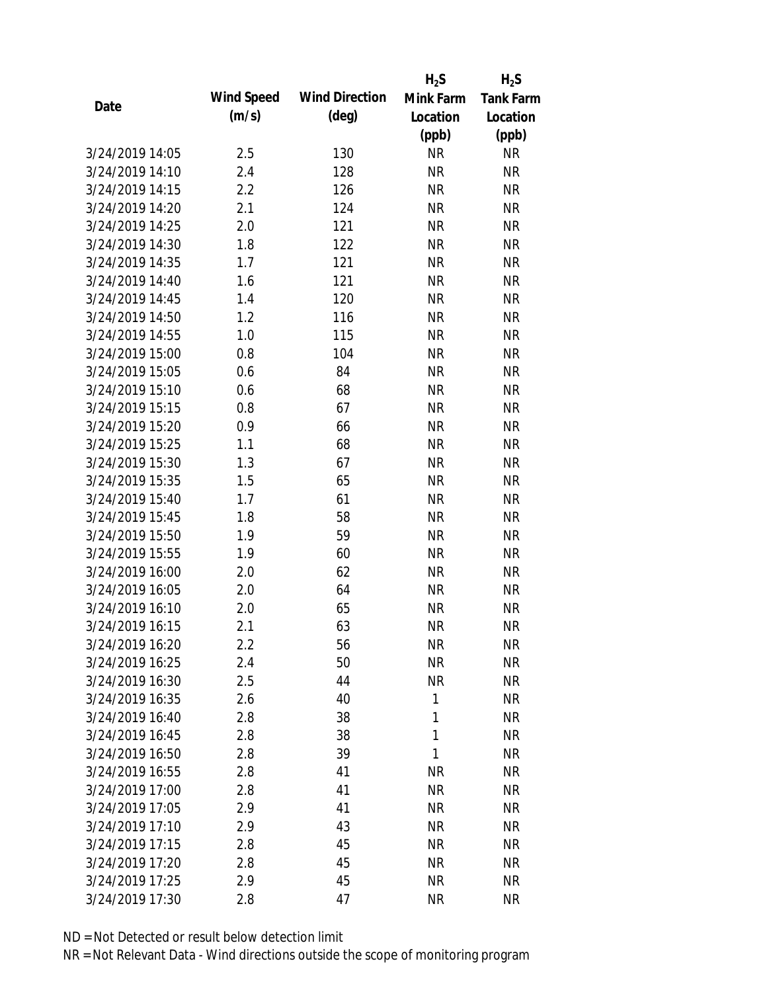|                 |            |                       | $H_2S$    | $H_2S$           |
|-----------------|------------|-----------------------|-----------|------------------|
| Date            | Wind Speed | <b>Wind Direction</b> | Mink Farm | <b>Tank Farm</b> |
|                 | (m/s)      | $(\text{deg})$        | Location  | Location         |
|                 |            |                       | (ppb)     | (ppb)            |
| 3/24/2019 14:05 | 2.5        | 130                   | <b>NR</b> | <b>NR</b>        |
| 3/24/2019 14:10 | 2.4        | 128                   | <b>NR</b> | <b>NR</b>        |
| 3/24/2019 14:15 | 2.2        | 126                   | <b>NR</b> | <b>NR</b>        |
| 3/24/2019 14:20 | 2.1        | 124                   | <b>NR</b> | <b>NR</b>        |
| 3/24/2019 14:25 | 2.0        | 121                   | <b>NR</b> | <b>NR</b>        |
| 3/24/2019 14:30 | 1.8        | 122                   | <b>NR</b> | <b>NR</b>        |
| 3/24/2019 14:35 | 1.7        | 121                   | <b>NR</b> | <b>NR</b>        |
| 3/24/2019 14:40 | 1.6        | 121                   | <b>NR</b> | <b>NR</b>        |
| 3/24/2019 14:45 | 1.4        | 120                   | <b>NR</b> | <b>NR</b>        |
| 3/24/2019 14:50 | 1.2        | 116                   | <b>NR</b> | <b>NR</b>        |
| 3/24/2019 14:55 | 1.0        | 115                   | <b>NR</b> | <b>NR</b>        |
| 3/24/2019 15:00 | 0.8        | 104                   | <b>NR</b> | <b>NR</b>        |
| 3/24/2019 15:05 | 0.6        | 84                    | <b>NR</b> | <b>NR</b>        |
| 3/24/2019 15:10 | 0.6        | 68                    | <b>NR</b> | <b>NR</b>        |
| 3/24/2019 15:15 | 0.8        | 67                    | <b>NR</b> | <b>NR</b>        |
| 3/24/2019 15:20 | 0.9        | 66                    | <b>NR</b> | <b>NR</b>        |
| 3/24/2019 15:25 | 1.1        | 68                    | <b>NR</b> | <b>NR</b>        |
| 3/24/2019 15:30 | 1.3        | 67                    | <b>NR</b> | <b>NR</b>        |
| 3/24/2019 15:35 | 1.5        | 65                    | <b>NR</b> | <b>NR</b>        |
| 3/24/2019 15:40 | 1.7        | 61                    | <b>NR</b> | <b>NR</b>        |
| 3/24/2019 15:45 | 1.8        | 58                    | <b>NR</b> | <b>NR</b>        |
| 3/24/2019 15:50 | 1.9        | 59                    | <b>NR</b> | <b>NR</b>        |
| 3/24/2019 15:55 | 1.9        | 60                    | <b>NR</b> | <b>NR</b>        |
| 3/24/2019 16:00 | 2.0        | 62                    | <b>NR</b> | <b>NR</b>        |
| 3/24/2019 16:05 | 2.0        | 64                    | <b>NR</b> | <b>NR</b>        |
| 3/24/2019 16:10 | 2.0        | 65                    | <b>NR</b> | <b>NR</b>        |
| 3/24/2019 16:15 | 2.1        | 63                    | <b>NR</b> | <b>NR</b>        |
| 3/24/2019 16:20 | 2.2        | 56                    | <b>NR</b> | <b>NR</b>        |
| 3/24/2019 16:25 | 2.4        | 50                    | <b>NR</b> | <b>NR</b>        |
| 3/24/2019 16:30 | 2.5        | 44                    | <b>NR</b> | <b>NR</b>        |
| 3/24/2019 16:35 | 2.6        | 40                    | 1         | <b>NR</b>        |
| 3/24/2019 16:40 | 2.8        | 38                    | 1         | <b>NR</b>        |
| 3/24/2019 16:45 | 2.8        | 38                    | 1         | <b>NR</b>        |
| 3/24/2019 16:50 | 2.8        | 39                    | 1         | <b>NR</b>        |
| 3/24/2019 16:55 | 2.8        | 41                    | <b>NR</b> | <b>NR</b>        |
| 3/24/2019 17:00 | 2.8        | 41                    | <b>NR</b> | <b>NR</b>        |
| 3/24/2019 17:05 | 2.9        | 41                    | <b>NR</b> | <b>NR</b>        |
| 3/24/2019 17:10 | 2.9        | 43                    | NR        | <b>NR</b>        |
| 3/24/2019 17:15 | 2.8        | 45                    | <b>NR</b> | <b>NR</b>        |
| 3/24/2019 17:20 | 2.8        | 45                    | <b>NR</b> | <b>NR</b>        |
| 3/24/2019 17:25 | 2.9        | 45                    | <b>NR</b> | <b>NR</b>        |
| 3/24/2019 17:30 | 2.8        | 47                    | <b>NR</b> | <b>NR</b>        |
|                 |            |                       |           |                  |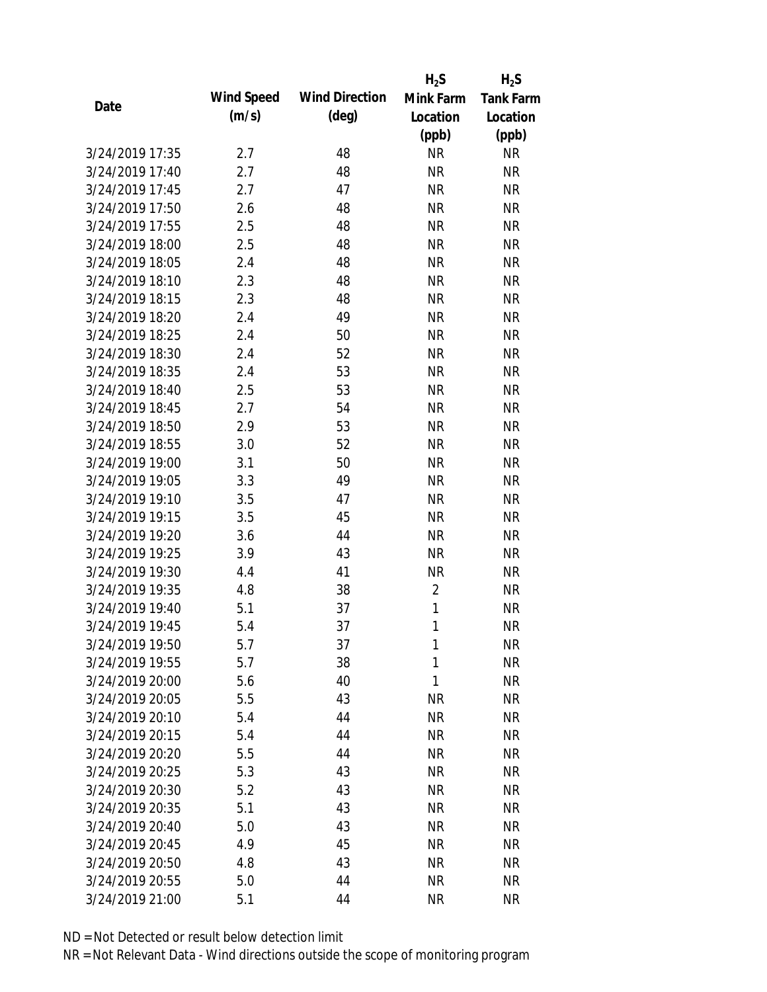|                 |            |                       | $H_2S$         | $H_2S$           |
|-----------------|------------|-----------------------|----------------|------------------|
| Date            | Wind Speed | <b>Wind Direction</b> | Mink Farm      | <b>Tank Farm</b> |
|                 | (m/s)      | $(\text{deg})$        | Location       | Location         |
|                 |            |                       | (ppb)          | (ppb)            |
| 3/24/2019 17:35 | 2.7        | 48                    | <b>NR</b>      | <b>NR</b>        |
| 3/24/2019 17:40 | 2.7        | 48                    | <b>NR</b>      | <b>NR</b>        |
| 3/24/2019 17:45 | 2.7        | 47                    | <b>NR</b>      | <b>NR</b>        |
| 3/24/2019 17:50 | 2.6        | 48                    | <b>NR</b>      | <b>NR</b>        |
| 3/24/2019 17:55 | 2.5        | 48                    | <b>NR</b>      | <b>NR</b>        |
| 3/24/2019 18:00 | 2.5        | 48                    | <b>NR</b>      | <b>NR</b>        |
| 3/24/2019 18:05 | 2.4        | 48                    | <b>NR</b>      | <b>NR</b>        |
| 3/24/2019 18:10 | 2.3        | 48                    | <b>NR</b>      | <b>NR</b>        |
| 3/24/2019 18:15 | 2.3        | 48                    | <b>NR</b>      | <b>NR</b>        |
| 3/24/2019 18:20 | 2.4        | 49                    | <b>NR</b>      | <b>NR</b>        |
| 3/24/2019 18:25 | 2.4        | 50                    | <b>NR</b>      | <b>NR</b>        |
| 3/24/2019 18:30 | 2.4        | 52                    | <b>NR</b>      | <b>NR</b>        |
| 3/24/2019 18:35 | 2.4        | 53                    | <b>NR</b>      | <b>NR</b>        |
| 3/24/2019 18:40 | 2.5        | 53                    | <b>NR</b>      | <b>NR</b>        |
| 3/24/2019 18:45 | 2.7        | 54                    | <b>NR</b>      | <b>NR</b>        |
| 3/24/2019 18:50 | 2.9        | 53                    | <b>NR</b>      | <b>NR</b>        |
| 3/24/2019 18:55 | 3.0        | 52                    | <b>NR</b>      | <b>NR</b>        |
| 3/24/2019 19:00 | 3.1        | 50                    | <b>NR</b>      | <b>NR</b>        |
| 3/24/2019 19:05 | 3.3        | 49                    | <b>NR</b>      | <b>NR</b>        |
| 3/24/2019 19:10 | 3.5        | 47                    | <b>NR</b>      | <b>NR</b>        |
| 3/24/2019 19:15 | 3.5        | 45                    | <b>NR</b>      | <b>NR</b>        |
| 3/24/2019 19:20 | 3.6        | 44                    | <b>NR</b>      | <b>NR</b>        |
| 3/24/2019 19:25 | 3.9        | 43                    | <b>NR</b>      | <b>NR</b>        |
| 3/24/2019 19:30 | 4.4        | 41                    | <b>NR</b>      | <b>NR</b>        |
| 3/24/2019 19:35 | 4.8        | 38                    | $\overline{2}$ | <b>NR</b>        |
| 3/24/2019 19:40 | 5.1        | 37                    | 1              | <b>NR</b>        |
| 3/24/2019 19:45 | 5.4        | 37                    | 1              | <b>NR</b>        |
| 3/24/2019 19:50 | 5.7        | 37                    | 1              | <b>NR</b>        |
| 3/24/2019 19:55 | 5.7        | 38                    | 1              | <b>NR</b>        |
| 3/24/2019 20:00 | 5.6        | 40                    | 1              | <b>NR</b>        |
| 3/24/2019 20:05 | 5.5        | 43                    | <b>NR</b>      | <b>NR</b>        |
| 3/24/2019 20:10 | 5.4        | 44                    | <b>NR</b>      | <b>NR</b>        |
| 3/24/2019 20:15 | 5.4        | 44                    | <b>NR</b>      | <b>NR</b>        |
| 3/24/2019 20:20 | 5.5        | 44                    | <b>NR</b>      | <b>NR</b>        |
| 3/24/2019 20:25 | 5.3        | 43                    | <b>NR</b>      | NR               |
| 3/24/2019 20:30 | 5.2        | 43                    | <b>NR</b>      | <b>NR</b>        |
| 3/24/2019 20:35 | 5.1        | 43                    | <b>NR</b>      | <b>NR</b>        |
| 3/24/2019 20:40 | 5.0        | 43                    | <b>NR</b>      | <b>NR</b>        |
| 3/24/2019 20:45 | 4.9        | 45                    | <b>NR</b>      | NR               |
| 3/24/2019 20:50 | 4.8        | 43                    | <b>NR</b>      | NR               |
| 3/24/2019 20:55 | 5.0        | 44                    | <b>NR</b>      | <b>NR</b>        |
| 3/24/2019 21:00 | 5.1        | 44                    | <b>NR</b>      | <b>NR</b>        |
|                 |            |                       |                |                  |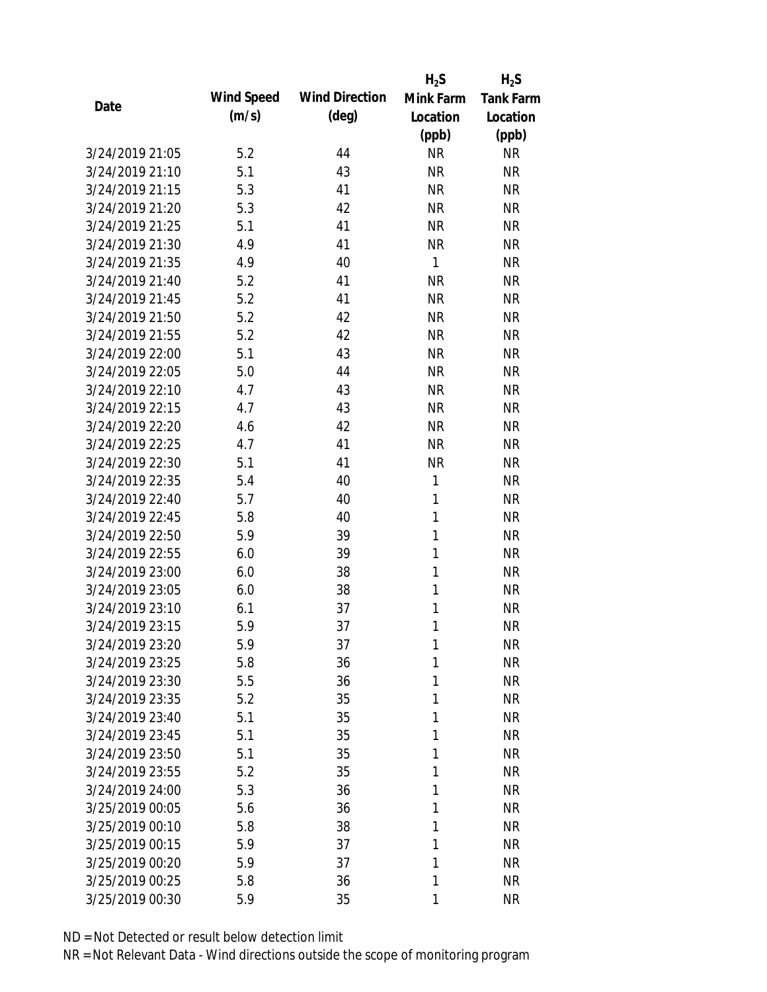|                 |            |                       | $H_2S$    | $H_2S$           |
|-----------------|------------|-----------------------|-----------|------------------|
| Date            | Wind Speed | <b>Wind Direction</b> | Mink Farm | <b>Tank Farm</b> |
|                 | (m/s)      | $(\text{deg})$        | Location  | Location         |
|                 |            |                       | (ppb)     | (ppb)            |
| 3/24/2019 21:05 | 5.2        | 44                    | <b>NR</b> | <b>NR</b>        |
| 3/24/2019 21:10 | 5.1        | 43                    | <b>NR</b> | <b>NR</b>        |
| 3/24/2019 21:15 | 5.3        | 41                    | <b>NR</b> | <b>NR</b>        |
| 3/24/2019 21:20 | 5.3        | 42                    | <b>NR</b> | <b>NR</b>        |
| 3/24/2019 21:25 | 5.1        | 41                    | <b>NR</b> | <b>NR</b>        |
| 3/24/2019 21:30 | 4.9        | 41                    | <b>NR</b> | <b>NR</b>        |
| 3/24/2019 21:35 | 4.9        | 40                    | 1         | <b>NR</b>        |
| 3/24/2019 21:40 | 5.2        | 41                    | <b>NR</b> | <b>NR</b>        |
| 3/24/2019 21:45 | 5.2        | 41                    | <b>NR</b> | <b>NR</b>        |
| 3/24/2019 21:50 | 5.2        | 42                    | <b>NR</b> | <b>NR</b>        |
| 3/24/2019 21:55 | 5.2        | 42                    | <b>NR</b> | <b>NR</b>        |
| 3/24/2019 22:00 | 5.1        | 43                    | <b>NR</b> | <b>NR</b>        |
| 3/24/2019 22:05 | 5.0        | 44                    | <b>NR</b> | <b>NR</b>        |
| 3/24/2019 22:10 | 4.7        | 43                    | <b>NR</b> | <b>NR</b>        |
| 3/24/2019 22:15 | 4.7        | 43                    | <b>NR</b> | <b>NR</b>        |
| 3/24/2019 22:20 | 4.6        | 42                    | <b>NR</b> | <b>NR</b>        |
| 3/24/2019 22:25 | 4.7        | 41                    | <b>NR</b> | <b>NR</b>        |
| 3/24/2019 22:30 | 5.1        | 41                    | <b>NR</b> | <b>NR</b>        |
| 3/24/2019 22:35 | 5.4        | 40                    | 1         | <b>NR</b>        |
| 3/24/2019 22:40 | 5.7        | 40                    | 1         | <b>NR</b>        |
| 3/24/2019 22:45 | 5.8        | 40                    | 1         | <b>NR</b>        |
| 3/24/2019 22:50 | 5.9        | 39                    | 1         | <b>NR</b>        |
| 3/24/2019 22:55 | 6.0        | 39                    | 1         | <b>NR</b>        |
| 3/24/2019 23:00 | 6.0        | 38                    | 1         | <b>NR</b>        |
| 3/24/2019 23:05 | 6.0        | 38                    | 1         | <b>NR</b>        |
| 3/24/2019 23:10 | 6.1        | 37                    | 1         | <b>NR</b>        |
| 3/24/2019 23:15 | 5.9        | 37                    | 1         | <b>NR</b>        |
| 3/24/2019 23:20 | 5.9        | 37                    | 1         | <b>NR</b>        |
| 3/24/2019 23:25 | 5.8        | 36                    | 1         | <b>NR</b>        |
| 3/24/2019 23:30 | 5.5        | 36                    | 1         | <b>NR</b>        |
| 3/24/2019 23:35 | 5.2        | 35                    | 1         | <b>NR</b>        |
| 3/24/2019 23:40 | 5.1        | 35                    | 1         | <b>NR</b>        |
| 3/24/2019 23:45 | 5.1        | 35                    | 1         | <b>NR</b>        |
| 3/24/2019 23:50 | 5.1        | 35                    | 1         | <b>NR</b>        |
| 3/24/2019 23:55 | 5.2        | 35                    | 1         | <b>NR</b>        |
| 3/24/2019 24:00 | 5.3        | 36                    | 1         | <b>NR</b>        |
| 3/25/2019 00:05 | 5.6        | 36                    | 1         | <b>NR</b>        |
| 3/25/2019 00:10 | 5.8        | 38                    | 1         | <b>NR</b>        |
| 3/25/2019 00:15 | 5.9        | 37                    | 1         | <b>NR</b>        |
| 3/25/2019 00:20 | 5.9        | 37                    | 1         | <b>NR</b>        |
| 3/25/2019 00:25 | 5.8        | 36                    | 1         | <b>NR</b>        |
| 3/25/2019 00:30 | 5.9        | 35                    | 1         | <b>NR</b>        |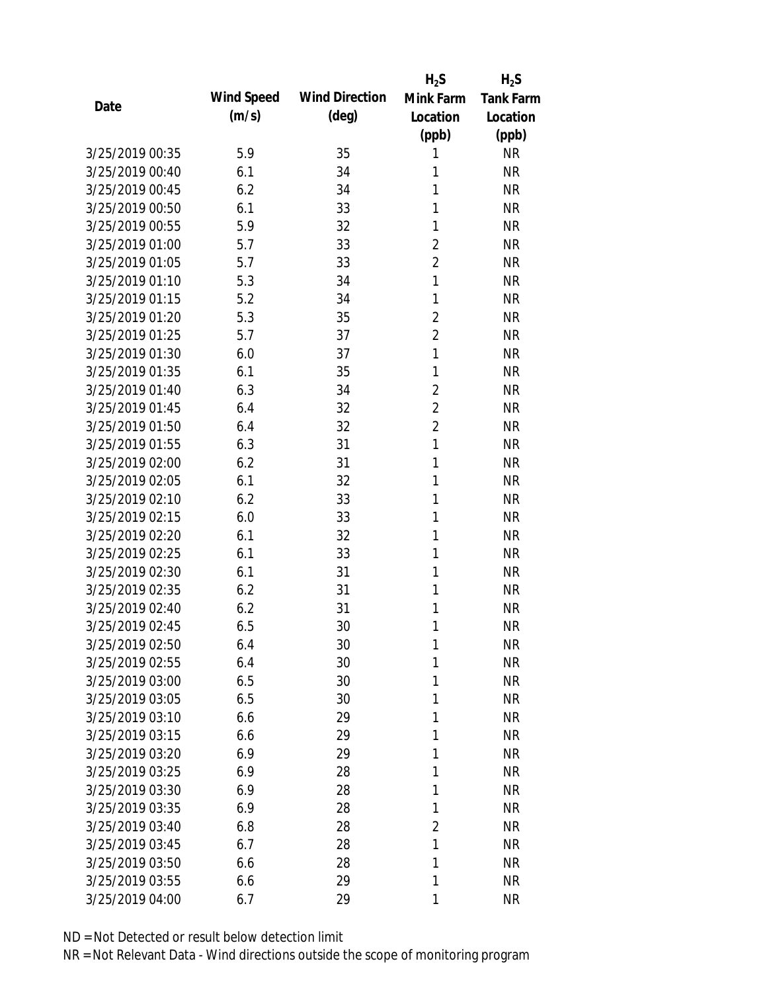|                 |            |                       | $H_2S$         | $H_2S$           |
|-----------------|------------|-----------------------|----------------|------------------|
| Date            | Wind Speed | <b>Wind Direction</b> | Mink Farm      | <b>Tank Farm</b> |
|                 | (m/s)      | $(\text{deg})$        | Location       | Location         |
|                 |            |                       | (ppb)          | (ppb)            |
| 3/25/2019 00:35 | 5.9        | 35                    | 1              | <b>NR</b>        |
| 3/25/2019 00:40 | 6.1        | 34                    | 1              | <b>NR</b>        |
| 3/25/2019 00:45 | 6.2        | 34                    | 1              | <b>NR</b>        |
| 3/25/2019 00:50 | 6.1        | 33                    | 1              | <b>NR</b>        |
| 3/25/2019 00:55 | 5.9        | 32                    | 1              | <b>NR</b>        |
| 3/25/2019 01:00 | 5.7        | 33                    | $\overline{2}$ | <b>NR</b>        |
| 3/25/2019 01:05 | 5.7        | 33                    | $\overline{2}$ | <b>NR</b>        |
| 3/25/2019 01:10 | 5.3        | 34                    | $\mathbf{1}$   | <b>NR</b>        |
| 3/25/2019 01:15 | 5.2        | 34                    | 1              | <b>NR</b>        |
| 3/25/2019 01:20 | 5.3        | 35                    | $\overline{2}$ | <b>NR</b>        |
| 3/25/2019 01:25 | 5.7        | 37                    | $\overline{2}$ | <b>NR</b>        |
| 3/25/2019 01:30 | 6.0        | 37                    | 1              | <b>NR</b>        |
| 3/25/2019 01:35 | 6.1        | 35                    | 1              | <b>NR</b>        |
| 3/25/2019 01:40 | 6.3        | 34                    | $\overline{2}$ | <b>NR</b>        |
| 3/25/2019 01:45 | 6.4        | 32                    | $\overline{2}$ | <b>NR</b>        |
| 3/25/2019 01:50 | 6.4        | 32                    | $\overline{2}$ | <b>NR</b>        |
| 3/25/2019 01:55 | 6.3        | 31                    | $\mathbf{1}$   | <b>NR</b>        |
| 3/25/2019 02:00 | 6.2        | 31                    | 1              | <b>NR</b>        |
| 3/25/2019 02:05 | 6.1        | 32                    | 1              | <b>NR</b>        |
| 3/25/2019 02:10 | 6.2        | 33                    | 1              | <b>NR</b>        |
| 3/25/2019 02:15 | 6.0        | 33                    | 1              | <b>NR</b>        |
| 3/25/2019 02:20 | 6.1        | 32                    | 1              | <b>NR</b>        |
| 3/25/2019 02:25 | 6.1        | 33                    | 1              | <b>NR</b>        |
| 3/25/2019 02:30 | 6.1        | 31                    | 1              | <b>NR</b>        |
| 3/25/2019 02:35 | 6.2        | 31                    | 1              | <b>NR</b>        |
| 3/25/2019 02:40 | 6.2        | 31                    | 1              | <b>NR</b>        |
| 3/25/2019 02:45 | 6.5        | 30                    | 1              | <b>NR</b>        |
| 3/25/2019 02:50 | 6.4        | 30                    | 1              | <b>NR</b>        |
| 3/25/2019 02:55 | 6.4        | 30                    | 1              | <b>NR</b>        |
| 3/25/2019 03:00 | 6.5        | 30                    | 1              | <b>NR</b>        |
| 3/25/2019 03:05 | 6.5        | 30                    | 1              | <b>NR</b>        |
| 3/25/2019 03:10 | 6.6        | 29                    | 1              | <b>NR</b>        |
| 3/25/2019 03:15 | 6.6        | 29                    | 1              | <b>NR</b>        |
| 3/25/2019 03:20 | 6.9        | 29                    | 1              | <b>NR</b>        |
| 3/25/2019 03:25 | 6.9        | 28                    | 1              | <b>NR</b>        |
| 3/25/2019 03:30 | 6.9        | 28                    | 1              | <b>NR</b>        |
| 3/25/2019 03:35 | 6.9        | 28                    | 1              | <b>NR</b>        |
| 3/25/2019 03:40 | 6.8        | 28                    | $\overline{2}$ | <b>NR</b>        |
| 3/25/2019 03:45 | 6.7        | 28                    | 1              | <b>NR</b>        |
| 3/25/2019 03:50 | 6.6        | 28                    | 1              | <b>NR</b>        |
| 3/25/2019 03:55 | 6.6        | 29                    | 1              | <b>NR</b>        |
| 3/25/2019 04:00 | 6.7        | 29                    | 1              | <b>NR</b>        |
|                 |            |                       |                |                  |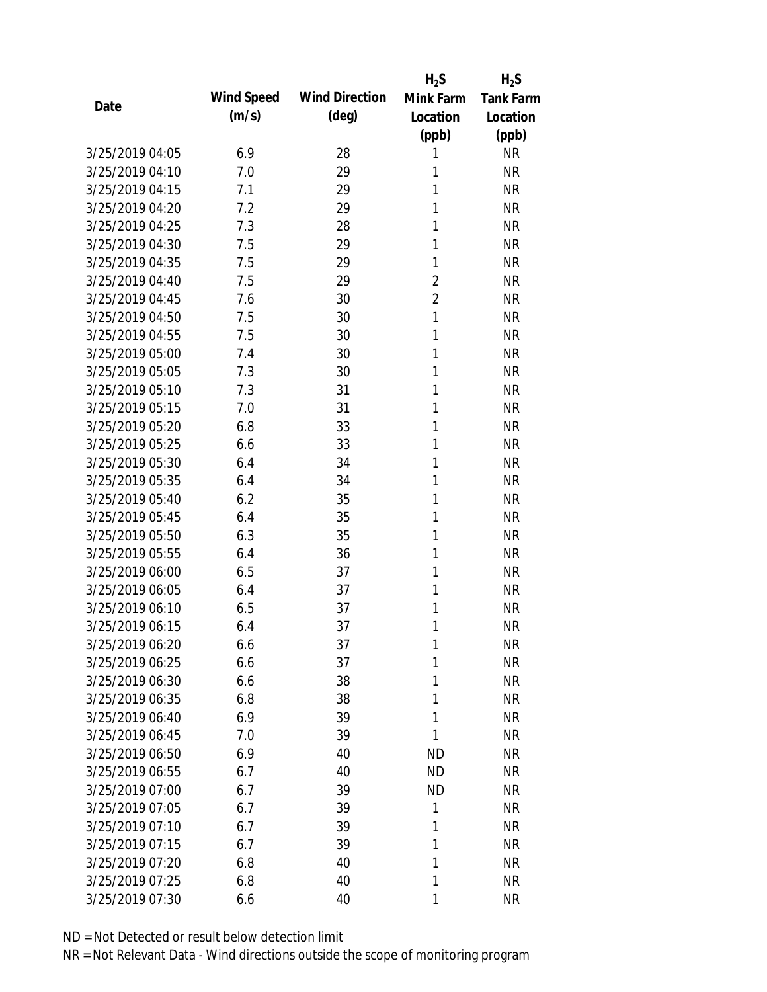|                 |            |                       | $H_2S$         | $H_2S$           |
|-----------------|------------|-----------------------|----------------|------------------|
| Date            | Wind Speed | <b>Wind Direction</b> | Mink Farm      | <b>Tank Farm</b> |
|                 | (m/s)      | $(\text{deg})$        | Location       | Location         |
|                 |            |                       | (ppb)          | (ppb)            |
| 3/25/2019 04:05 | 6.9        | 28                    | 1              | <b>NR</b>        |
| 3/25/2019 04:10 | 7.0        | 29                    | 1              | <b>NR</b>        |
| 3/25/2019 04:15 | 7.1        | 29                    | 1              | <b>NR</b>        |
| 3/25/2019 04:20 | 7.2        | 29                    | 1              | <b>NR</b>        |
| 3/25/2019 04:25 | 7.3        | 28                    | 1              | <b>NR</b>        |
| 3/25/2019 04:30 | 7.5        | 29                    | 1              | <b>NR</b>        |
| 3/25/2019 04:35 | 7.5        | 29                    | 1              | <b>NR</b>        |
| 3/25/2019 04:40 | 7.5        | 29                    | $\overline{2}$ | <b>NR</b>        |
| 3/25/2019 04:45 | 7.6        | 30                    | $\overline{2}$ | <b>NR</b>        |
| 3/25/2019 04:50 | 7.5        | 30                    | $\mathbf{1}$   | <b>NR</b>        |
| 3/25/2019 04:55 | 7.5        | 30                    | 1              | <b>NR</b>        |
| 3/25/2019 05:00 | 7.4        | 30                    | 1              | <b>NR</b>        |
| 3/25/2019 05:05 | 7.3        | 30                    | 1              | <b>NR</b>        |
| 3/25/2019 05:10 | 7.3        | 31                    | 1              | <b>NR</b>        |
| 3/25/2019 05:15 | 7.0        | 31                    | 1              | <b>NR</b>        |
| 3/25/2019 05:20 | 6.8        | 33                    | 1              | <b>NR</b>        |
| 3/25/2019 05:25 | 6.6        | 33                    | 1              | <b>NR</b>        |
| 3/25/2019 05:30 | 6.4        | 34                    | 1              | <b>NR</b>        |
| 3/25/2019 05:35 | 6.4        | 34                    | 1              | <b>NR</b>        |
| 3/25/2019 05:40 | 6.2        | 35                    | 1              | <b>NR</b>        |
| 3/25/2019 05:45 | 6.4        | 35                    | 1              | <b>NR</b>        |
| 3/25/2019 05:50 | 6.3        | 35                    | 1              | <b>NR</b>        |
| 3/25/2019 05:55 | 6.4        | 36                    | 1              | <b>NR</b>        |
| 3/25/2019 06:00 | 6.5        | 37                    | 1              | <b>NR</b>        |
| 3/25/2019 06:05 | 6.4        | 37                    | 1              | <b>NR</b>        |
| 3/25/2019 06:10 | 6.5        | 37                    | 1              | <b>NR</b>        |
| 3/25/2019 06:15 | 6.4        | 37                    | 1              | <b>NR</b>        |
| 3/25/2019 06:20 | 6.6        | 37                    | 1              | <b>NR</b>        |
| 3/25/2019 06:25 | 6.6        | 37                    | 1              | <b>NR</b>        |
| 3/25/2019 06:30 | 6.6        | 38                    | 1              | <b>NR</b>        |
| 3/25/2019 06:35 | 6.8        | 38                    | 1              | <b>NR</b>        |
| 3/25/2019 06:40 | 6.9        | 39                    | 1              | <b>NR</b>        |
| 3/25/2019 06:45 | 7.0        | 39                    | 1              | <b>NR</b>        |
| 3/25/2019 06:50 | 6.9        | 40                    | <b>ND</b>      | <b>NR</b>        |
| 3/25/2019 06:55 | 6.7        | 40                    | <b>ND</b>      | <b>NR</b>        |
| 3/25/2019 07:00 | 6.7        | 39                    | <b>ND</b>      | <b>NR</b>        |
| 3/25/2019 07:05 | 6.7        | 39                    | 1              | <b>NR</b>        |
| 3/25/2019 07:10 | 6.7        | 39                    | 1              | <b>NR</b>        |
| 3/25/2019 07:15 | 6.7        | 39                    | 1              | <b>NR</b>        |
| 3/25/2019 07:20 | 6.8        | 40                    | 1              | <b>NR</b>        |
| 3/25/2019 07:25 | 6.8        | 40                    | 1              | <b>NR</b>        |
| 3/25/2019 07:30 | 6.6        | 40                    | 1              | <b>NR</b>        |
|                 |            |                       |                |                  |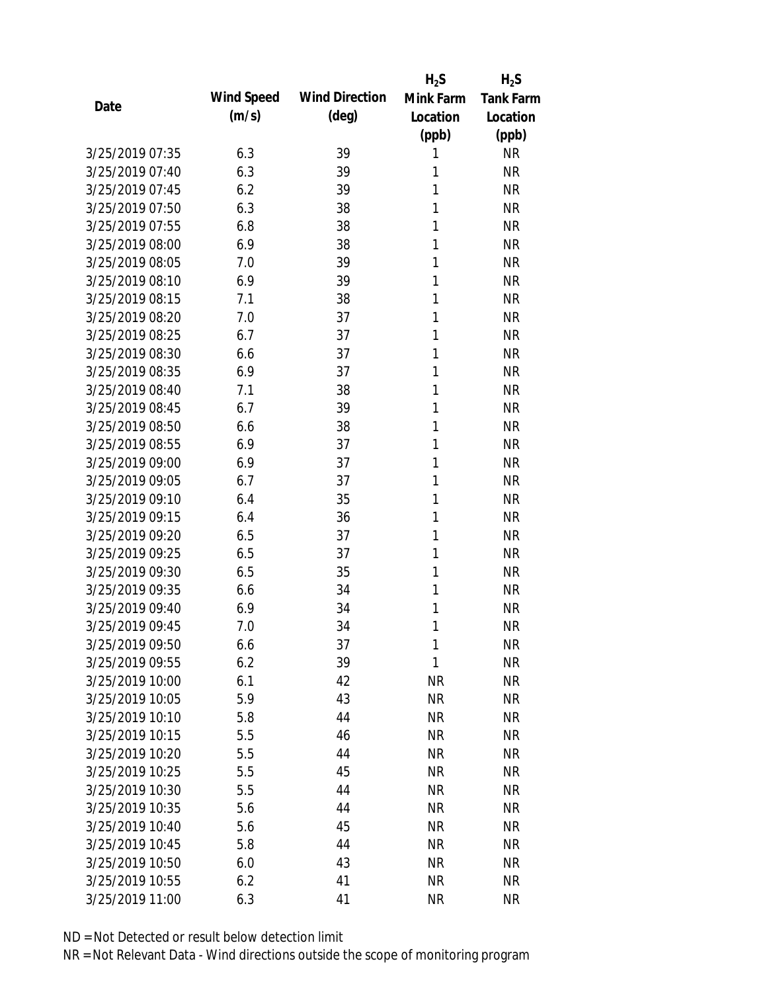|                 |            |                       | $H_2S$    | $H_2S$           |
|-----------------|------------|-----------------------|-----------|------------------|
| Date            | Wind Speed | <b>Wind Direction</b> | Mink Farm | <b>Tank Farm</b> |
|                 | (m/s)      | (deg)                 | Location  | Location         |
|                 |            |                       | (ppb)     | (ppb)            |
| 3/25/2019 07:35 | 6.3        | 39                    | 1         | <b>NR</b>        |
| 3/25/2019 07:40 | 6.3        | 39                    | 1         | <b>NR</b>        |
| 3/25/2019 07:45 | 6.2        | 39                    | 1         | <b>NR</b>        |
| 3/25/2019 07:50 | 6.3        | 38                    | 1         | <b>NR</b>        |
| 3/25/2019 07:55 | 6.8        | 38                    | 1         | <b>NR</b>        |
| 3/25/2019 08:00 | 6.9        | 38                    | 1         | <b>NR</b>        |
| 3/25/2019 08:05 | 7.0        | 39                    | 1         | <b>NR</b>        |
| 3/25/2019 08:10 | 6.9        | 39                    | 1         | <b>NR</b>        |
| 3/25/2019 08:15 | 7.1        | 38                    | 1         | <b>NR</b>        |
| 3/25/2019 08:20 | 7.0        | 37                    | 1         | <b>NR</b>        |
| 3/25/2019 08:25 | 6.7        | 37                    | 1         | <b>NR</b>        |
| 3/25/2019 08:30 | 6.6        | 37                    | 1         | <b>NR</b>        |
| 3/25/2019 08:35 | 6.9        | 37                    | 1         | <b>NR</b>        |
| 3/25/2019 08:40 | 7.1        | 38                    | 1         | <b>NR</b>        |
| 3/25/2019 08:45 | 6.7        | 39                    | 1         | <b>NR</b>        |
| 3/25/2019 08:50 | 6.6        | 38                    | 1         | <b>NR</b>        |
| 3/25/2019 08:55 | 6.9        | 37                    | 1         | <b>NR</b>        |
| 3/25/2019 09:00 | 6.9        | 37                    | 1         | <b>NR</b>        |
| 3/25/2019 09:05 | 6.7        | 37                    | 1         | <b>NR</b>        |
| 3/25/2019 09:10 | 6.4        | 35                    | 1         | <b>NR</b>        |
| 3/25/2019 09:15 | 6.4        | 36                    | 1         | <b>NR</b>        |
| 3/25/2019 09:20 | 6.5        | 37                    | 1         | <b>NR</b>        |
| 3/25/2019 09:25 | 6.5        | 37                    | 1         | <b>NR</b>        |
| 3/25/2019 09:30 | 6.5        | 35                    | 1         | <b>NR</b>        |
| 3/25/2019 09:35 | 6.6        | 34                    | 1         | <b>NR</b>        |
| 3/25/2019 09:40 | 6.9        | 34                    | 1         | <b>NR</b>        |
| 3/25/2019 09:45 | 7.0        | 34                    | 1         | <b>NR</b>        |
| 3/25/2019 09:50 | 6.6        | 37                    | 1         | <b>NR</b>        |
| 3/25/2019 09:55 | 6.2        | 39                    | 1         | <b>NR</b>        |
| 3/25/2019 10:00 | 6.1        | 42                    | <b>NR</b> | <b>NR</b>        |
| 3/25/2019 10:05 | 5.9        | 43                    | <b>NR</b> | <b>NR</b>        |
| 3/25/2019 10:10 | 5.8        | 44                    | <b>NR</b> | <b>NR</b>        |
| 3/25/2019 10:15 | 5.5        | 46                    | <b>NR</b> | <b>NR</b>        |
| 3/25/2019 10:20 | 5.5        | 44                    | <b>NR</b> | <b>NR</b>        |
| 3/25/2019 10:25 | 5.5        | 45                    | <b>NR</b> | <b>NR</b>        |
| 3/25/2019 10:30 | 5.5        | 44                    | <b>NR</b> | <b>NR</b>        |
| 3/25/2019 10:35 | 5.6        | 44                    | <b>NR</b> | <b>NR</b>        |
| 3/25/2019 10:40 | 5.6        | 45                    | <b>NR</b> | <b>NR</b>        |
| 3/25/2019 10:45 | 5.8        | 44                    | <b>NR</b> | <b>NR</b>        |
| 3/25/2019 10:50 | 6.0        | 43                    | <b>NR</b> | NR               |
| 3/25/2019 10:55 | 6.2        | 41                    | <b>NR</b> | <b>NR</b>        |
| 3/25/2019 11:00 | 6.3        | 41                    | <b>NR</b> | <b>NR</b>        |
|                 |            |                       |           |                  |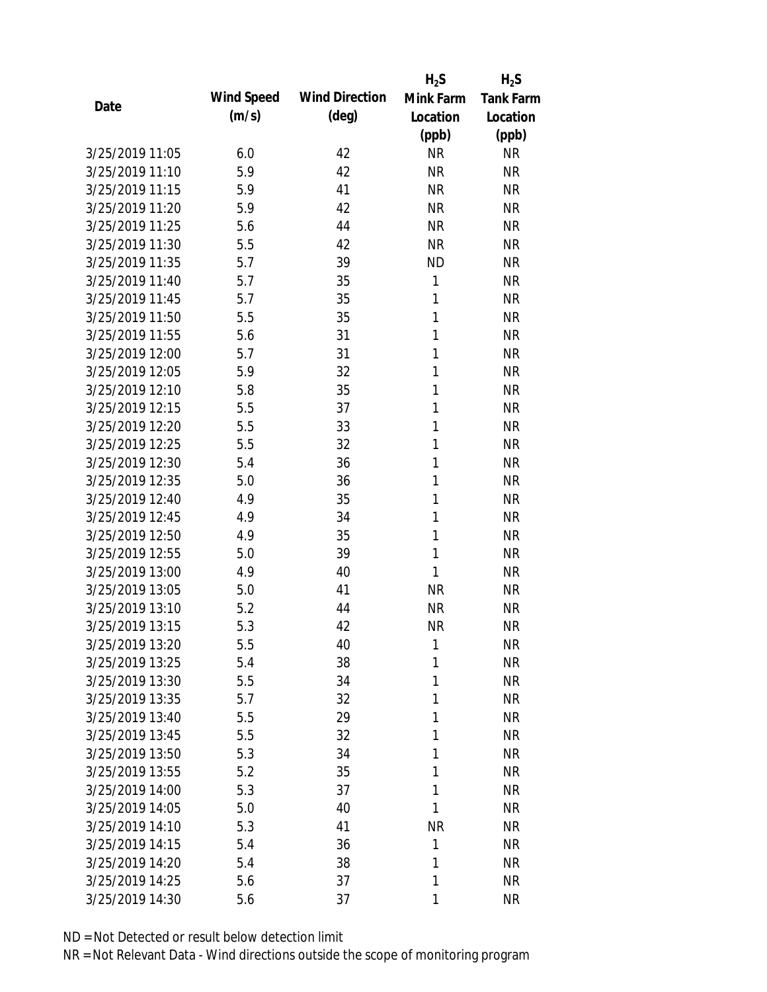|                 |            |                       | $H_2S$       | $H_2S$           |
|-----------------|------------|-----------------------|--------------|------------------|
| Date            | Wind Speed | <b>Wind Direction</b> | Mink Farm    | <b>Tank Farm</b> |
|                 | (m/s)      | $(\text{deg})$        | Location     | Location         |
|                 |            |                       | (ppb)        | (ppb)            |
| 3/25/2019 11:05 | 6.0        | 42                    | <b>NR</b>    | <b>NR</b>        |
| 3/25/2019 11:10 | 5.9        | 42                    | <b>NR</b>    | <b>NR</b>        |
| 3/25/2019 11:15 | 5.9        | 41                    | <b>NR</b>    | <b>NR</b>        |
| 3/25/2019 11:20 | 5.9        | 42                    | <b>NR</b>    | <b>NR</b>        |
| 3/25/2019 11:25 | 5.6        | 44                    | <b>NR</b>    | <b>NR</b>        |
| 3/25/2019 11:30 | 5.5        | 42                    | <b>NR</b>    | <b>NR</b>        |
| 3/25/2019 11:35 | 5.7        | 39                    | <b>ND</b>    | <b>NR</b>        |
| 3/25/2019 11:40 | 5.7        | 35                    | 1            | <b>NR</b>        |
| 3/25/2019 11:45 | 5.7        | 35                    | 1            | <b>NR</b>        |
| 3/25/2019 11:50 | 5.5        | 35                    | 1            | <b>NR</b>        |
| 3/25/2019 11:55 | 5.6        | 31                    | 1            | <b>NR</b>        |
| 3/25/2019 12:00 | 5.7        | 31                    | 1            | <b>NR</b>        |
| 3/25/2019 12:05 | 5.9        | 32                    | 1            | <b>NR</b>        |
| 3/25/2019 12:10 | 5.8        | 35                    | 1            | <b>NR</b>        |
| 3/25/2019 12:15 | 5.5        | 37                    | 1            | <b>NR</b>        |
| 3/25/2019 12:20 | 5.5        | 33                    | 1            | <b>NR</b>        |
| 3/25/2019 12:25 | 5.5        | 32                    | 1            | <b>NR</b>        |
| 3/25/2019 12:30 | 5.4        | 36                    | 1            | <b>NR</b>        |
| 3/25/2019 12:35 | 5.0        | 36                    | 1            | <b>NR</b>        |
| 3/25/2019 12:40 | 4.9        | 35                    | 1            | <b>NR</b>        |
| 3/25/2019 12:45 | 4.9        | 34                    | 1            | <b>NR</b>        |
| 3/25/2019 12:50 | 4.9        | 35                    | 1            | <b>NR</b>        |
| 3/25/2019 12:55 | 5.0        | 39                    | 1            | <b>NR</b>        |
| 3/25/2019 13:00 | 4.9        | 40                    | 1            | <b>NR</b>        |
| 3/25/2019 13:05 | 5.0        | 41                    | <b>NR</b>    | <b>NR</b>        |
| 3/25/2019 13:10 | 5.2        | 44                    | <b>NR</b>    | <b>NR</b>        |
| 3/25/2019 13:15 | 5.3        | 42                    | <b>NR</b>    | <b>NR</b>        |
| 3/25/2019 13:20 | 5.5        | 40                    | $\mathbf{1}$ | <b>NR</b>        |
| 3/25/2019 13:25 | 5.4        | 38                    | 1            | <b>NR</b>        |
| 3/25/2019 13:30 | 5.5        | 34                    | 1            | <b>NR</b>        |
| 3/25/2019 13:35 | 5.7        | 32                    | 1            | <b>NR</b>        |
| 3/25/2019 13:40 | 5.5        | 29                    | 1            | <b>NR</b>        |
| 3/25/2019 13:45 | 5.5        | 32                    | 1            | <b>NR</b>        |
| 3/25/2019 13:50 | 5.3        | 34                    | 1            | <b>NR</b>        |
| 3/25/2019 13:55 | 5.2        | 35                    | 1            | <b>NR</b>        |
| 3/25/2019 14:00 | 5.3        | 37                    | 1            | <b>NR</b>        |
| 3/25/2019 14:05 | 5.0        | 40                    | 1            | <b>NR</b>        |
| 3/25/2019 14:10 | 5.3        | 41                    | <b>NR</b>    | <b>NR</b>        |
| 3/25/2019 14:15 | 5.4        | 36                    | 1            | <b>NR</b>        |
| 3/25/2019 14:20 | 5.4        | 38                    | 1            | <b>NR</b>        |
| 3/25/2019 14:25 | 5.6        | 37                    | 1            | <b>NR</b>        |
| 3/25/2019 14:30 | 5.6        | 37                    | 1            | <b>NR</b>        |
|                 |            |                       |              |                  |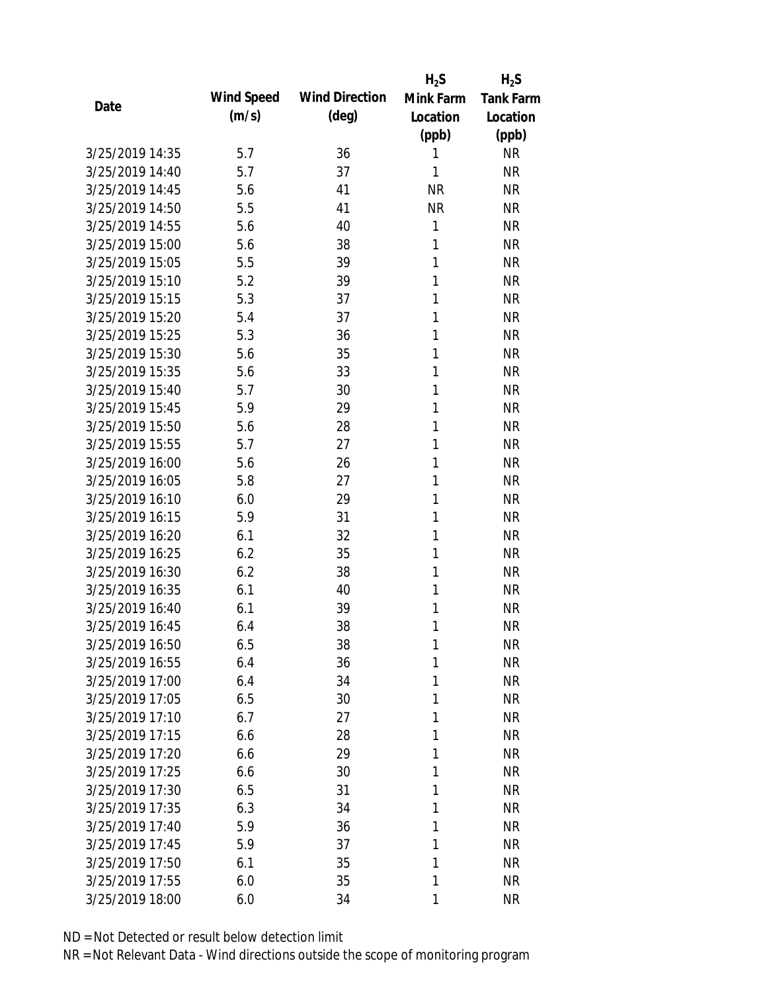|                 |            |                       | $H_2S$       | $H_2S$           |
|-----------------|------------|-----------------------|--------------|------------------|
| Date            | Wind Speed | <b>Wind Direction</b> | Mink Farm    | <b>Tank Farm</b> |
|                 | (m/s)      | $(\text{deg})$        | Location     | Location         |
|                 |            |                       | (ppb)        | (ppb)            |
| 3/25/2019 14:35 | 5.7        | 36                    | 1            | <b>NR</b>        |
| 3/25/2019 14:40 | 5.7        | 37                    | 1            | <b>NR</b>        |
| 3/25/2019 14:45 | 5.6        | 41                    | <b>NR</b>    | <b>NR</b>        |
| 3/25/2019 14:50 | 5.5        | 41                    | <b>NR</b>    | <b>NR</b>        |
| 3/25/2019 14:55 | 5.6        | 40                    | $\mathbf{1}$ | <b>NR</b>        |
| 3/25/2019 15:00 | 5.6        | 38                    | 1            | <b>NR</b>        |
| 3/25/2019 15:05 | 5.5        | 39                    | 1            | <b>NR</b>        |
| 3/25/2019 15:10 | 5.2        | 39                    | 1            | <b>NR</b>        |
| 3/25/2019 15:15 | 5.3        | 37                    | 1            | <b>NR</b>        |
| 3/25/2019 15:20 | 5.4        | 37                    | 1            | <b>NR</b>        |
| 3/25/2019 15:25 | 5.3        | 36                    | 1            | <b>NR</b>        |
| 3/25/2019 15:30 | 5.6        | 35                    | 1            | <b>NR</b>        |
| 3/25/2019 15:35 | 5.6        | 33                    | 1            | <b>NR</b>        |
| 3/25/2019 15:40 | 5.7        | 30                    | 1            | <b>NR</b>        |
| 3/25/2019 15:45 | 5.9        | 29                    | 1            | <b>NR</b>        |
| 3/25/2019 15:50 | 5.6        | 28                    | 1            | <b>NR</b>        |
| 3/25/2019 15:55 | 5.7        | 27                    | 1            | <b>NR</b>        |
| 3/25/2019 16:00 | 5.6        | 26                    | 1            | <b>NR</b>        |
| 3/25/2019 16:05 | 5.8        | 27                    | 1            | <b>NR</b>        |
| 3/25/2019 16:10 | 6.0        | 29                    | 1            | <b>NR</b>        |
| 3/25/2019 16:15 | 5.9        | 31                    | 1            | <b>NR</b>        |
| 3/25/2019 16:20 | 6.1        | 32                    | 1            | <b>NR</b>        |
| 3/25/2019 16:25 | 6.2        | 35                    | 1            | <b>NR</b>        |
| 3/25/2019 16:30 | 6.2        | 38                    | 1            | <b>NR</b>        |
| 3/25/2019 16:35 | 6.1        | 40                    | 1            | <b>NR</b>        |
| 3/25/2019 16:40 | 6.1        | 39                    | 1            | <b>NR</b>        |
| 3/25/2019 16:45 | 6.4        | 38                    | 1            | <b>NR</b>        |
| 3/25/2019 16:50 | 6.5        | 38                    | 1            | <b>NR</b>        |
| 3/25/2019 16:55 | 6.4        | 36                    | 1            | <b>NR</b>        |
| 3/25/2019 17:00 | 6.4        | 34                    | 1            | <b>NR</b>        |
| 3/25/2019 17:05 | 6.5        | 30                    | 1            | <b>NR</b>        |
| 3/25/2019 17:10 | 6.7        | 27                    | 1            | <b>NR</b>        |
| 3/25/2019 17:15 | 6.6        | 28                    | 1            | <b>NR</b>        |
| 3/25/2019 17:20 | 6.6        | 29                    | 1            | <b>NR</b>        |
| 3/25/2019 17:25 | 6.6        | 30                    | 1            | <b>NR</b>        |
| 3/25/2019 17:30 | 6.5        | 31                    | 1            | <b>NR</b>        |
| 3/25/2019 17:35 | 6.3        | 34                    | 1            | <b>NR</b>        |
| 3/25/2019 17:40 | 5.9        | 36                    | 1            | <b>NR</b>        |
| 3/25/2019 17:45 | 5.9        | 37                    | 1            | <b>NR</b>        |
| 3/25/2019 17:50 | 6.1        | 35                    | 1            | <b>NR</b>        |
| 3/25/2019 17:55 | 6.0        | 35                    | 1            | <b>NR</b>        |
| 3/25/2019 18:00 | 6.0        | 34                    | 1            | <b>NR</b>        |
|                 |            |                       |              |                  |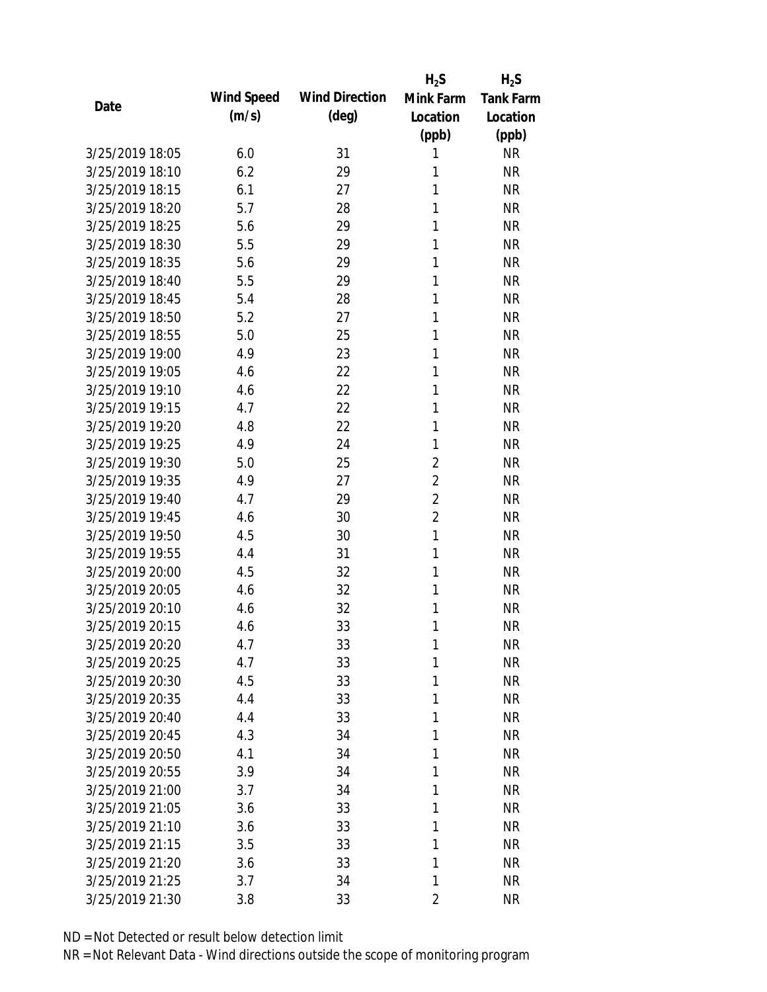|                 |            |                       | $H_2S$         | $H_2S$           |
|-----------------|------------|-----------------------|----------------|------------------|
|                 | Wind Speed | <b>Wind Direction</b> | Mink Farm      | <b>Tank Farm</b> |
| Date            | (m/s)      | $(\text{deg})$        | Location       | Location         |
|                 |            |                       | (ppb)          | (ppb)            |
| 3/25/2019 18:05 | 6.0        | 31                    | 1              | <b>NR</b>        |
| 3/25/2019 18:10 | 6.2        | 29                    | 1              | <b>NR</b>        |
| 3/25/2019 18:15 | 6.1        | 27                    | 1              | <b>NR</b>        |
| 3/25/2019 18:20 | 5.7        | 28                    | 1              | <b>NR</b>        |
| 3/25/2019 18:25 | 5.6        | 29                    | 1              | <b>NR</b>        |
| 3/25/2019 18:30 | 5.5        | 29                    | 1              | <b>NR</b>        |
| 3/25/2019 18:35 | 5.6        | 29                    | 1              | <b>NR</b>        |
| 3/25/2019 18:40 | 5.5        | 29                    | 1              | <b>NR</b>        |
| 3/25/2019 18:45 | 5.4        | 28                    | 1              | <b>NR</b>        |
| 3/25/2019 18:50 | 5.2        | 27                    | 1              | <b>NR</b>        |
| 3/25/2019 18:55 | 5.0        | 25                    | 1              | <b>NR</b>        |
| 3/25/2019 19:00 | 4.9        | 23                    | 1              | <b>NR</b>        |
| 3/25/2019 19:05 | 4.6        | 22                    | 1              | <b>NR</b>        |
| 3/25/2019 19:10 | 4.6        | 22                    | 1              | <b>NR</b>        |
| 3/25/2019 19:15 | 4.7        | 22                    | 1              | <b>NR</b>        |
| 3/25/2019 19:20 | 4.8        | 22                    | 1              | <b>NR</b>        |
| 3/25/2019 19:25 | 4.9        | 24                    | 1              | <b>NR</b>        |
| 3/25/2019 19:30 | 5.0        | 25                    | $\overline{2}$ | <b>NR</b>        |
| 3/25/2019 19:35 | 4.9        | 27                    | $\overline{2}$ | <b>NR</b>        |
| 3/25/2019 19:40 | 4.7        | 29                    | $\overline{2}$ | <b>NR</b>        |
| 3/25/2019 19:45 | 4.6        | 30                    | $\overline{2}$ | <b>NR</b>        |
| 3/25/2019 19:50 | 4.5        | 30                    | $\mathbf{1}$   | <b>NR</b>        |
| 3/25/2019 19:55 | 4.4        | 31                    | 1              | <b>NR</b>        |
| 3/25/2019 20:00 | 4.5        | 32                    | 1              | <b>NR</b>        |
| 3/25/2019 20:05 | 4.6        | 32                    | 1              | <b>NR</b>        |
| 3/25/2019 20:10 | 4.6        | 32                    | 1              | <b>NR</b>        |
| 3/25/2019 20:15 | 4.6        | 33                    | 1              | <b>NR</b>        |
| 3/25/2019 20:20 | 4.7        | 33                    | $\mathbf{1}$   | <b>NR</b>        |
| 3/25/2019 20:25 | 4.7        | 33                    | 1              | <b>NR</b>        |
| 3/25/2019 20:30 | 4.5        | 33                    | 1              | <b>NR</b>        |
| 3/25/2019 20:35 | 4.4        | 33                    | 1              | <b>NR</b>        |
| 3/25/2019 20:40 | 4.4        | 33                    | 1              | <b>NR</b>        |
| 3/25/2019 20:45 | 4.3        | 34                    | 1              | <b>NR</b>        |
| 3/25/2019 20:50 | 4.1        | 34                    | 1              | <b>NR</b>        |
| 3/25/2019 20:55 | 3.9        | 34                    | 1              | <b>NR</b>        |
| 3/25/2019 21:00 | 3.7        | 34                    | 1              | <b>NR</b>        |
| 3/25/2019 21:05 | 3.6        | 33                    | 1              | <b>NR</b>        |
| 3/25/2019 21:10 | 3.6        | 33                    | 1              | <b>NR</b>        |
| 3/25/2019 21:15 | 3.5        | 33                    | 1              | <b>NR</b>        |
| 3/25/2019 21:20 | 3.6        | 33                    | 1              | <b>NR</b>        |
| 3/25/2019 21:25 | 3.7        | 34                    | 1              | <b>NR</b>        |
| 3/25/2019 21:30 | 3.8        | 33                    | 2              | <b>NR</b>        |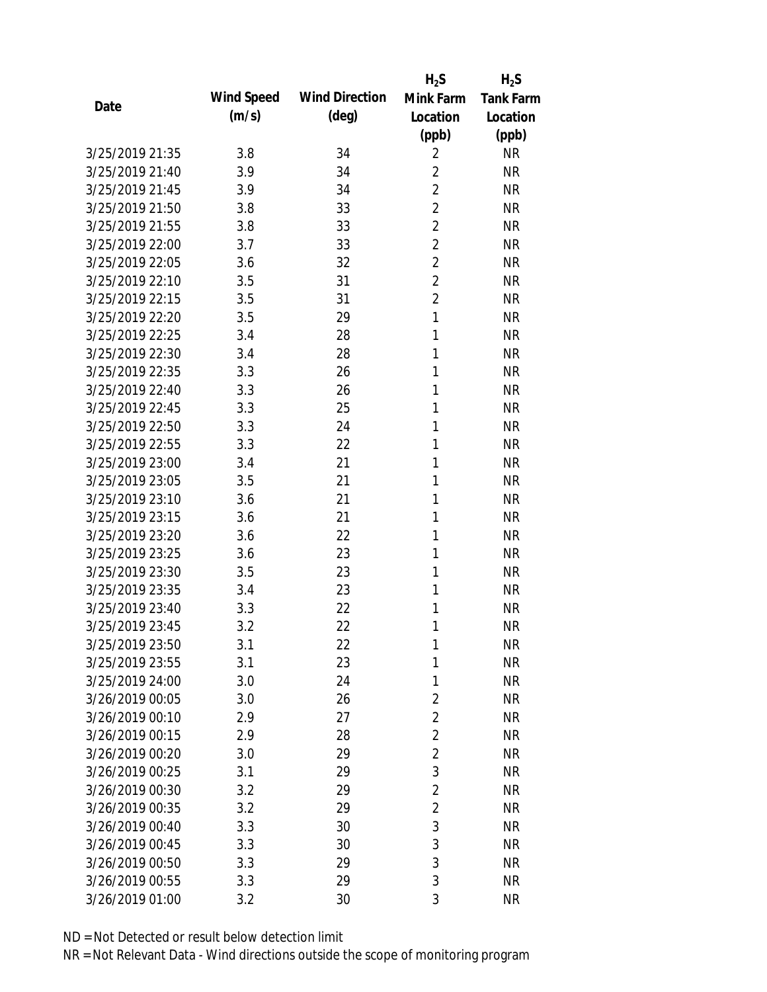|                 |            |                       | $H_2S$         | $H_2S$           |
|-----------------|------------|-----------------------|----------------|------------------|
|                 | Wind Speed | <b>Wind Direction</b> | Mink Farm      | <b>Tank Farm</b> |
| Date            | (m/s)      | $(\text{deg})$        | Location       | Location         |
|                 |            |                       | (ppb)          | (ppb)            |
| 3/25/2019 21:35 | 3.8        | 34                    | $\overline{2}$ | <b>NR</b>        |
| 3/25/2019 21:40 | 3.9        | 34                    | $\overline{2}$ | <b>NR</b>        |
| 3/25/2019 21:45 | 3.9        | 34                    | $\overline{2}$ | <b>NR</b>        |
| 3/25/2019 21:50 | 3.8        | 33                    | $\overline{2}$ | <b>NR</b>        |
| 3/25/2019 21:55 | 3.8        | 33                    | $\overline{2}$ | <b>NR</b>        |
| 3/25/2019 22:00 | 3.7        | 33                    | $\overline{2}$ | <b>NR</b>        |
| 3/25/2019 22:05 | 3.6        | 32                    | 2              | <b>NR</b>        |
| 3/25/2019 22:10 | 3.5        | 31                    | $\overline{2}$ | <b>NR</b>        |
| 3/25/2019 22:15 | 3.5        | 31                    | $\overline{2}$ | <b>NR</b>        |
| 3/25/2019 22:20 | 3.5        | 29                    | $\mathbf{1}$   | <b>NR</b>        |
| 3/25/2019 22:25 | 3.4        | 28                    | 1              | <b>NR</b>        |
| 3/25/2019 22:30 | 3.4        | 28                    | 1              | <b>NR</b>        |
| 3/25/2019 22:35 | 3.3        | 26                    | 1              | <b>NR</b>        |
| 3/25/2019 22:40 | 3.3        | 26                    | 1              | <b>NR</b>        |
| 3/25/2019 22:45 | 3.3        | 25                    | 1              | <b>NR</b>        |
| 3/25/2019 22:50 | 3.3        | 24                    | 1              | <b>NR</b>        |
| 3/25/2019 22:55 | 3.3        | 22                    | 1              | <b>NR</b>        |
| 3/25/2019 23:00 | 3.4        | 21                    | 1              | <b>NR</b>        |
| 3/25/2019 23:05 | 3.5        | 21                    | 1              | <b>NR</b>        |
| 3/25/2019 23:10 | 3.6        | 21                    | 1              | <b>NR</b>        |
| 3/25/2019 23:15 | 3.6        | 21                    | 1              | <b>NR</b>        |
| 3/25/2019 23:20 | 3.6        | 22                    | 1              | <b>NR</b>        |
| 3/25/2019 23:25 | 3.6        | 23                    | 1              | <b>NR</b>        |
| 3/25/2019 23:30 | 3.5        | 23                    | 1              | <b>NR</b>        |
| 3/25/2019 23:35 | 3.4        | 23                    | 1              | <b>NR</b>        |
| 3/25/2019 23:40 | 3.3        | 22                    | 1              | <b>NR</b>        |
| 3/25/2019 23:45 | 3.2        | 22                    | 1              | <b>NR</b>        |
| 3/25/2019 23:50 | 3.1        | 22                    | 1              | <b>NR</b>        |
| 3/25/2019 23:55 | 3.1        | 23                    | 1              | <b>NR</b>        |
| 3/25/2019 24:00 | 3.0        | 24                    | 1              | <b>NR</b>        |
| 3/26/2019 00:05 | 3.0        | 26                    | $\overline{2}$ | <b>NR</b>        |
| 3/26/2019 00:10 | 2.9        | 27                    | $\overline{2}$ | <b>NR</b>        |
| 3/26/2019 00:15 | 2.9        | 28                    | $\overline{2}$ | <b>NR</b>        |
| 3/26/2019 00:20 | 3.0        | 29                    | $\overline{2}$ | <b>NR</b>        |
| 3/26/2019 00:25 | 3.1        | 29                    | 3              | <b>NR</b>        |
| 3/26/2019 00:30 | 3.2        | 29                    | $\overline{2}$ | <b>NR</b>        |
| 3/26/2019 00:35 | 3.2        | 29                    | $\overline{2}$ | <b>NR</b>        |
| 3/26/2019 00:40 | 3.3        | 30                    | 3              | <b>NR</b>        |
| 3/26/2019 00:45 | 3.3        | 30                    | 3              | <b>NR</b>        |
| 3/26/2019 00:50 | 3.3        | 29                    | 3              | <b>NR</b>        |
| 3/26/2019 00:55 |            | 29                    | 3              | <b>NR</b>        |
|                 | 3.3        |                       |                |                  |
| 3/26/2019 01:00 | 3.2        | 30                    | 3              | <b>NR</b>        |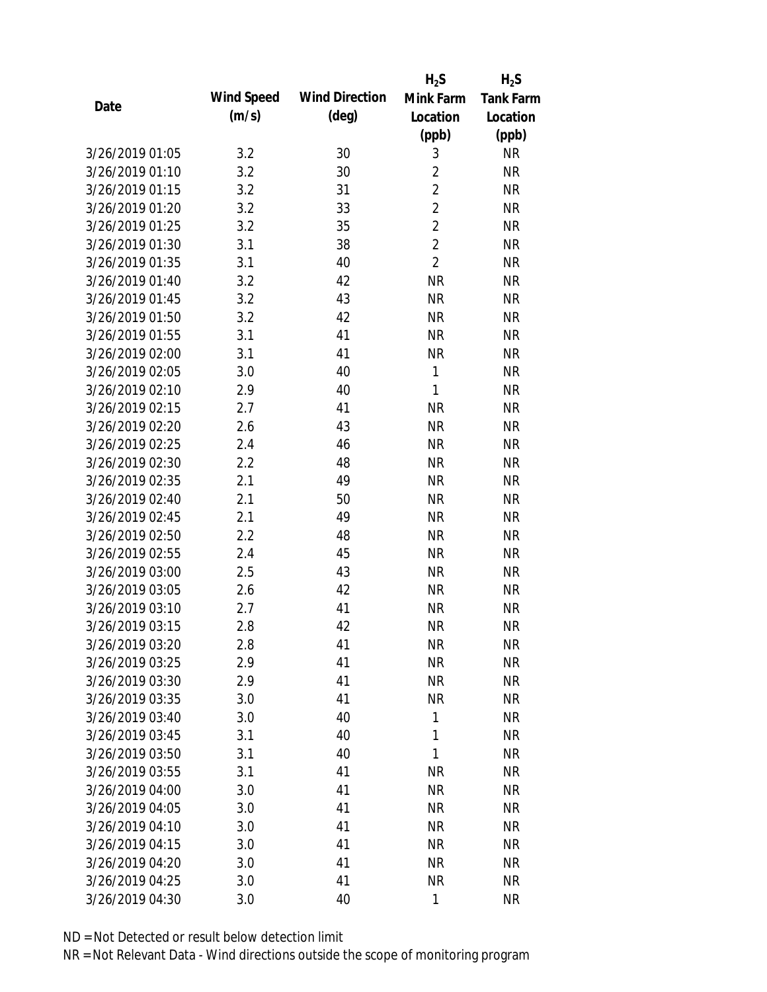|                 |            |                       | $H_2S$         | $H_2S$           |
|-----------------|------------|-----------------------|----------------|------------------|
|                 | Wind Speed | <b>Wind Direction</b> | Mink Farm      | <b>Tank Farm</b> |
| Date            | (m/s)      | $(\text{deg})$        | Location       | Location         |
|                 |            |                       | (ppb)          | (ppb)            |
| 3/26/2019 01:05 | 3.2        | 30                    | 3              | <b>NR</b>        |
| 3/26/2019 01:10 | 3.2        | 30                    | $\overline{2}$ | <b>NR</b>        |
| 3/26/2019 01:15 | 3.2        | 31                    | $\overline{2}$ | <b>NR</b>        |
| 3/26/2019 01:20 | 3.2        | 33                    | $\overline{2}$ | <b>NR</b>        |
| 3/26/2019 01:25 | 3.2        | 35                    | $\overline{2}$ | <b>NR</b>        |
| 3/26/2019 01:30 | 3.1        | 38                    | $\overline{2}$ | <b>NR</b>        |
| 3/26/2019 01:35 | 3.1        | 40                    | $\overline{2}$ | <b>NR</b>        |
| 3/26/2019 01:40 | 3.2        | 42                    | <b>NR</b>      | <b>NR</b>        |
| 3/26/2019 01:45 | 3.2        | 43                    | <b>NR</b>      | <b>NR</b>        |
| 3/26/2019 01:50 | 3.2        | 42                    | <b>NR</b>      | <b>NR</b>        |
| 3/26/2019 01:55 | 3.1        | 41                    | <b>NR</b>      | <b>NR</b>        |
| 3/26/2019 02:00 | 3.1        | 41                    | <b>NR</b>      | <b>NR</b>        |
| 3/26/2019 02:05 | 3.0        | 40                    | 1              | <b>NR</b>        |
| 3/26/2019 02:10 | 2.9        | 40                    | 1              | <b>NR</b>        |
| 3/26/2019 02:15 | 2.7        | 41                    | <b>NR</b>      | <b>NR</b>        |
| 3/26/2019 02:20 | 2.6        | 43                    | <b>NR</b>      | <b>NR</b>        |
| 3/26/2019 02:25 | 2.4        | 46                    | <b>NR</b>      | <b>NR</b>        |
| 3/26/2019 02:30 | 2.2        | 48                    | <b>NR</b>      | <b>NR</b>        |
| 3/26/2019 02:35 | 2.1        | 49                    | <b>NR</b>      | <b>NR</b>        |
| 3/26/2019 02:40 | 2.1        | 50                    | <b>NR</b>      | <b>NR</b>        |
| 3/26/2019 02:45 | 2.1        | 49                    | <b>NR</b>      | <b>NR</b>        |
| 3/26/2019 02:50 | 2.2        | 48                    | <b>NR</b>      | <b>NR</b>        |
| 3/26/2019 02:55 | 2.4        | 45                    | <b>NR</b>      | <b>NR</b>        |
| 3/26/2019 03:00 | 2.5        | 43                    | <b>NR</b>      | <b>NR</b>        |
| 3/26/2019 03:05 | 2.6        | 42                    | <b>NR</b>      | <b>NR</b>        |
| 3/26/2019 03:10 | 2.7        | 41                    | <b>NR</b>      | <b>NR</b>        |
| 3/26/2019 03:15 | 2.8        | 42                    | <b>NR</b>      | <b>NR</b>        |
| 3/26/2019 03:20 | 2.8        | 41                    | <b>NR</b>      | <b>NR</b>        |
| 3/26/2019 03:25 | 2.9        | 41                    | <b>NR</b>      | <b>NR</b>        |
| 3/26/2019 03:30 | 2.9        | 41                    | <b>NR</b>      | <b>NR</b>        |
| 3/26/2019 03:35 | 3.0        | 41                    | <b>NR</b>      | <b>NR</b>        |
| 3/26/2019 03:40 | 3.0        | 40                    | 1              | NR               |
| 3/26/2019 03:45 | 3.1        | 40                    | 1              | <b>NR</b>        |
| 3/26/2019 03:50 | 3.1        | 40                    | 1              | <b>NR</b>        |
| 3/26/2019 03:55 | 3.1        | 41                    | <b>NR</b>      | <b>NR</b>        |
| 3/26/2019 04:00 | 3.0        | 41                    | <b>NR</b>      | <b>NR</b>        |
| 3/26/2019 04:05 | 3.0        | 41                    | <b>NR</b>      | <b>NR</b>        |
| 3/26/2019 04:10 | 3.0        | 41                    | <b>NR</b>      | <b>NR</b>        |
| 3/26/2019 04:15 | 3.0        | 41                    | <b>NR</b>      | NR               |
| 3/26/2019 04:20 | 3.0        | 41                    | <b>NR</b>      | NR               |
| 3/26/2019 04:25 | 3.0        | 41                    | <b>NR</b>      | <b>NR</b>        |
| 3/26/2019 04:30 | 3.0        | 40                    | 1              | <b>NR</b>        |
|                 |            |                       |                |                  |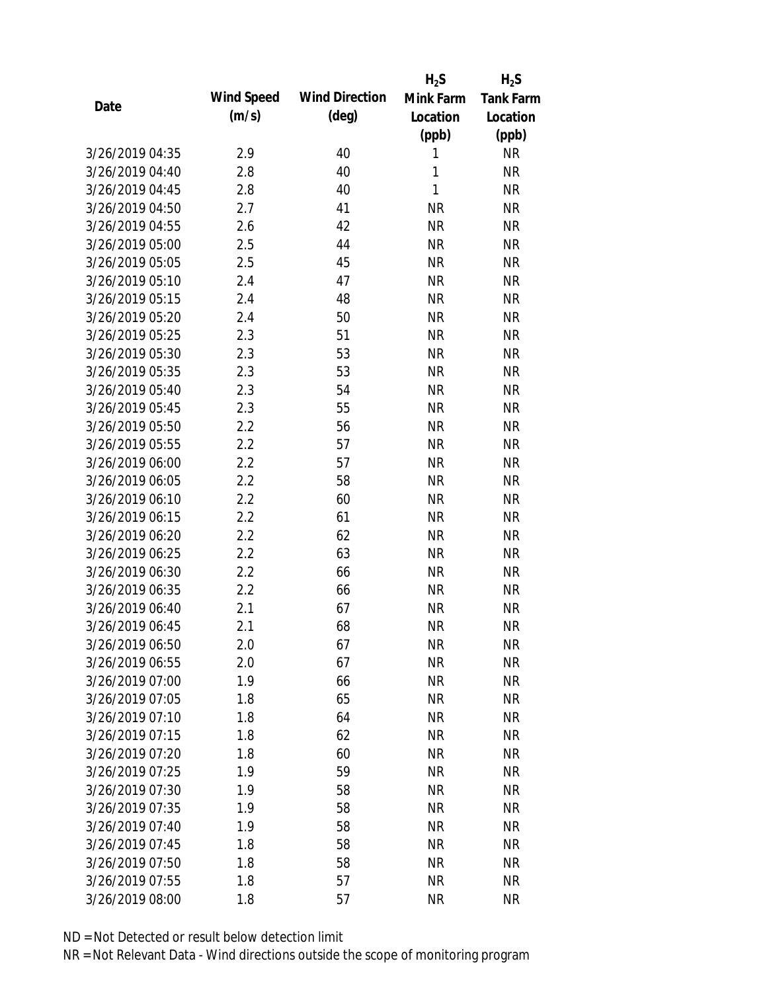|                 |            |                       | $H_2S$    | $H_2S$           |
|-----------------|------------|-----------------------|-----------|------------------|
| Date            | Wind Speed | <b>Wind Direction</b> | Mink Farm | <b>Tank Farm</b> |
|                 | (m/s)      | $(\text{deg})$        | Location  | Location         |
|                 |            |                       | (ppb)     | (ppb)            |
| 3/26/2019 04:35 | 2.9        | 40                    | 1         | <b>NR</b>        |
| 3/26/2019 04:40 | 2.8        | 40                    | 1         | <b>NR</b>        |
| 3/26/2019 04:45 | 2.8        | 40                    | 1         | <b>NR</b>        |
| 3/26/2019 04:50 | 2.7        | 41                    | <b>NR</b> | <b>NR</b>        |
| 3/26/2019 04:55 | 2.6        | 42                    | <b>NR</b> | <b>NR</b>        |
| 3/26/2019 05:00 | 2.5        | 44                    | <b>NR</b> | <b>NR</b>        |
| 3/26/2019 05:05 | 2.5        | 45                    | <b>NR</b> | <b>NR</b>        |
| 3/26/2019 05:10 | 2.4        | 47                    | <b>NR</b> | <b>NR</b>        |
| 3/26/2019 05:15 | 2.4        | 48                    | <b>NR</b> | <b>NR</b>        |
| 3/26/2019 05:20 | 2.4        | 50                    | <b>NR</b> | <b>NR</b>        |
| 3/26/2019 05:25 | 2.3        | 51                    | <b>NR</b> | <b>NR</b>        |
| 3/26/2019 05:30 | 2.3        | 53                    | <b>NR</b> | <b>NR</b>        |
| 3/26/2019 05:35 | 2.3        | 53                    | <b>NR</b> | <b>NR</b>        |
| 3/26/2019 05:40 | 2.3        | 54                    | <b>NR</b> | <b>NR</b>        |
| 3/26/2019 05:45 | 2.3        | 55                    | <b>NR</b> | <b>NR</b>        |
| 3/26/2019 05:50 | 2.2        | 56                    | <b>NR</b> | <b>NR</b>        |
| 3/26/2019 05:55 | 2.2        | 57                    | <b>NR</b> | <b>NR</b>        |
| 3/26/2019 06:00 | 2.2        | 57                    | <b>NR</b> | <b>NR</b>        |
| 3/26/2019 06:05 | 2.2        | 58                    | <b>NR</b> | <b>NR</b>        |
| 3/26/2019 06:10 | 2.2        | 60                    | <b>NR</b> | <b>NR</b>        |
| 3/26/2019 06:15 | 2.2        | 61                    | <b>NR</b> | <b>NR</b>        |
| 3/26/2019 06:20 | 2.2        | 62                    | <b>NR</b> | <b>NR</b>        |
| 3/26/2019 06:25 | 2.2        | 63                    | <b>NR</b> | <b>NR</b>        |
| 3/26/2019 06:30 | 2.2        | 66                    | <b>NR</b> | <b>NR</b>        |
| 3/26/2019 06:35 | 2.2        | 66                    | <b>NR</b> | <b>NR</b>        |
| 3/26/2019 06:40 | 2.1        | 67                    | <b>NR</b> | <b>NR</b>        |
| 3/26/2019 06:45 | 2.1        | 68                    | <b>NR</b> | <b>NR</b>        |
| 3/26/2019 06:50 | 2.0        | 67                    | <b>NR</b> | <b>NR</b>        |
| 3/26/2019 06:55 | 2.0        | 67                    | <b>NR</b> | <b>NR</b>        |
| 3/26/2019 07:00 | 1.9        | 66                    | <b>NR</b> | <b>NR</b>        |
| 3/26/2019 07:05 | 1.8        | 65                    | <b>NR</b> | <b>NR</b>        |
| 3/26/2019 07:10 | 1.8        | 64                    | <b>NR</b> | <b>NR</b>        |
| 3/26/2019 07:15 | 1.8        | 62                    | <b>NR</b> | <b>NR</b>        |
| 3/26/2019 07:20 | 1.8        | 60                    | <b>NR</b> | <b>NR</b>        |
| 3/26/2019 07:25 | 1.9        | 59                    | <b>NR</b> | <b>NR</b>        |
| 3/26/2019 07:30 | 1.9        | 58                    | <b>NR</b> | <b>NR</b>        |
| 3/26/2019 07:35 | 1.9        | 58                    | <b>NR</b> | <b>NR</b>        |
|                 |            |                       |           |                  |
| 3/26/2019 07:40 | 1.9        | 58                    | <b>NR</b> | <b>NR</b>        |
| 3/26/2019 07:45 | 1.8        | 58                    | <b>NR</b> | <b>NR</b>        |
| 3/26/2019 07:50 | 1.8        | 58                    | <b>NR</b> | <b>NR</b>        |
| 3/26/2019 07:55 | 1.8        | 57                    | <b>NR</b> | <b>NR</b>        |
| 3/26/2019 08:00 | 1.8        | 57                    | <b>NR</b> | <b>NR</b>        |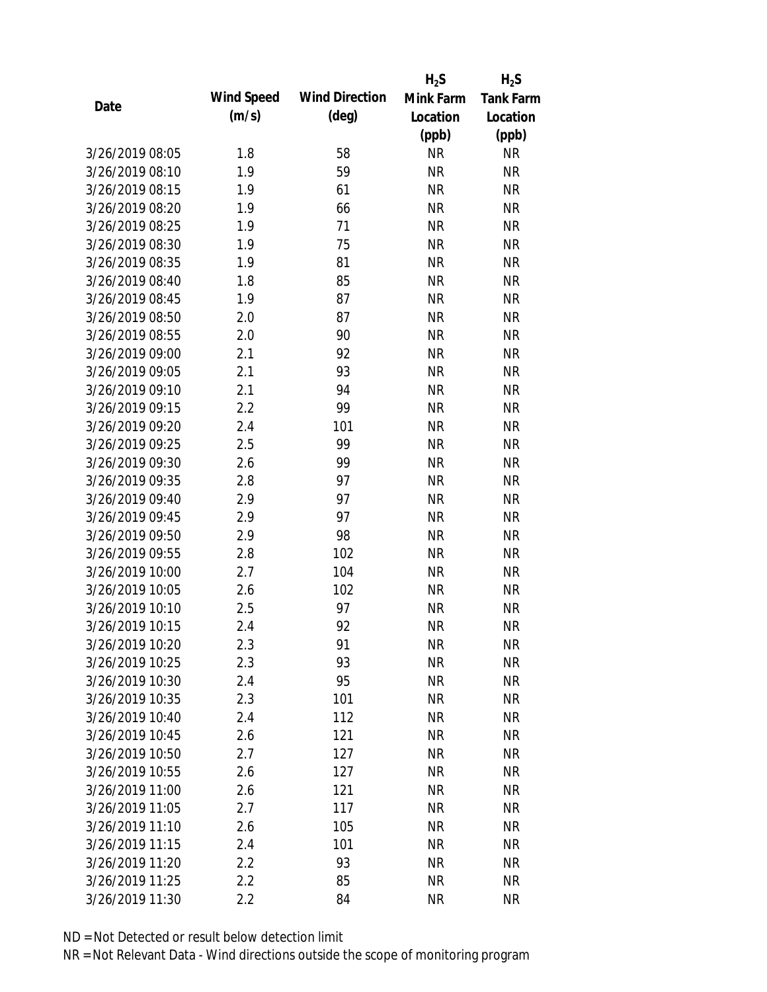|                 |            |                       | $H_2S$    | $H_2S$           |
|-----------------|------------|-----------------------|-----------|------------------|
|                 | Wind Speed | <b>Wind Direction</b> | Mink Farm | <b>Tank Farm</b> |
| Date            | (m/s)      | $(\text{deg})$        | Location  | Location         |
|                 |            |                       | (ppb)     | (ppb)            |
| 3/26/2019 08:05 | 1.8        | 58                    | <b>NR</b> | <b>NR</b>        |
| 3/26/2019 08:10 | 1.9        | 59                    | <b>NR</b> | <b>NR</b>        |
| 3/26/2019 08:15 | 1.9        | 61                    | <b>NR</b> | <b>NR</b>        |
| 3/26/2019 08:20 | 1.9        | 66                    | <b>NR</b> | <b>NR</b>        |
| 3/26/2019 08:25 | 1.9        | 71                    | <b>NR</b> | <b>NR</b>        |
| 3/26/2019 08:30 | 1.9        | 75                    | <b>NR</b> | <b>NR</b>        |
| 3/26/2019 08:35 | 1.9        | 81                    | <b>NR</b> | <b>NR</b>        |
| 3/26/2019 08:40 | 1.8        | 85                    | <b>NR</b> | <b>NR</b>        |
| 3/26/2019 08:45 | 1.9        | 87                    | <b>NR</b> | <b>NR</b>        |
| 3/26/2019 08:50 | 2.0        | 87                    | <b>NR</b> | <b>NR</b>        |
| 3/26/2019 08:55 | 2.0        | 90                    | <b>NR</b> | <b>NR</b>        |
| 3/26/2019 09:00 | 2.1        | 92                    | <b>NR</b> | <b>NR</b>        |
| 3/26/2019 09:05 | 2.1        | 93                    | <b>NR</b> | <b>NR</b>        |
| 3/26/2019 09:10 | 2.1        | 94                    | <b>NR</b> | <b>NR</b>        |
| 3/26/2019 09:15 | 2.2        | 99                    | <b>NR</b> | <b>NR</b>        |
| 3/26/2019 09:20 | 2.4        | 101                   | <b>NR</b> | <b>NR</b>        |
| 3/26/2019 09:25 | 2.5        | 99                    | <b>NR</b> | <b>NR</b>        |
| 3/26/2019 09:30 | 2.6        | 99                    | <b>NR</b> | <b>NR</b>        |
| 3/26/2019 09:35 | 2.8        | 97                    | <b>NR</b> | <b>NR</b>        |
| 3/26/2019 09:40 | 2.9        | 97                    | <b>NR</b> | <b>NR</b>        |
| 3/26/2019 09:45 | 2.9        | 97                    | <b>NR</b> | <b>NR</b>        |
| 3/26/2019 09:50 | 2.9        | 98                    | <b>NR</b> | <b>NR</b>        |
| 3/26/2019 09:55 | 2.8        | 102                   | <b>NR</b> | <b>NR</b>        |
| 3/26/2019 10:00 | 2.7        | 104                   | <b>NR</b> | <b>NR</b>        |
| 3/26/2019 10:05 | 2.6        | 102                   | <b>NR</b> | <b>NR</b>        |
| 3/26/2019 10:10 | 2.5        | 97                    | <b>NR</b> | <b>NR</b>        |
| 3/26/2019 10:15 | 2.4        | 92                    | <b>NR</b> | <b>NR</b>        |
| 3/26/2019 10:20 | 2.3        | 91                    | <b>NR</b> | <b>NR</b>        |
| 3/26/2019 10:25 | 2.3        | 93                    | <b>NR</b> | <b>NR</b>        |
| 3/26/2019 10:30 | 2.4        | 95                    | <b>NR</b> | <b>NR</b>        |
| 3/26/2019 10:35 | 2.3        | 101                   | <b>NR</b> | <b>NR</b>        |
| 3/26/2019 10:40 | 2.4        | 112                   | <b>NR</b> | <b>NR</b>        |
| 3/26/2019 10:45 | 2.6        | 121                   | <b>NR</b> | <b>NR</b>        |
| 3/26/2019 10:50 | 2.7        | 127                   | <b>NR</b> | <b>NR</b>        |
| 3/26/2019 10:55 | 2.6        | 127                   | <b>NR</b> | <b>NR</b>        |
| 3/26/2019 11:00 | 2.6        | 121                   | <b>NR</b> | <b>NR</b>        |
| 3/26/2019 11:05 | 2.7        | 117                   | <b>NR</b> | <b>NR</b>        |
| 3/26/2019 11:10 | 2.6        | 105                   | <b>NR</b> | <b>NR</b>        |
| 3/26/2019 11:15 | 2.4        | 101                   | <b>NR</b> | <b>NR</b>        |
| 3/26/2019 11:20 | 2.2        | 93                    | <b>NR</b> | NR               |
| 3/26/2019 11:25 | 2.2        | 85                    | <b>NR</b> | <b>NR</b>        |
| 3/26/2019 11:30 | 2.2        | 84                    | <b>NR</b> | <b>NR</b>        |
|                 |            |                       |           |                  |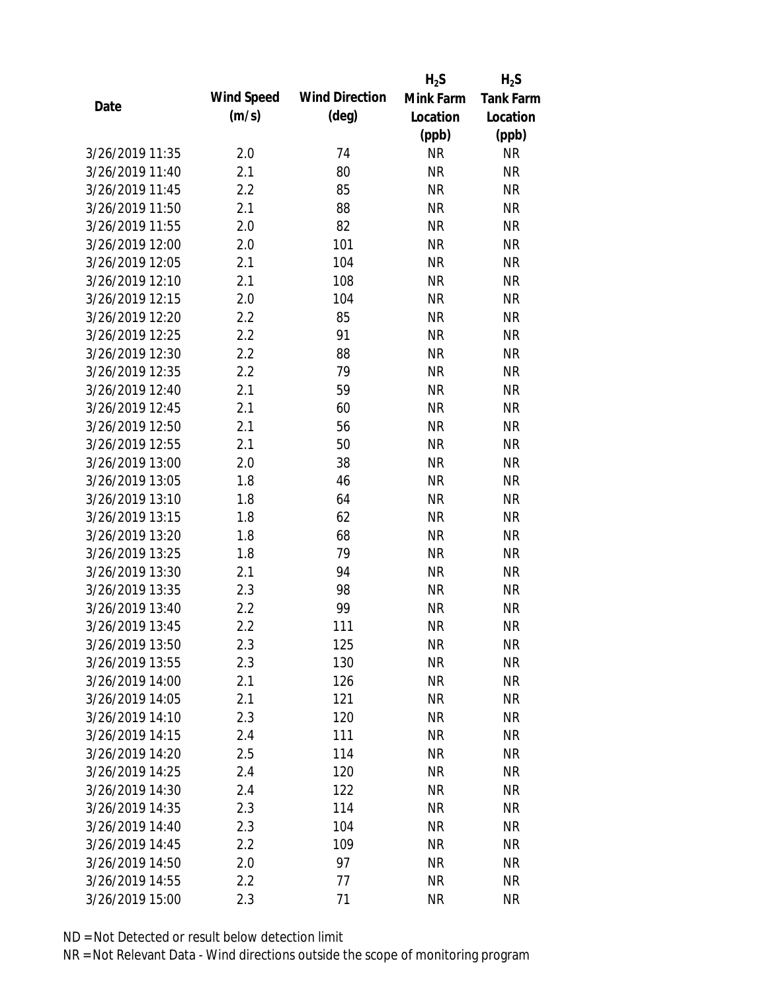|                 |            |                       | $H_2S$    | $H_2S$           |
|-----------------|------------|-----------------------|-----------|------------------|
| Date            | Wind Speed | <b>Wind Direction</b> | Mink Farm | <b>Tank Farm</b> |
|                 | (m/s)      | $(\text{deg})$        | Location  | Location         |
|                 |            |                       | (ppb)     | (ppb)            |
| 3/26/2019 11:35 | 2.0        | 74                    | <b>NR</b> | <b>NR</b>        |
| 3/26/2019 11:40 | 2.1        | 80                    | <b>NR</b> | <b>NR</b>        |
| 3/26/2019 11:45 | 2.2        | 85                    | <b>NR</b> | <b>NR</b>        |
| 3/26/2019 11:50 | 2.1        | 88                    | <b>NR</b> | <b>NR</b>        |
| 3/26/2019 11:55 | 2.0        | 82                    | <b>NR</b> | <b>NR</b>        |
| 3/26/2019 12:00 | 2.0        | 101                   | <b>NR</b> | <b>NR</b>        |
| 3/26/2019 12:05 | 2.1        | 104                   | <b>NR</b> | <b>NR</b>        |
| 3/26/2019 12:10 | 2.1        | 108                   | <b>NR</b> | <b>NR</b>        |
| 3/26/2019 12:15 | 2.0        | 104                   | <b>NR</b> | <b>NR</b>        |
| 3/26/2019 12:20 | 2.2        | 85                    | <b>NR</b> | <b>NR</b>        |
| 3/26/2019 12:25 | 2.2        | 91                    | <b>NR</b> | <b>NR</b>        |
| 3/26/2019 12:30 | 2.2        | 88                    | <b>NR</b> | <b>NR</b>        |
| 3/26/2019 12:35 | 2.2        | 79                    | <b>NR</b> | <b>NR</b>        |
| 3/26/2019 12:40 | 2.1        | 59                    | <b>NR</b> | <b>NR</b>        |
| 3/26/2019 12:45 | 2.1        | 60                    | <b>NR</b> | <b>NR</b>        |
| 3/26/2019 12:50 | 2.1        | 56                    | <b>NR</b> | <b>NR</b>        |
| 3/26/2019 12:55 | 2.1        | 50                    | <b>NR</b> | <b>NR</b>        |
| 3/26/2019 13:00 | 2.0        | 38                    | <b>NR</b> | <b>NR</b>        |
| 3/26/2019 13:05 | 1.8        | 46                    | <b>NR</b> | <b>NR</b>        |
| 3/26/2019 13:10 | 1.8        | 64                    | <b>NR</b> | <b>NR</b>        |
| 3/26/2019 13:15 | 1.8        | 62                    | <b>NR</b> | <b>NR</b>        |
| 3/26/2019 13:20 | 1.8        | 68                    | <b>NR</b> | <b>NR</b>        |
| 3/26/2019 13:25 | 1.8        | 79                    | <b>NR</b> | <b>NR</b>        |
| 3/26/2019 13:30 | 2.1        | 94                    | <b>NR</b> | <b>NR</b>        |
| 3/26/2019 13:35 | 2.3        | 98                    | <b>NR</b> | <b>NR</b>        |
| 3/26/2019 13:40 | 2.2        | 99                    | <b>NR</b> | <b>NR</b>        |
| 3/26/2019 13:45 | 2.2        | 111                   | <b>NR</b> | <b>NR</b>        |
| 3/26/2019 13:50 | 2.3        | 125                   | <b>NR</b> | <b>NR</b>        |
| 3/26/2019 13:55 | 2.3        | 130                   | <b>NR</b> | <b>NR</b>        |
| 3/26/2019 14:00 | 2.1        | 126                   | <b>NR</b> | <b>NR</b>        |
| 3/26/2019 14:05 | 2.1        | 121                   | <b>NR</b> | <b>NR</b>        |
| 3/26/2019 14:10 | 2.3        | 120                   | <b>NR</b> | <b>NR</b>        |
| 3/26/2019 14:15 | 2.4        | 111                   | <b>NR</b> | <b>NR</b>        |
| 3/26/2019 14:20 | 2.5        | 114                   | <b>NR</b> | <b>NR</b>        |
| 3/26/2019 14:25 | 2.4        | 120                   | <b>NR</b> | NR               |
| 3/26/2019 14:30 | 2.4        | 122                   | <b>NR</b> | <b>NR</b>        |
| 3/26/2019 14:35 | 2.3        | 114                   | <b>NR</b> | <b>NR</b>        |
| 3/26/2019 14:40 | 2.3        | 104                   | NR        | <b>NR</b>        |
| 3/26/2019 14:45 | 2.2        | 109                   | <b>NR</b> | NR               |
| 3/26/2019 14:50 | 2.0        | 97                    | <b>NR</b> | NR               |
| 3/26/2019 14:55 | 2.2        | 77                    | <b>NR</b> | <b>NR</b>        |
| 3/26/2019 15:00 | 2.3        | 71                    | <b>NR</b> | <b>NR</b>        |
|                 |            |                       |           |                  |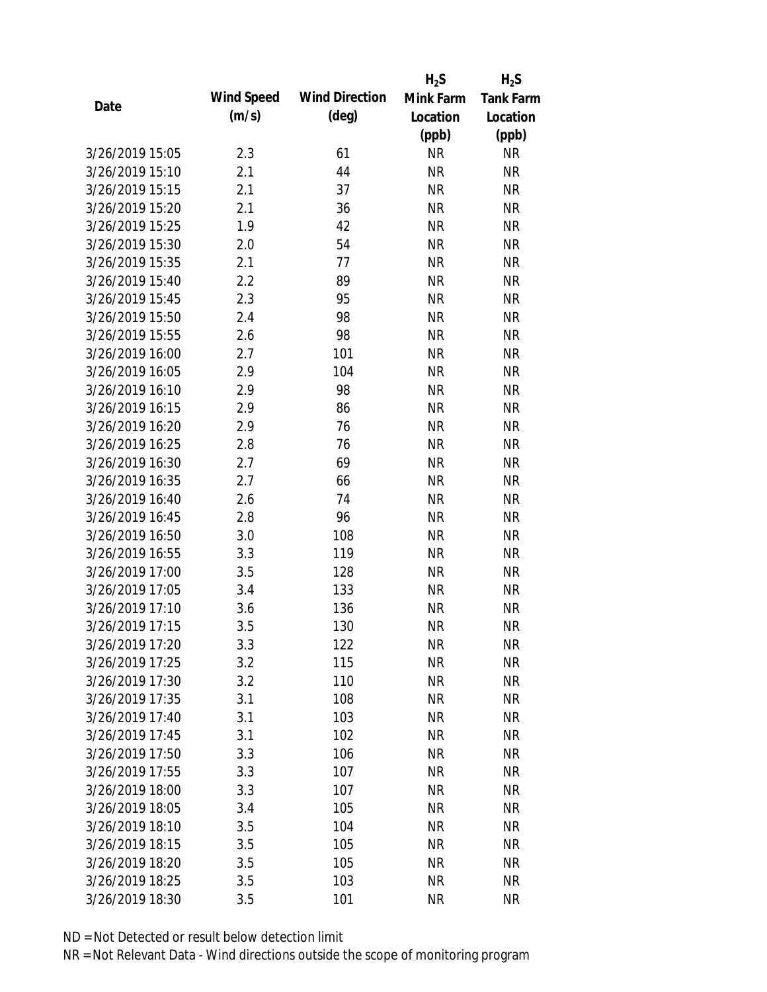|                 |            |                       | $H_2S$    | $H_2S$           |
|-----------------|------------|-----------------------|-----------|------------------|
| Date            | Wind Speed | <b>Wind Direction</b> | Mink Farm | <b>Tank Farm</b> |
|                 | (m/s)      | $(\text{deg})$        | Location  | Location         |
|                 |            |                       | (ppb)     | (ppb)            |
| 3/26/2019 15:05 | 2.3        | 61                    | <b>NR</b> | <b>NR</b>        |
| 3/26/2019 15:10 | 2.1        | 44                    | <b>NR</b> | <b>NR</b>        |
| 3/26/2019 15:15 | 2.1        | 37                    | <b>NR</b> | <b>NR</b>        |
| 3/26/2019 15:20 | 2.1        | 36                    | <b>NR</b> | <b>NR</b>        |
| 3/26/2019 15:25 | 1.9        | 42                    | <b>NR</b> | <b>NR</b>        |
| 3/26/2019 15:30 | 2.0        | 54                    | <b>NR</b> | <b>NR</b>        |
| 3/26/2019 15:35 | 2.1        | 77                    | <b>NR</b> | <b>NR</b>        |
| 3/26/2019 15:40 | 2.2        | 89                    | <b>NR</b> | <b>NR</b>        |
| 3/26/2019 15:45 | 2.3        | 95                    | <b>NR</b> | <b>NR</b>        |
| 3/26/2019 15:50 | 2.4        | 98                    | <b>NR</b> | <b>NR</b>        |
| 3/26/2019 15:55 | 2.6        | 98                    | <b>NR</b> | <b>NR</b>        |
| 3/26/2019 16:00 | 2.7        | 101                   | <b>NR</b> | <b>NR</b>        |
| 3/26/2019 16:05 | 2.9        | 104                   | <b>NR</b> | <b>NR</b>        |
| 3/26/2019 16:10 | 2.9        | 98                    | <b>NR</b> | <b>NR</b>        |
| 3/26/2019 16:15 | 2.9        | 86                    | <b>NR</b> | <b>NR</b>        |
| 3/26/2019 16:20 | 2.9        | 76                    | <b>NR</b> | <b>NR</b>        |
| 3/26/2019 16:25 | 2.8        | 76                    | <b>NR</b> | <b>NR</b>        |
| 3/26/2019 16:30 | 2.7        | 69                    | <b>NR</b> | <b>NR</b>        |
| 3/26/2019 16:35 | 2.7        | 66                    | <b>NR</b> | <b>NR</b>        |
| 3/26/2019 16:40 | 2.6        | 74                    | <b>NR</b> | <b>NR</b>        |
| 3/26/2019 16:45 | 2.8        | 96                    | <b>NR</b> | <b>NR</b>        |
| 3/26/2019 16:50 | 3.0        | 108                   | <b>NR</b> | <b>NR</b>        |
| 3/26/2019 16:55 | 3.3        | 119                   | <b>NR</b> | <b>NR</b>        |
| 3/26/2019 17:00 | 3.5        | 128                   | <b>NR</b> | <b>NR</b>        |
| 3/26/2019 17:05 | 3.4        | 133                   | <b>NR</b> | <b>NR</b>        |
| 3/26/2019 17:10 | 3.6        | 136                   | <b>NR</b> | <b>NR</b>        |
| 3/26/2019 17:15 | 3.5        | 130                   | <b>NR</b> | <b>NR</b>        |
| 3/26/2019 17:20 | 3.3        | 122                   | <b>NR</b> | <b>NR</b>        |
| 3/26/2019 17:25 | 3.2        | 115                   | <b>NR</b> | <b>NR</b>        |
| 3/26/2019 17:30 | 3.2        | 110                   | <b>NR</b> | <b>NR</b>        |
| 3/26/2019 17:35 | 3.1        | 108                   | <b>NR</b> | <b>NR</b>        |
| 3/26/2019 17:40 | 3.1        | 103                   | <b>NR</b> | <b>NR</b>        |
| 3/26/2019 17:45 | 3.1        | 102                   | <b>NR</b> | <b>NR</b>        |
| 3/26/2019 17:50 | 3.3        | 106                   | <b>NR</b> | <b>NR</b>        |
| 3/26/2019 17:55 | 3.3        | 107                   | <b>NR</b> | NR               |
| 3/26/2019 18:00 | 3.3        | 107                   | <b>NR</b> | <b>NR</b>        |
| 3/26/2019 18:05 | 3.4        | 105                   | <b>NR</b> | <b>NR</b>        |
| 3/26/2019 18:10 | 3.5        | 104                   | NR        | <b>NR</b>        |
| 3/26/2019 18:15 | 3.5        | 105                   | <b>NR</b> | <b>NR</b>        |
| 3/26/2019 18:20 | 3.5        | 105                   | <b>NR</b> | NR               |
| 3/26/2019 18:25 | 3.5        | 103                   | <b>NR</b> | <b>NR</b>        |
|                 |            |                       | <b>NR</b> | <b>NR</b>        |
| 3/26/2019 18:30 | 3.5        | 101                   |           |                  |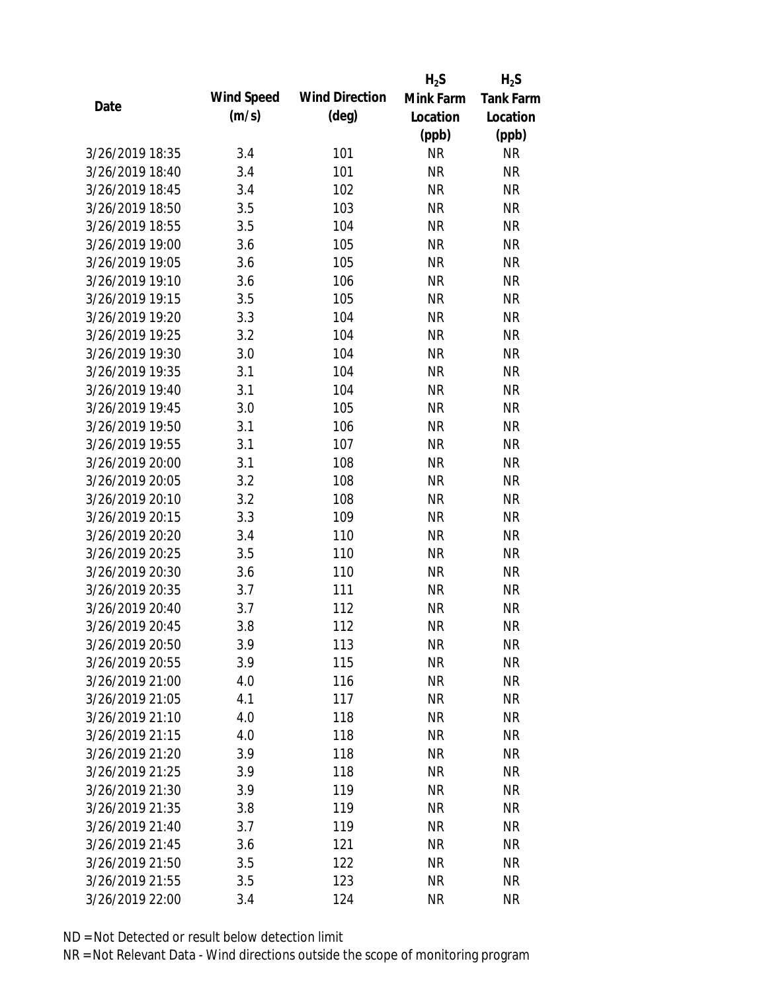|                 |            |                       | $H_2S$    | $H_2S$           |
|-----------------|------------|-----------------------|-----------|------------------|
| Date            | Wind Speed | <b>Wind Direction</b> | Mink Farm | <b>Tank Farm</b> |
|                 | (m/s)      | $(\text{deg})$        | Location  | Location         |
|                 |            |                       | (ppb)     | (ppb)            |
| 3/26/2019 18:35 | 3.4        | 101                   | <b>NR</b> | <b>NR</b>        |
| 3/26/2019 18:40 | 3.4        | 101                   | <b>NR</b> | <b>NR</b>        |
| 3/26/2019 18:45 | 3.4        | 102                   | <b>NR</b> | <b>NR</b>        |
| 3/26/2019 18:50 | 3.5        | 103                   | <b>NR</b> | <b>NR</b>        |
| 3/26/2019 18:55 | 3.5        | 104                   | <b>NR</b> | <b>NR</b>        |
| 3/26/2019 19:00 | 3.6        | 105                   | <b>NR</b> | <b>NR</b>        |
| 3/26/2019 19:05 | 3.6        | 105                   | <b>NR</b> | <b>NR</b>        |
| 3/26/2019 19:10 | 3.6        | 106                   | <b>NR</b> | <b>NR</b>        |
| 3/26/2019 19:15 | 3.5        | 105                   | <b>NR</b> | <b>NR</b>        |
| 3/26/2019 19:20 | 3.3        | 104                   | <b>NR</b> | <b>NR</b>        |
| 3/26/2019 19:25 | 3.2        | 104                   | <b>NR</b> | <b>NR</b>        |
| 3/26/2019 19:30 | 3.0        | 104                   | <b>NR</b> | <b>NR</b>        |
| 3/26/2019 19:35 | 3.1        | 104                   | <b>NR</b> | <b>NR</b>        |
| 3/26/2019 19:40 | 3.1        | 104                   | <b>NR</b> | <b>NR</b>        |
| 3/26/2019 19:45 | 3.0        | 105                   | <b>NR</b> | <b>NR</b>        |
| 3/26/2019 19:50 | 3.1        | 106                   | <b>NR</b> | <b>NR</b>        |
| 3/26/2019 19:55 | 3.1        | 107                   | <b>NR</b> | <b>NR</b>        |
| 3/26/2019 20:00 | 3.1        | 108                   | <b>NR</b> | <b>NR</b>        |
| 3/26/2019 20:05 | 3.2        | 108                   | <b>NR</b> | <b>NR</b>        |
| 3/26/2019 20:10 | 3.2        | 108                   | <b>NR</b> | <b>NR</b>        |
| 3/26/2019 20:15 | 3.3        | 109                   | <b>NR</b> | <b>NR</b>        |
| 3/26/2019 20:20 | 3.4        | 110                   | <b>NR</b> | <b>NR</b>        |
| 3/26/2019 20:25 | 3.5        | 110                   | <b>NR</b> | <b>NR</b>        |
| 3/26/2019 20:30 | 3.6        | 110                   | <b>NR</b> | <b>NR</b>        |
| 3/26/2019 20:35 | 3.7        | 111                   | <b>NR</b> | <b>NR</b>        |
| 3/26/2019 20:40 | 3.7        | 112                   | <b>NR</b> | <b>NR</b>        |
| 3/26/2019 20:45 | 3.8        | 112                   | <b>NR</b> | <b>NR</b>        |
| 3/26/2019 20:50 | 3.9        | 113                   | <b>NR</b> | <b>NR</b>        |
| 3/26/2019 20:55 | 3.9        | 115                   | <b>NR</b> | <b>NR</b>        |
| 3/26/2019 21:00 | 4.0        | 116                   | <b>NR</b> | <b>NR</b>        |
| 3/26/2019 21:05 | 4.1        | 117                   | <b>NR</b> | <b>NR</b>        |
| 3/26/2019 21:10 | 4.0        | 118                   | <b>NR</b> | <b>NR</b>        |
| 3/26/2019 21:15 | 4.0        | 118                   | <b>NR</b> | <b>NR</b>        |
| 3/26/2019 21:20 | 3.9        | 118                   | <b>NR</b> | <b>NR</b>        |
| 3/26/2019 21:25 | 3.9        | 118                   | <b>NR</b> | <b>NR</b>        |
| 3/26/2019 21:30 | 3.9        | 119                   | <b>NR</b> | <b>NR</b>        |
| 3/26/2019 21:35 | 3.8        | 119                   | <b>NR</b> | <b>NR</b>        |
| 3/26/2019 21:40 | 3.7        | 119                   | NR        | <b>NR</b>        |
| 3/26/2019 21:45 | 3.6        | 121                   | <b>NR</b> | <b>NR</b>        |
| 3/26/2019 21:50 | 3.5        | 122                   | <b>NR</b> | <b>NR</b>        |
| 3/26/2019 21:55 | 3.5        | 123                   | <b>NR</b> | <b>NR</b>        |
| 3/26/2019 22:00 | 3.4        | 124                   | <b>NR</b> | <b>NR</b>        |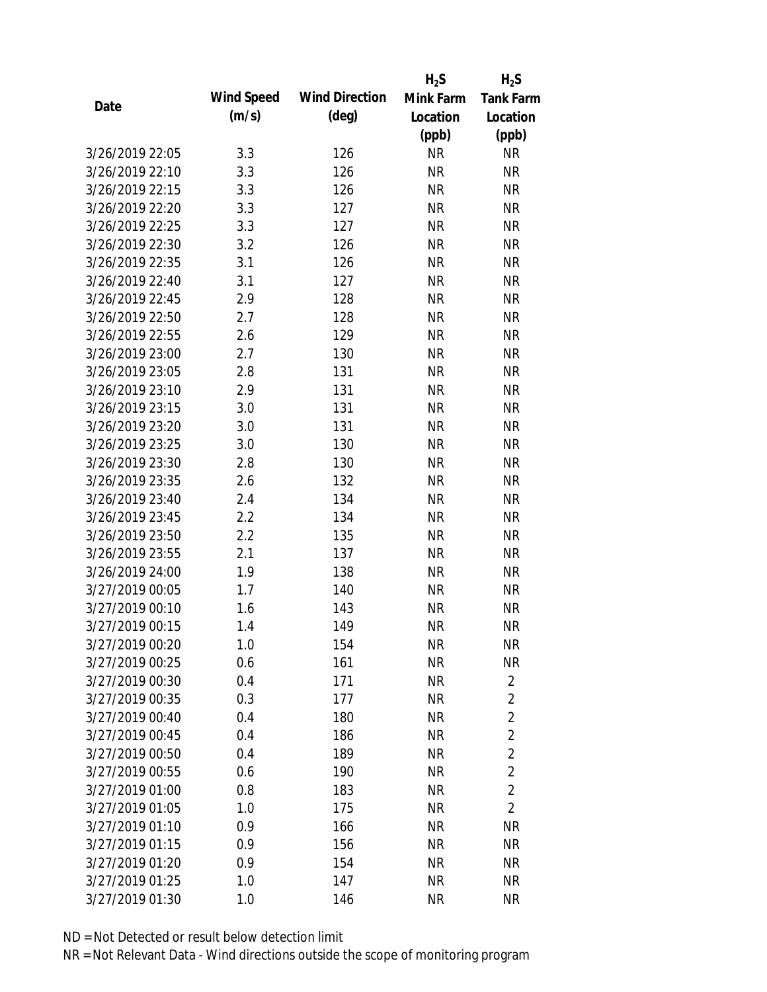|                                    |            |                       | $H_2S$    | $H_2S$           |
|------------------------------------|------------|-----------------------|-----------|------------------|
|                                    | Wind Speed | <b>Wind Direction</b> | Mink Farm | <b>Tank Farm</b> |
| Date                               | (m/s)      | $(\text{deg})$        | Location  | Location         |
|                                    |            |                       | (ppb)     | (ppb)            |
| 3/26/2019 22:05                    | 3.3        | 126                   | <b>NR</b> | <b>NR</b>        |
| 3/26/2019 22:10                    | 3.3        | 126                   | <b>NR</b> | <b>NR</b>        |
| 3/26/2019 22:15                    | 3.3        | 126                   | <b>NR</b> | <b>NR</b>        |
| 3/26/2019 22:20                    | 3.3        | 127                   | <b>NR</b> | <b>NR</b>        |
| 3/26/2019 22:25                    | 3.3        | 127                   | <b>NR</b> | <b>NR</b>        |
| 3/26/2019 22:30                    | 3.2        | 126                   | <b>NR</b> | <b>NR</b>        |
| 3/26/2019 22:35                    | 3.1        | 126                   | <b>NR</b> | <b>NR</b>        |
| 3/26/2019 22:40                    | 3.1        | 127                   | <b>NR</b> | <b>NR</b>        |
| 3/26/2019 22:45                    | 2.9        | 128                   | <b>NR</b> | <b>NR</b>        |
| 3/26/2019 22:50                    | 2.7        | 128                   | <b>NR</b> | <b>NR</b>        |
| 3/26/2019 22:55                    | 2.6        | 129                   | <b>NR</b> | <b>NR</b>        |
| 3/26/2019 23:00                    | 2.7        | 130                   | <b>NR</b> | <b>NR</b>        |
| 3/26/2019 23:05                    | 2.8        | 131                   | <b>NR</b> | <b>NR</b>        |
| 3/26/2019 23:10                    | 2.9        | 131                   | <b>NR</b> | <b>NR</b>        |
| 3/26/2019 23:15                    | 3.0        | 131                   | <b>NR</b> | <b>NR</b>        |
| 3/26/2019 23:20                    | 3.0        | 131                   | <b>NR</b> | <b>NR</b>        |
| 3/26/2019 23:25                    | 3.0        | 130                   | <b>NR</b> | <b>NR</b>        |
| 3/26/2019 23:30                    | 2.8        | 130                   | <b>NR</b> | <b>NR</b>        |
| 3/26/2019 23:35                    | 2.6        | 132                   | <b>NR</b> | <b>NR</b>        |
| 3/26/2019 23:40                    | 2.4        | 134                   | <b>NR</b> | <b>NR</b>        |
| 3/26/2019 23:45                    | 2.2        | 134                   | <b>NR</b> | <b>NR</b>        |
| 3/26/2019 23:50                    | 2.2        | 135                   | <b>NR</b> | <b>NR</b>        |
| 3/26/2019 23:55                    | 2.1        | 137                   | <b>NR</b> | <b>NR</b>        |
| 3/26/2019 24:00                    | 1.9        | 138                   | <b>NR</b> | <b>NR</b>        |
| 3/27/2019 00:05                    | 1.7        | 140                   | <b>NR</b> | <b>NR</b>        |
| 3/27/2019 00:10                    | 1.6        | 143                   | <b>NR</b> | <b>NR</b>        |
| 3/27/2019 00:15                    | 1.4        | 149                   | <b>NR</b> | <b>NR</b>        |
| 3/27/2019 00:20                    | 1.0        | 154                   | <b>NR</b> | <b>NR</b>        |
| 3/27/2019 00:25                    | 0.6        | 161                   | <b>NR</b> | <b>NR</b>        |
| 3/27/2019 00:30                    | 0.4        | 171                   | <b>NR</b> | $\overline{2}$   |
| 3/27/2019 00:35                    | 0.3        | 177                   | <b>NR</b> | $\overline{2}$   |
| 3/27/2019 00:40                    | 0.4        | 180                   | <b>NR</b> | $\overline{2}$   |
| 3/27/2019 00:45                    | 0.4        | 186                   | <b>NR</b> | $\overline{2}$   |
| 3/27/2019 00:50                    | 0.4        | 189                   | <b>NR</b> | $\overline{2}$   |
| 3/27/2019 00:55                    | 0.6        | 190                   | <b>NR</b> | $\overline{2}$   |
| 3/27/2019 01:00                    | 0.8        |                       | <b>NR</b> | $\overline{2}$   |
|                                    |            | 183                   |           | $\overline{2}$   |
| 3/27/2019 01:05<br>3/27/2019 01:10 | 1.0        | 175                   | <b>NR</b> |                  |
|                                    | 0.9        | 166                   | <b>NR</b> | <b>NR</b>        |
| 3/27/2019 01:15                    | 0.9        | 156                   | <b>NR</b> | <b>NR</b>        |
| 3/27/2019 01:20                    | 0.9        | 154                   | <b>NR</b> | NR               |
| 3/27/2019 01:25                    | 1.0        | 147                   | <b>NR</b> | <b>NR</b>        |
| 3/27/2019 01:30                    | 1.0        | 146                   | <b>NR</b> | <b>NR</b>        |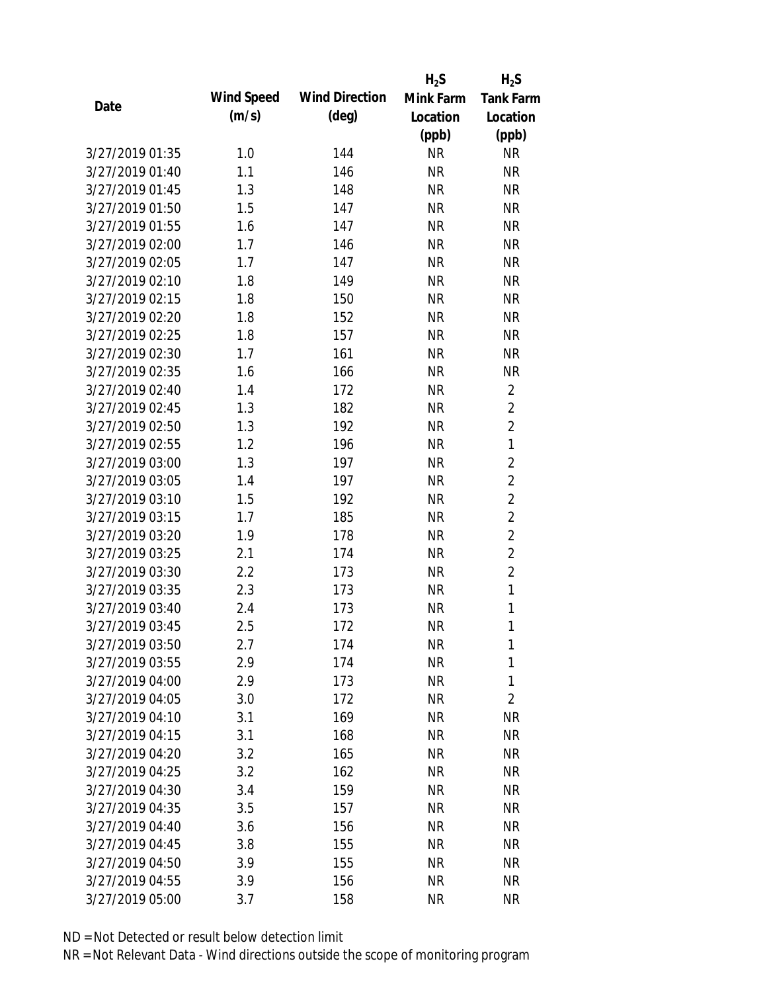|                 |            |                       | $H_2S$    | $H_2S$           |
|-----------------|------------|-----------------------|-----------|------------------|
| Date            | Wind Speed | <b>Wind Direction</b> | Mink Farm | <b>Tank Farm</b> |
|                 | (m/s)      | $(\text{deg})$        | Location  | Location         |
|                 |            |                       | (ppb)     | (ppb)            |
| 3/27/2019 01:35 | 1.0        | 144                   | <b>NR</b> | <b>NR</b>        |
| 3/27/2019 01:40 | 1.1        | 146                   | <b>NR</b> | <b>NR</b>        |
| 3/27/2019 01:45 | 1.3        | 148                   | <b>NR</b> | <b>NR</b>        |
| 3/27/2019 01:50 | 1.5        | 147                   | <b>NR</b> | <b>NR</b>        |
| 3/27/2019 01:55 | 1.6        | 147                   | <b>NR</b> | <b>NR</b>        |
| 3/27/2019 02:00 | 1.7        | 146                   | <b>NR</b> | <b>NR</b>        |
| 3/27/2019 02:05 | 1.7        | 147                   | <b>NR</b> | <b>NR</b>        |
| 3/27/2019 02:10 | 1.8        | 149                   | <b>NR</b> | <b>NR</b>        |
| 3/27/2019 02:15 | 1.8        | 150                   | <b>NR</b> | <b>NR</b>        |
| 3/27/2019 02:20 | 1.8        | 152                   | <b>NR</b> | <b>NR</b>        |
| 3/27/2019 02:25 | 1.8        | 157                   | <b>NR</b> | <b>NR</b>        |
| 3/27/2019 02:30 | 1.7        | 161                   | <b>NR</b> | <b>NR</b>        |
| 3/27/2019 02:35 | 1.6        | 166                   | <b>NR</b> | <b>NR</b>        |
| 3/27/2019 02:40 | 1.4        | 172                   | <b>NR</b> | $\overline{2}$   |
| 3/27/2019 02:45 | 1.3        | 182                   | <b>NR</b> | $\overline{2}$   |
| 3/27/2019 02:50 | 1.3        | 192                   | <b>NR</b> | $\overline{2}$   |
| 3/27/2019 02:55 | 1.2        | 196                   | <b>NR</b> | 1                |
| 3/27/2019 03:00 | 1.3        | 197                   | <b>NR</b> | $\overline{2}$   |
| 3/27/2019 03:05 | 1.4        | 197                   | <b>NR</b> | $\overline{2}$   |
| 3/27/2019 03:10 | 1.5        | 192                   | <b>NR</b> | $\overline{2}$   |
| 3/27/2019 03:15 | 1.7        | 185                   | <b>NR</b> | $\overline{2}$   |
| 3/27/2019 03:20 | 1.9        | 178                   | <b>NR</b> | $\overline{2}$   |
| 3/27/2019 03:25 | 2.1        | 174                   | <b>NR</b> | $\overline{2}$   |
| 3/27/2019 03:30 | 2.2        | 173                   | <b>NR</b> | $\overline{2}$   |
| 3/27/2019 03:35 | 2.3        | 173                   | <b>NR</b> | 1                |
| 3/27/2019 03:40 | 2.4        | 173                   | <b>NR</b> | 1                |
| 3/27/2019 03:45 | 2.5        | 172                   | <b>NR</b> | 1                |
| 3/27/2019 03:50 | 2.7        | 174                   | <b>NR</b> | 1                |
| 3/27/2019 03:55 | 2.9        | 174                   | <b>NR</b> | 1                |
| 3/27/2019 04:00 | 2.9        | 173                   | <b>NR</b> | 1                |
| 3/27/2019 04:05 | 3.0        | 172                   | <b>NR</b> | $\overline{2}$   |
| 3/27/2019 04:10 | 3.1        | 169                   | <b>NR</b> | <b>NR</b>        |
| 3/27/2019 04:15 | 3.1        | 168                   | <b>NR</b> | <b>NR</b>        |
| 3/27/2019 04:20 | 3.2        | 165                   | <b>NR</b> | <b>NR</b>        |
| 3/27/2019 04:25 | 3.2        | 162                   | <b>NR</b> | NR               |
| 3/27/2019 04:30 | 3.4        | 159                   | <b>NR</b> | <b>NR</b>        |
| 3/27/2019 04:35 | 3.5        | 157                   | <b>NR</b> | <b>NR</b>        |
| 3/27/2019 04:40 | 3.6        | 156                   | NR        | <b>NR</b>        |
| 3/27/2019 04:45 | 3.8        | 155                   | <b>NR</b> | <b>NR</b>        |
| 3/27/2019 04:50 | 3.9        | 155                   | <b>NR</b> | NR               |
| 3/27/2019 04:55 | 3.9        | 156                   | <b>NR</b> | <b>NR</b>        |
| 3/27/2019 05:00 | 3.7        | 158                   | <b>NR</b> | <b>NR</b>        |
|                 |            |                       |           |                  |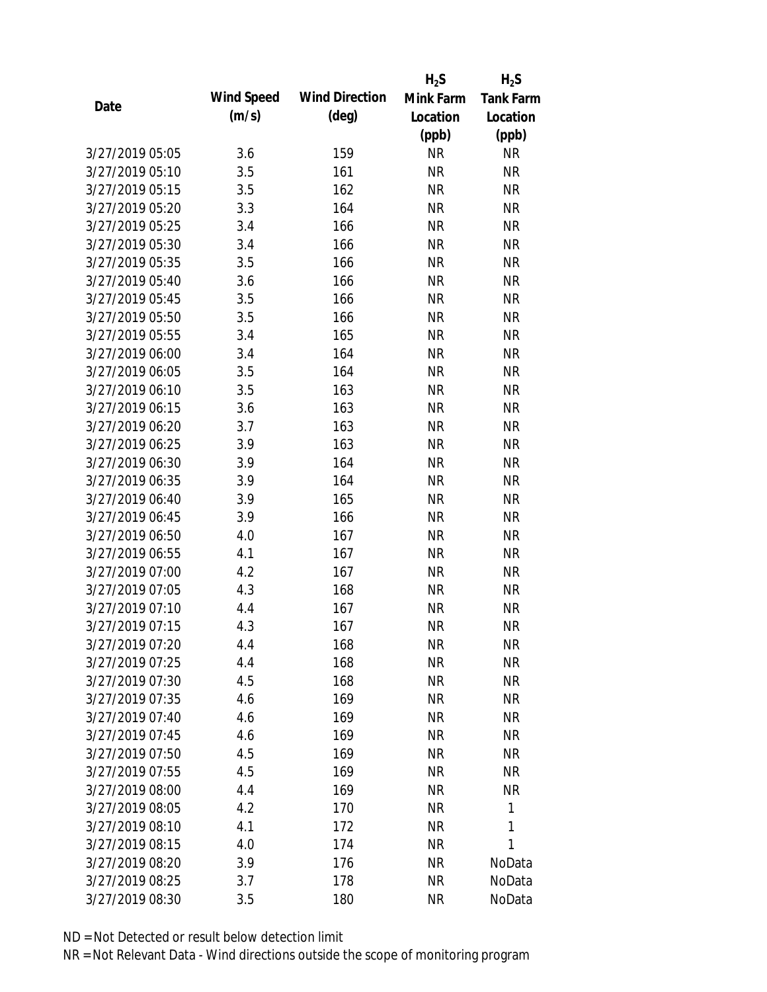|                 |            |                       | $H_2S$    | $H_2S$           |
|-----------------|------------|-----------------------|-----------|------------------|
| Date            | Wind Speed | <b>Wind Direction</b> | Mink Farm | <b>Tank Farm</b> |
|                 | (m/s)      | $(\text{deg})$        | Location  | Location         |
|                 |            |                       | (ppb)     | (ppb)            |
| 3/27/2019 05:05 | 3.6        | 159                   | <b>NR</b> | <b>NR</b>        |
| 3/27/2019 05:10 | 3.5        | 161                   | <b>NR</b> | <b>NR</b>        |
| 3/27/2019 05:15 | 3.5        | 162                   | <b>NR</b> | <b>NR</b>        |
| 3/27/2019 05:20 | 3.3        | 164                   | <b>NR</b> | <b>NR</b>        |
| 3/27/2019 05:25 | 3.4        | 166                   | <b>NR</b> | <b>NR</b>        |
| 3/27/2019 05:30 | 3.4        | 166                   | <b>NR</b> | <b>NR</b>        |
| 3/27/2019 05:35 | 3.5        | 166                   | <b>NR</b> | <b>NR</b>        |
| 3/27/2019 05:40 | 3.6        | 166                   | <b>NR</b> | <b>NR</b>        |
| 3/27/2019 05:45 | 3.5        | 166                   | <b>NR</b> | <b>NR</b>        |
| 3/27/2019 05:50 | 3.5        | 166                   | <b>NR</b> | <b>NR</b>        |
| 3/27/2019 05:55 | 3.4        | 165                   | <b>NR</b> | <b>NR</b>        |
| 3/27/2019 06:00 | 3.4        | 164                   | <b>NR</b> | <b>NR</b>        |
| 3/27/2019 06:05 | 3.5        | 164                   | <b>NR</b> | <b>NR</b>        |
| 3/27/2019 06:10 | 3.5        | 163                   | <b>NR</b> | <b>NR</b>        |
| 3/27/2019 06:15 | 3.6        | 163                   | <b>NR</b> | <b>NR</b>        |
| 3/27/2019 06:20 | 3.7        | 163                   | <b>NR</b> | <b>NR</b>        |
| 3/27/2019 06:25 | 3.9        | 163                   | <b>NR</b> | <b>NR</b>        |
| 3/27/2019 06:30 | 3.9        | 164                   | <b>NR</b> | <b>NR</b>        |
| 3/27/2019 06:35 | 3.9        | 164                   | <b>NR</b> | <b>NR</b>        |
| 3/27/2019 06:40 | 3.9        | 165                   | <b>NR</b> | <b>NR</b>        |
| 3/27/2019 06:45 | 3.9        | 166                   | <b>NR</b> | <b>NR</b>        |
| 3/27/2019 06:50 | 4.0        | 167                   | <b>NR</b> | <b>NR</b>        |
| 3/27/2019 06:55 | 4.1        | 167                   | <b>NR</b> | <b>NR</b>        |
| 3/27/2019 07:00 | 4.2        | 167                   | <b>NR</b> | <b>NR</b>        |
| 3/27/2019 07:05 | 4.3        | 168                   | <b>NR</b> | <b>NR</b>        |
| 3/27/2019 07:10 | 4.4        | 167                   | <b>NR</b> | <b>NR</b>        |
| 3/27/2019 07:15 | 4.3        | 167                   | <b>NR</b> | <b>NR</b>        |
| 3/27/2019 07:20 | 4.4        | 168                   | <b>NR</b> | <b>NR</b>        |
| 3/27/2019 07:25 | 4.4        | 168                   | <b>NR</b> | <b>NR</b>        |
| 3/27/2019 07:30 | 4.5        | 168                   | <b>NR</b> | <b>NR</b>        |
| 3/27/2019 07:35 | 4.6        | 169                   | <b>NR</b> | <b>NR</b>        |
| 3/27/2019 07:40 | 4.6        | 169                   | <b>NR</b> | <b>NR</b>        |
| 3/27/2019 07:45 | 4.6        | 169                   | <b>NR</b> | <b>NR</b>        |
| 3/27/2019 07:50 | 4.5        | 169                   | <b>NR</b> | <b>NR</b>        |
| 3/27/2019 07:55 | 4.5        | 169                   | NR        | <b>NR</b>        |
| 3/27/2019 08:00 | 4.4        | 169                   | <b>NR</b> | <b>NR</b>        |
| 3/27/2019 08:05 | 4.2        | 170                   | <b>NR</b> | 1                |
| 3/27/2019 08:10 | 4.1        | 172                   | <b>NR</b> | 1                |
| 3/27/2019 08:15 | 4.0        | 174                   | <b>NR</b> | 1                |
| 3/27/2019 08:20 | 3.9        | 176                   | <b>NR</b> | NoData           |
| 3/27/2019 08:25 | 3.7        | 178                   | <b>NR</b> | NoData           |
| 3/27/2019 08:30 | 3.5        | 180                   | <b>NR</b> | NoData           |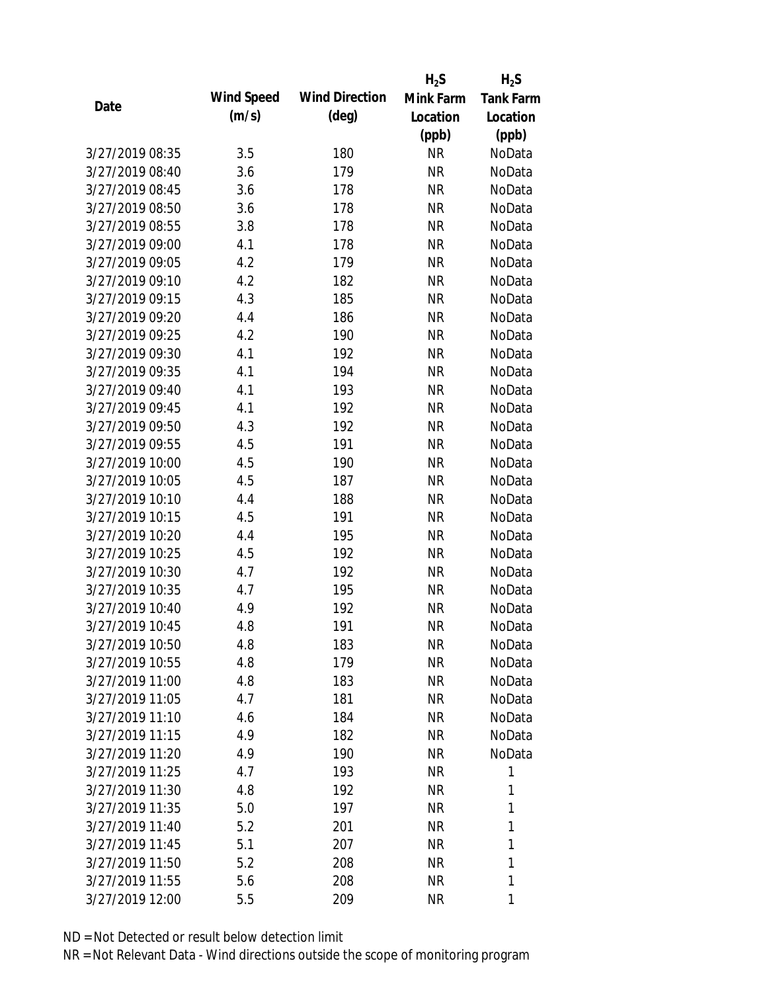|                 |            |                       | $H_2S$    | $H_2S$           |
|-----------------|------------|-----------------------|-----------|------------------|
|                 | Wind Speed | <b>Wind Direction</b> | Mink Farm | <b>Tank Farm</b> |
| Date            | (m/s)      | $(\text{deg})$        | Location  | Location         |
|                 |            |                       | (ppb)     | (ppb)            |
| 3/27/2019 08:35 | 3.5        | 180                   | <b>NR</b> | NoData           |
| 3/27/2019 08:40 | 3.6        | 179                   | <b>NR</b> | NoData           |
| 3/27/2019 08:45 | 3.6        | 178                   | <b>NR</b> | NoData           |
| 3/27/2019 08:50 | 3.6        | 178                   | <b>NR</b> | NoData           |
| 3/27/2019 08:55 | 3.8        | 178                   | <b>NR</b> | NoData           |
| 3/27/2019 09:00 | 4.1        | 178                   | <b>NR</b> | NoData           |
| 3/27/2019 09:05 | 4.2        | 179                   | <b>NR</b> | NoData           |
| 3/27/2019 09:10 | 4.2        | 182                   | <b>NR</b> | NoData           |
| 3/27/2019 09:15 | 4.3        | 185                   | <b>NR</b> | NoData           |
| 3/27/2019 09:20 | 4.4        | 186                   | <b>NR</b> | NoData           |
| 3/27/2019 09:25 | 4.2        | 190                   | <b>NR</b> | NoData           |
| 3/27/2019 09:30 | 4.1        | 192                   | <b>NR</b> | NoData           |
| 3/27/2019 09:35 | 4.1        | 194                   | <b>NR</b> | NoData           |
| 3/27/2019 09:40 | 4.1        | 193                   | <b>NR</b> | NoData           |
| 3/27/2019 09:45 | 4.1        | 192                   | <b>NR</b> | NoData           |
| 3/27/2019 09:50 | 4.3        | 192                   | <b>NR</b> | NoData           |
| 3/27/2019 09:55 | 4.5        | 191                   | <b>NR</b> | NoData           |
| 3/27/2019 10:00 | 4.5        | 190                   | <b>NR</b> | NoData           |
| 3/27/2019 10:05 | 4.5        | 187                   | <b>NR</b> | NoData           |
| 3/27/2019 10:10 | 4.4        | 188                   | <b>NR</b> | NoData           |
| 3/27/2019 10:15 | 4.5        | 191                   | <b>NR</b> | NoData           |
| 3/27/2019 10:20 | 4.4        | 195                   | <b>NR</b> | NoData           |
| 3/27/2019 10:25 | 4.5        | 192                   | <b>NR</b> | NoData           |
| 3/27/2019 10:30 | 4.7        | 192                   | <b>NR</b> | NoData           |
| 3/27/2019 10:35 | 4.7        | 195                   | <b>NR</b> | NoData           |
| 3/27/2019 10:40 | 4.9        | 192                   | <b>NR</b> | NoData           |
| 3/27/2019 10:45 | 4.8        | 191                   | <b>NR</b> | NoData           |
| 3/27/2019 10:50 | 4.8        | 183                   | <b>NR</b> | NoData           |
| 3/27/2019 10:55 | 4.8        | 179                   | <b>NR</b> | NoData           |
| 3/27/2019 11:00 | 4.8        | 183                   | <b>NR</b> | NoData           |
| 3/27/2019 11:05 | 4.7        | 181                   | <b>NR</b> | NoData           |
| 3/27/2019 11:10 | 4.6        | 184                   | <b>NR</b> | NoData           |
| 3/27/2019 11:15 | 4.9        | 182                   | <b>NR</b> | NoData           |
| 3/27/2019 11:20 | 4.9        | 190                   | <b>NR</b> | NoData           |
| 3/27/2019 11:25 | 4.7        | 193                   | <b>NR</b> | 1                |
| 3/27/2019 11:30 | 4.8        | 192                   | <b>NR</b> | 1                |
| 3/27/2019 11:35 | 5.0        | 197                   | <b>NR</b> | 1                |
|                 |            |                       |           |                  |
| 3/27/2019 11:40 | 5.2        | 201                   | <b>NR</b> | 1                |
| 3/27/2019 11:45 | 5.1        | 207                   | <b>NR</b> | 1                |
| 3/27/2019 11:50 | 5.2        | 208                   | <b>NR</b> | 1                |
| 3/27/2019 11:55 | 5.6        | 208                   | <b>NR</b> | 1                |
| 3/27/2019 12:00 | 5.5        | 209                   | <b>NR</b> | 1                |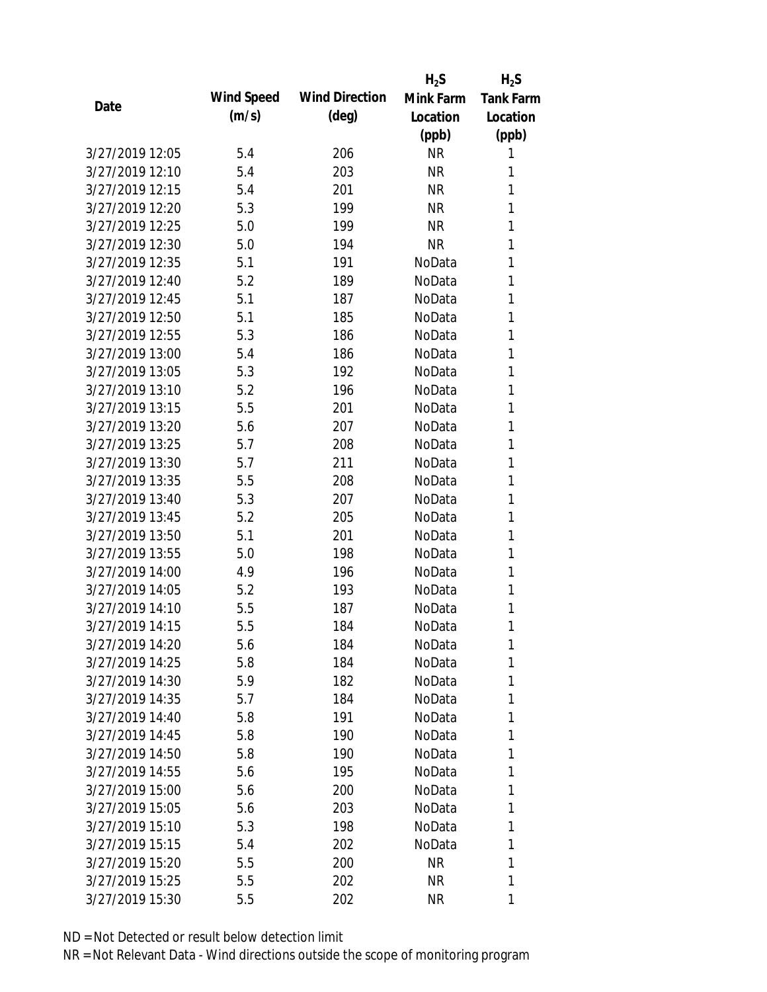|                 |            |                       | $H_2S$    | $H_2S$           |
|-----------------|------------|-----------------------|-----------|------------------|
|                 | Wind Speed | <b>Wind Direction</b> | Mink Farm | <b>Tank Farm</b> |
| Date            | (m/s)      | $(\text{deg})$        | Location  | Location         |
|                 |            |                       | (ppb)     | (ppb)            |
| 3/27/2019 12:05 | 5.4        | 206                   | <b>NR</b> | 1                |
| 3/27/2019 12:10 | 5.4        | 203                   | <b>NR</b> | 1                |
| 3/27/2019 12:15 | 5.4        | 201                   | <b>NR</b> | 1                |
| 3/27/2019 12:20 | 5.3        | 199                   | <b>NR</b> | 1                |
| 3/27/2019 12:25 | 5.0        | 199                   | <b>NR</b> | 1                |
| 3/27/2019 12:30 | 5.0        | 194                   | <b>NR</b> | 1                |
| 3/27/2019 12:35 | 5.1        | 191                   | NoData    | 1                |
| 3/27/2019 12:40 | 5.2        | 189                   | NoData    | 1                |
| 3/27/2019 12:45 | 5.1        | 187                   | NoData    | 1                |
| 3/27/2019 12:50 | 5.1        | 185                   | NoData    | 1                |
| 3/27/2019 12:55 | 5.3        | 186                   | NoData    | 1                |
| 3/27/2019 13:00 | 5.4        | 186                   | NoData    | 1                |
| 3/27/2019 13:05 | 5.3        | 192                   | NoData    | 1                |
| 3/27/2019 13:10 | 5.2        | 196                   | NoData    | 1                |
| 3/27/2019 13:15 | 5.5        | 201                   | NoData    | 1                |
| 3/27/2019 13:20 | 5.6        | 207                   | NoData    | 1                |
| 3/27/2019 13:25 | 5.7        | 208                   | NoData    | 1                |
| 3/27/2019 13:30 | 5.7        | 211                   | NoData    | 1                |
| 3/27/2019 13:35 | 5.5        | 208                   | NoData    | 1                |
| 3/27/2019 13:40 | 5.3        | 207                   | NoData    | 1                |
| 3/27/2019 13:45 | 5.2        | 205                   | NoData    | 1                |
| 3/27/2019 13:50 | 5.1        | 201                   | NoData    | 1                |
| 3/27/2019 13:55 | 5.0        | 198                   | NoData    | 1                |
| 3/27/2019 14:00 | 4.9        | 196                   | NoData    | 1                |
| 3/27/2019 14:05 | 5.2        | 193                   | NoData    | 1                |
| 3/27/2019 14:10 | 5.5        | 187                   | NoData    | 1                |
| 3/27/2019 14:15 | 5.5        | 184                   | NoData    | 1                |
| 3/27/2019 14:20 | 5.6        | 184                   | NoData    | 1                |
| 3/27/2019 14:25 | 5.8        | 184                   | NoData    | 1                |
| 3/27/2019 14:30 | 5.9        | 182                   | NoData    | 1                |
| 3/27/2019 14:35 | 5.7        | 184                   | NoData    | 1                |
| 3/27/2019 14:40 | 5.8        | 191                   | NoData    | 1                |
| 3/27/2019 14:45 | 5.8        | 190                   | NoData    | 1                |
| 3/27/2019 14:50 | 5.8        | 190                   | NoData    | 1                |
| 3/27/2019 14:55 | 5.6        | 195                   | NoData    | 1                |
| 3/27/2019 15:00 | 5.6        | 200                   | NoData    | 1                |
| 3/27/2019 15:05 | 5.6        | 203                   | NoData    | 1                |
| 3/27/2019 15:10 | 5.3        | 198                   | NoData    | 1                |
| 3/27/2019 15:15 | 5.4        | 202                   | NoData    | 1                |
| 3/27/2019 15:20 | 5.5        | 200                   | <b>NR</b> | 1                |
| 3/27/2019 15:25 | 5.5        | 202                   | <b>NR</b> | 1                |
|                 |            |                       | <b>NR</b> |                  |
| 3/27/2019 15:30 | 5.5        | 202                   |           | 1                |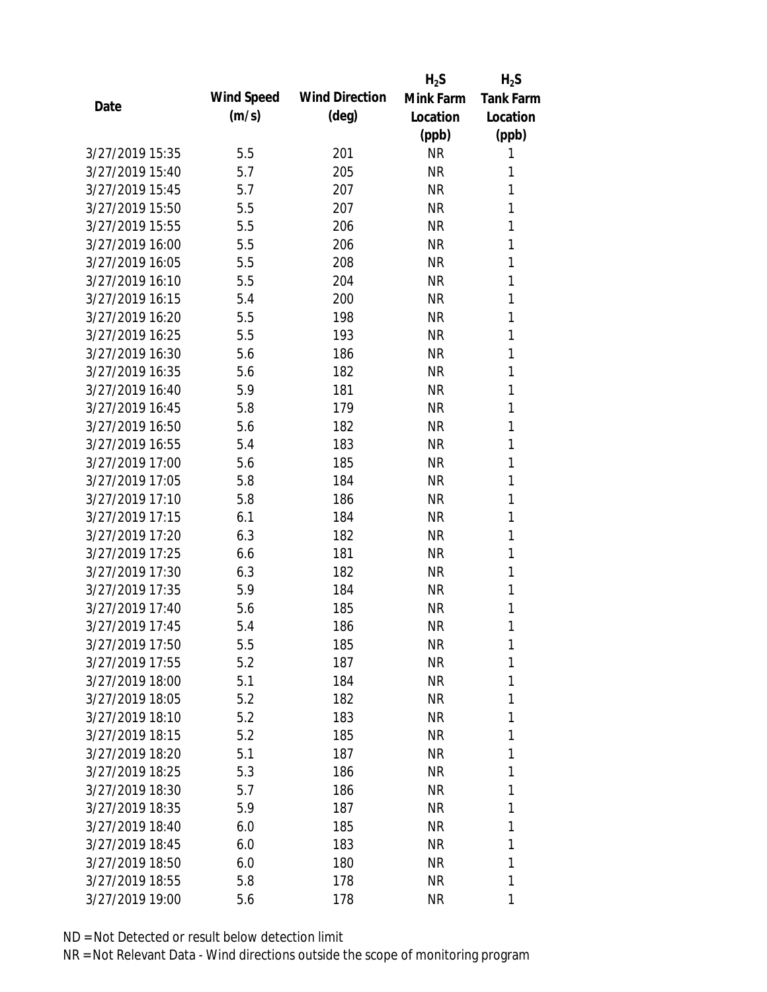|                 |            |                       | $H_2S$    | $H_2S$           |
|-----------------|------------|-----------------------|-----------|------------------|
| Date            | Wind Speed | <b>Wind Direction</b> | Mink Farm | <b>Tank Farm</b> |
|                 | (m/s)      | $(\text{deg})$        | Location  | Location         |
|                 |            |                       | (ppb)     | (ppb)            |
| 3/27/2019 15:35 | 5.5        | 201                   | <b>NR</b> | 1                |
| 3/27/2019 15:40 | 5.7        | 205                   | <b>NR</b> | 1                |
| 3/27/2019 15:45 | 5.7        | 207                   | <b>NR</b> | 1                |
| 3/27/2019 15:50 | 5.5        | 207                   | <b>NR</b> | 1                |
| 3/27/2019 15:55 | 5.5        | 206                   | <b>NR</b> | 1                |
| 3/27/2019 16:00 | 5.5        | 206                   | <b>NR</b> | 1                |
| 3/27/2019 16:05 | 5.5        | 208                   | <b>NR</b> | 1                |
| 3/27/2019 16:10 | 5.5        | 204                   | <b>NR</b> | 1                |
| 3/27/2019 16:15 | 5.4        | 200                   | <b>NR</b> | 1                |
| 3/27/2019 16:20 | 5.5        | 198                   | <b>NR</b> | 1                |
| 3/27/2019 16:25 | 5.5        | 193                   | <b>NR</b> | 1                |
| 3/27/2019 16:30 | 5.6        | 186                   | <b>NR</b> | 1                |
| 3/27/2019 16:35 | 5.6        | 182                   | <b>NR</b> | 1                |
| 3/27/2019 16:40 | 5.9        | 181                   | <b>NR</b> | 1                |
| 3/27/2019 16:45 | 5.8        | 179                   | <b>NR</b> | 1                |
| 3/27/2019 16:50 | 5.6        | 182                   | <b>NR</b> | 1                |
| 3/27/2019 16:55 | 5.4        | 183                   | <b>NR</b> | 1                |
| 3/27/2019 17:00 | 5.6        | 185                   | <b>NR</b> | 1                |
| 3/27/2019 17:05 | 5.8        | 184                   | <b>NR</b> | 1                |
| 3/27/2019 17:10 | 5.8        | 186                   | <b>NR</b> | 1                |
| 3/27/2019 17:15 | 6.1        | 184                   | <b>NR</b> | 1                |
| 3/27/2019 17:20 | 6.3        | 182                   | <b>NR</b> | 1                |
| 3/27/2019 17:25 | 6.6        | 181                   | <b>NR</b> | 1                |
| 3/27/2019 17:30 | 6.3        | 182                   | <b>NR</b> | 1                |
| 3/27/2019 17:35 | 5.9        | 184                   | <b>NR</b> | 1                |
| 3/27/2019 17:40 | 5.6        | 185                   | <b>NR</b> | 1                |
| 3/27/2019 17:45 | 5.4        | 186                   | <b>NR</b> | 1                |
| 3/27/2019 17:50 | 5.5        | 185                   | <b>NR</b> | 1                |
| 3/27/2019 17:55 | 5.2        | 187                   | <b>NR</b> | 1                |
| 3/27/2019 18:00 | 5.1        | 184                   | <b>NR</b> | 1                |
| 3/27/2019 18:05 | 5.2        | 182                   | NR        | 1                |
| 3/27/2019 18:10 | 5.2        | 183                   | <b>NR</b> | 1                |
| 3/27/2019 18:15 | 5.2        | 185                   | NR        | 1                |
| 3/27/2019 18:20 | 5.1        | 187                   | <b>NR</b> | 1                |
| 3/27/2019 18:25 | 5.3        | 186                   | <b>NR</b> | 1                |
| 3/27/2019 18:30 | 5.7        | 186                   | NR        | 1                |
| 3/27/2019 18:35 | 5.9        | 187                   | NR        | 1                |
| 3/27/2019 18:40 | 6.0        | 185                   | NR        | 1                |
| 3/27/2019 18:45 | 6.0        | 183                   | NR        | 1                |
| 3/27/2019 18:50 | 6.0        | 180                   | <b>NR</b> | 1                |
| 3/27/2019 18:55 | 5.8        | 178                   | <b>NR</b> | 1                |
| 3/27/2019 19:00 | 5.6        | 178                   | <b>NR</b> | 1                |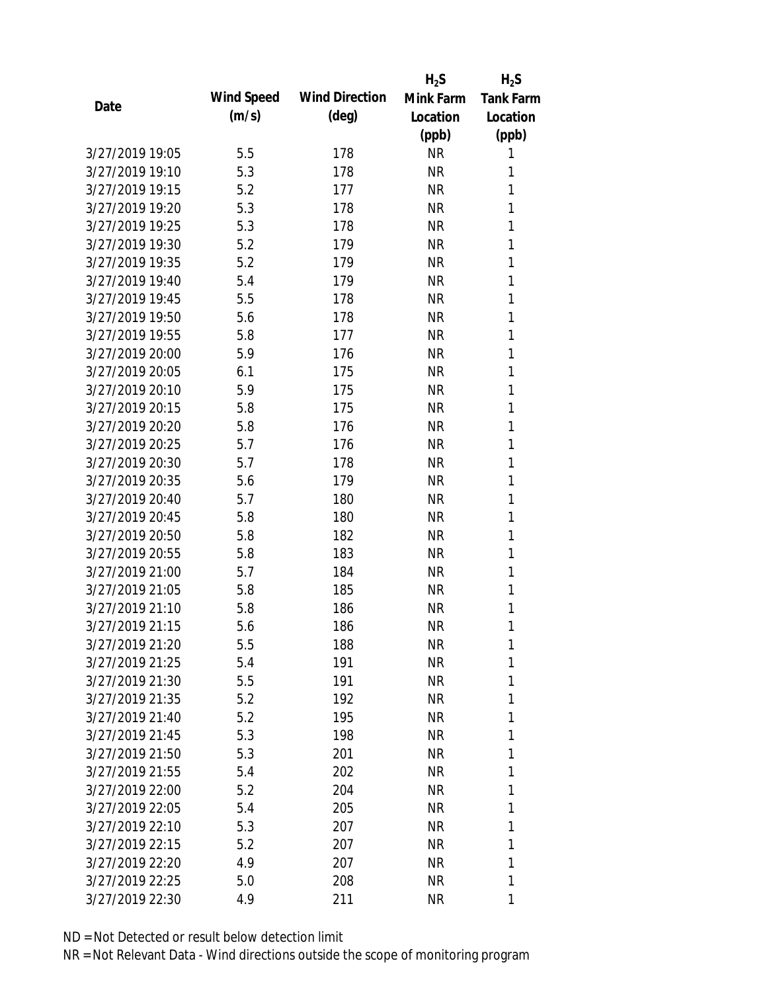|                 |            |                       | $H_2S$    | $H_2S$           |
|-----------------|------------|-----------------------|-----------|------------------|
| Date            | Wind Speed | <b>Wind Direction</b> | Mink Farm | <b>Tank Farm</b> |
|                 | (m/s)      | $(\text{deg})$        | Location  | Location         |
|                 |            |                       | (ppb)     | (ppb)            |
| 3/27/2019 19:05 | 5.5        | 178                   | <b>NR</b> | 1                |
| 3/27/2019 19:10 | 5.3        | 178                   | <b>NR</b> | 1                |
| 3/27/2019 19:15 | 5.2        | 177                   | <b>NR</b> | 1                |
| 3/27/2019 19:20 | 5.3        | 178                   | <b>NR</b> | 1                |
| 3/27/2019 19:25 | 5.3        | 178                   | <b>NR</b> | 1                |
| 3/27/2019 19:30 | 5.2        | 179                   | <b>NR</b> | 1                |
| 3/27/2019 19:35 | 5.2        | 179                   | <b>NR</b> | 1                |
| 3/27/2019 19:40 | 5.4        | 179                   | <b>NR</b> | 1                |
| 3/27/2019 19:45 | 5.5        | 178                   | <b>NR</b> | 1                |
| 3/27/2019 19:50 | 5.6        | 178                   | <b>NR</b> | 1                |
| 3/27/2019 19:55 | 5.8        | 177                   | <b>NR</b> | 1                |
| 3/27/2019 20:00 | 5.9        | 176                   | <b>NR</b> | 1                |
| 3/27/2019 20:05 | 6.1        | 175                   | <b>NR</b> | 1                |
| 3/27/2019 20:10 | 5.9        | 175                   | <b>NR</b> | 1                |
| 3/27/2019 20:15 | 5.8        | 175                   | <b>NR</b> | 1                |
| 3/27/2019 20:20 | 5.8        | 176                   | <b>NR</b> | 1                |
| 3/27/2019 20:25 | 5.7        | 176                   | <b>NR</b> | 1                |
| 3/27/2019 20:30 | 5.7        | 178                   | <b>NR</b> | $\mathbf{1}$     |
| 3/27/2019 20:35 | 5.6        | 179                   | <b>NR</b> | 1                |
| 3/27/2019 20:40 | 5.7        | 180                   | <b>NR</b> | 1                |
| 3/27/2019 20:45 | 5.8        | 180                   | <b>NR</b> | 1                |
| 3/27/2019 20:50 | 5.8        | 182                   | <b>NR</b> | 1                |
| 3/27/2019 20:55 | 5.8        | 183                   | <b>NR</b> | 1                |
| 3/27/2019 21:00 | 5.7        | 184                   | <b>NR</b> | 1                |
| 3/27/2019 21:05 | 5.8        | 185                   | <b>NR</b> | 1                |
| 3/27/2019 21:10 | 5.8        | 186                   | <b>NR</b> | 1                |
| 3/27/2019 21:15 | 5.6        | 186                   | <b>NR</b> | 1                |
| 3/27/2019 21:20 | 5.5        | 188                   | <b>NR</b> | 1                |
| 3/27/2019 21:25 | 5.4        | 191                   | <b>NR</b> | 1                |
| 3/27/2019 21:30 | 5.5        | 191                   | <b>NR</b> | 1                |
| 3/27/2019 21:35 | 5.2        | 192                   | NR        | 1                |
| 3/27/2019 21:40 | 5.2        | 195                   | <b>NR</b> | 1                |
| 3/27/2019 21:45 | 5.3        | 198                   | NR        | 1                |
| 3/27/2019 21:50 | 5.3        | 201                   | <b>NR</b> | 1                |
| 3/27/2019 21:55 | 5.4        | 202                   | <b>NR</b> | 1                |
| 3/27/2019 22:00 | 5.2        | 204                   | NR        | 1                |
| 3/27/2019 22:05 | 5.4        | 205                   | NR        | 1                |
| 3/27/2019 22:10 | 5.3        | 207                   | NR        | 1                |
| 3/27/2019 22:15 | 5.2        | 207                   | NR        | 1                |
| 3/27/2019 22:20 | 4.9        | 207                   | <b>NR</b> | 1                |
| 3/27/2019 22:25 | 5.0        | 208                   | <b>NR</b> | 1                |
| 3/27/2019 22:30 | 4.9        | 211                   | <b>NR</b> | 1                |
|                 |            |                       |           |                  |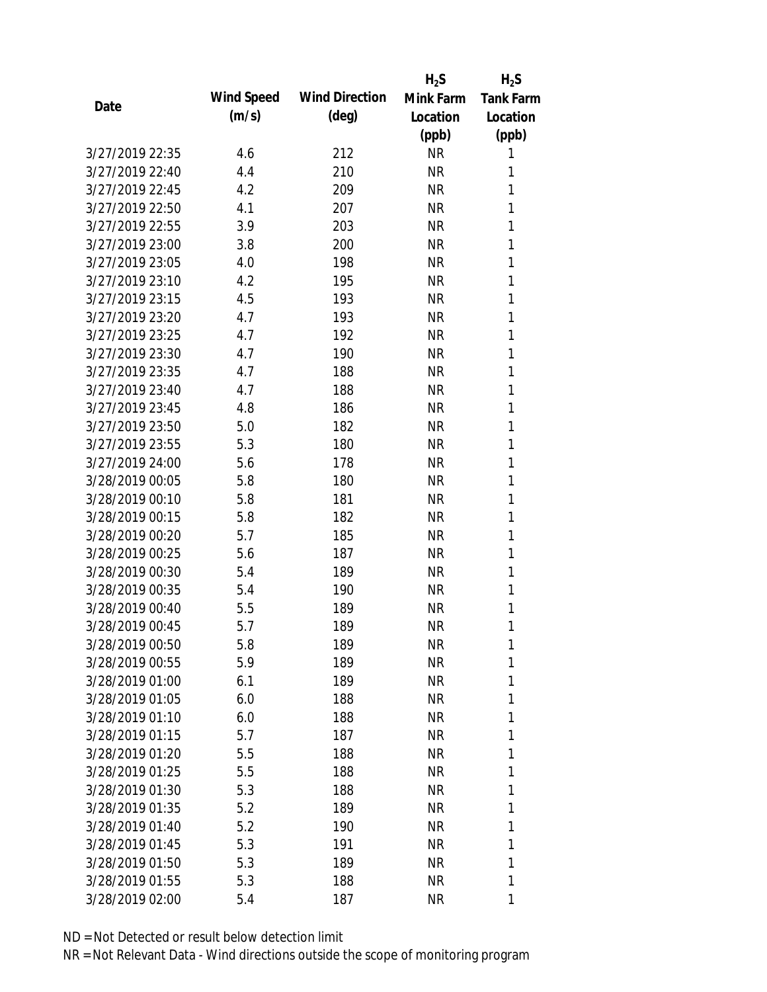|                 |            |                       | $H_2S$    | $H_2S$           |
|-----------------|------------|-----------------------|-----------|------------------|
| Date            | Wind Speed | <b>Wind Direction</b> | Mink Farm | <b>Tank Farm</b> |
|                 | (m/s)      | $(\text{deg})$        | Location  | Location         |
|                 |            |                       | (ppb)     | (ppb)            |
| 3/27/2019 22:35 | 4.6        | 212                   | <b>NR</b> | 1                |
| 3/27/2019 22:40 | 4.4        | 210                   | <b>NR</b> | 1                |
| 3/27/2019 22:45 | 4.2        | 209                   | <b>NR</b> | 1                |
| 3/27/2019 22:50 | 4.1        | 207                   | <b>NR</b> | 1                |
| 3/27/2019 22:55 | 3.9        | 203                   | <b>NR</b> | 1                |
| 3/27/2019 23:00 | 3.8        | 200                   | <b>NR</b> | 1                |
| 3/27/2019 23:05 | 4.0        | 198                   | <b>NR</b> | 1                |
| 3/27/2019 23:10 | 4.2        | 195                   | <b>NR</b> | 1                |
| 3/27/2019 23:15 | 4.5        | 193                   | <b>NR</b> | 1                |
| 3/27/2019 23:20 | 4.7        | 193                   | <b>NR</b> | 1                |
| 3/27/2019 23:25 | 4.7        | 192                   | <b>NR</b> | 1                |
| 3/27/2019 23:30 | 4.7        | 190                   | <b>NR</b> | 1                |
| 3/27/2019 23:35 | 4.7        | 188                   | <b>NR</b> | 1                |
| 3/27/2019 23:40 | 4.7        | 188                   | <b>NR</b> | 1                |
| 3/27/2019 23:45 | 4.8        | 186                   | <b>NR</b> | 1                |
| 3/27/2019 23:50 | 5.0        | 182                   | <b>NR</b> | 1                |
| 3/27/2019 23:55 | 5.3        | 180                   | <b>NR</b> | 1                |
| 3/27/2019 24:00 | 5.6        | 178                   | <b>NR</b> | 1                |
| 3/28/2019 00:05 | 5.8        | 180                   | <b>NR</b> | 1                |
| 3/28/2019 00:10 | 5.8        | 181                   | <b>NR</b> | 1                |
| 3/28/2019 00:15 | 5.8        | 182                   | <b>NR</b> | 1                |
| 3/28/2019 00:20 | 5.7        | 185                   | <b>NR</b> | 1                |
| 3/28/2019 00:25 | 5.6        | 187                   | <b>NR</b> | 1                |
| 3/28/2019 00:30 | 5.4        | 189                   | <b>NR</b> | 1                |
| 3/28/2019 00:35 | 5.4        | 190                   | <b>NR</b> | 1                |
| 3/28/2019 00:40 | 5.5        | 189                   | <b>NR</b> | 1                |
| 3/28/2019 00:45 | 5.7        | 189                   | <b>NR</b> | 1                |
| 3/28/2019 00:50 | 5.8        | 189                   | <b>NR</b> | 1                |
| 3/28/2019 00:55 | 5.9        | 189                   | <b>NR</b> | 1                |
| 3/28/2019 01:00 | 6.1        | 189                   | <b>NR</b> | 1                |
| 3/28/2019 01:05 | 6.0        | 188                   | <b>NR</b> | 1                |
| 3/28/2019 01:10 | 6.0        | 188                   | NR        | 1                |
| 3/28/2019 01:15 | 5.7        | 187                   | <b>NR</b> | 1                |
| 3/28/2019 01:20 | 5.5        | 188                   | <b>NR</b> | 1                |
| 3/28/2019 01:25 | 5.5        | 188                   | <b>NR</b> | 1                |
| 3/28/2019 01:30 | 5.3        | 188                   | <b>NR</b> | 1                |
| 3/28/2019 01:35 | 5.2        | 189                   | <b>NR</b> | 1                |
| 3/28/2019 01:40 | 5.2        | 190                   | NR        | 1                |
| 3/28/2019 01:45 | 5.3        | 191                   | <b>NR</b> | 1                |
| 3/28/2019 01:50 | 5.3        | 189                   | <b>NR</b> | 1                |
| 3/28/2019 01:55 | 5.3        | 188                   | <b>NR</b> | 1                |
| 3/28/2019 02:00 | 5.4        | 187                   | <b>NR</b> | 1                |
|                 |            |                       |           |                  |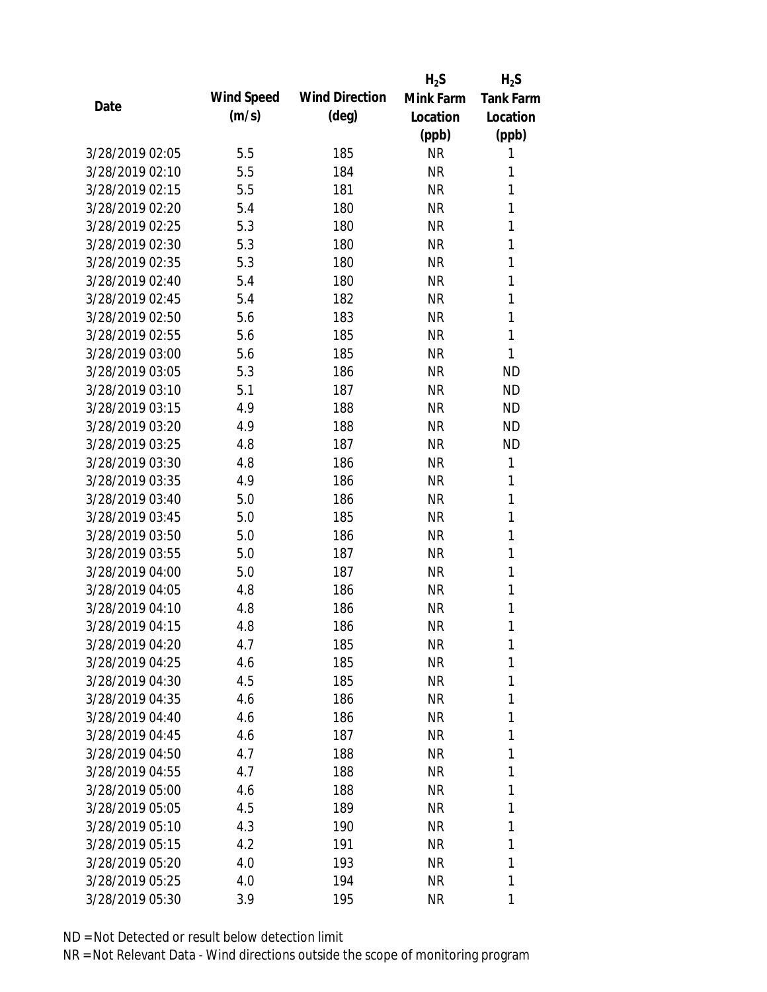|                 |            |                       | $H_2S$    | $H_2S$           |
|-----------------|------------|-----------------------|-----------|------------------|
|                 | Wind Speed | <b>Wind Direction</b> | Mink Farm | <b>Tank Farm</b> |
| Date            | (m/s)      | $(\text{deg})$        | Location  | Location         |
|                 |            |                       | (ppb)     | (ppb)            |
| 3/28/2019 02:05 | 5.5        | 185                   | <b>NR</b> | 1                |
| 3/28/2019 02:10 | 5.5        | 184                   | <b>NR</b> | 1                |
| 3/28/2019 02:15 | 5.5        | 181                   | <b>NR</b> | 1                |
| 3/28/2019 02:20 | 5.4        | 180                   | <b>NR</b> | 1                |
| 3/28/2019 02:25 | 5.3        | 180                   | <b>NR</b> | 1                |
| 3/28/2019 02:30 | 5.3        | 180                   | <b>NR</b> | 1                |
| 3/28/2019 02:35 | 5.3        | 180                   | <b>NR</b> | 1                |
| 3/28/2019 02:40 | 5.4        | 180                   | <b>NR</b> | 1                |
| 3/28/2019 02:45 | 5.4        | 182                   | <b>NR</b> | 1                |
| 3/28/2019 02:50 | 5.6        | 183                   | <b>NR</b> | 1                |
| 3/28/2019 02:55 | 5.6        | 185                   | <b>NR</b> | 1                |
| 3/28/2019 03:00 | 5.6        | 185                   | <b>NR</b> | 1                |
| 3/28/2019 03:05 | 5.3        | 186                   | <b>NR</b> | <b>ND</b>        |
| 3/28/2019 03:10 | 5.1        | 187                   | <b>NR</b> | <b>ND</b>        |
| 3/28/2019 03:15 | 4.9        | 188                   | <b>NR</b> | <b>ND</b>        |
| 3/28/2019 03:20 | 4.9        | 188                   | <b>NR</b> | <b>ND</b>        |
| 3/28/2019 03:25 | 4.8        | 187                   | <b>NR</b> | <b>ND</b>        |
| 3/28/2019 03:30 | 4.8        | 186                   | <b>NR</b> | 1                |
| 3/28/2019 03:35 | 4.9        | 186                   | <b>NR</b> | 1                |
| 3/28/2019 03:40 | 5.0        | 186                   | <b>NR</b> | 1                |
| 3/28/2019 03:45 | 5.0        | 185                   | <b>NR</b> | 1                |
| 3/28/2019 03:50 | 5.0        | 186                   | <b>NR</b> | 1                |
| 3/28/2019 03:55 | 5.0        | 187                   | <b>NR</b> | 1                |
| 3/28/2019 04:00 | 5.0        | 187                   | <b>NR</b> | 1                |
| 3/28/2019 04:05 | 4.8        | 186                   | <b>NR</b> | 1                |
| 3/28/2019 04:10 | 4.8        | 186                   | <b>NR</b> | 1                |
| 3/28/2019 04:15 | 4.8        | 186                   | <b>NR</b> | 1                |
| 3/28/2019 04:20 | 4.7        | 185                   | <b>NR</b> | 1                |
| 3/28/2019 04:25 | 4.6        | 185                   | <b>NR</b> | 1                |
| 3/28/2019 04:30 | 4.5        | 185                   | <b>NR</b> | 1                |
| 3/28/2019 04:35 | 4.6        | 186                   | <b>NR</b> | 1                |
| 3/28/2019 04:40 | 4.6        | 186                   | <b>NR</b> | 1                |
| 3/28/2019 04:45 | 4.6        | 187                   | <b>NR</b> | 1                |
| 3/28/2019 04:50 | 4.7        | 188                   | <b>NR</b> | 1                |
| 3/28/2019 04:55 | 4.7        | 188                   | <b>NR</b> | 1                |
| 3/28/2019 05:00 | 4.6        | 188                   | <b>NR</b> | 1                |
| 3/28/2019 05:05 | 4.5        | 189                   | NR        | 1                |
| 3/28/2019 05:10 | 4.3        | 190                   | <b>NR</b> | 1                |
| 3/28/2019 05:15 | 4.2        | 191                   | <b>NR</b> | 1                |
| 3/28/2019 05:20 | 4.0        | 193                   | <b>NR</b> | 1                |
| 3/28/2019 05:25 | 4.0        | 194                   | <b>NR</b> | 1                |
| 3/28/2019 05:30 | 3.9        | 195                   | <b>NR</b> | 1                |
|                 |            |                       |           |                  |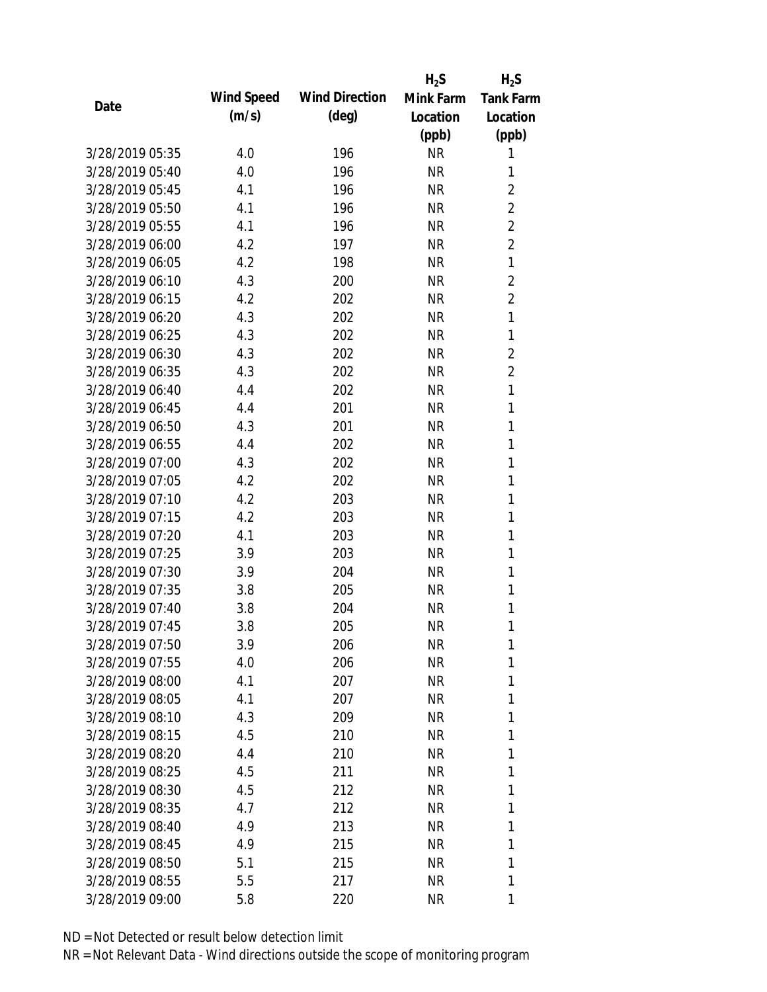|                 |            |                       | $H_2S$    | $H_2S$           |
|-----------------|------------|-----------------------|-----------|------------------|
| Date            | Wind Speed | <b>Wind Direction</b> | Mink Farm | <b>Tank Farm</b> |
|                 | (m/s)      | $(\text{deg})$        | Location  | Location         |
|                 |            |                       | (ppb)     | (ppb)            |
| 3/28/2019 05:35 | 4.0        | 196                   | <b>NR</b> | 1                |
| 3/28/2019 05:40 | 4.0        | 196                   | <b>NR</b> | 1                |
| 3/28/2019 05:45 | 4.1        | 196                   | <b>NR</b> | $\overline{2}$   |
| 3/28/2019 05:50 | 4.1        | 196                   | <b>NR</b> | $\overline{2}$   |
| 3/28/2019 05:55 | 4.1        | 196                   | <b>NR</b> | $\overline{2}$   |
| 3/28/2019 06:00 | 4.2        | 197                   | <b>NR</b> | $\overline{2}$   |
| 3/28/2019 06:05 | 4.2        | 198                   | <b>NR</b> | $\mathbf{1}$     |
| 3/28/2019 06:10 | 4.3        | 200                   | <b>NR</b> | $\overline{2}$   |
| 3/28/2019 06:15 | 4.2        | 202                   | <b>NR</b> | $\overline{2}$   |
| 3/28/2019 06:20 | 4.3        | 202                   | <b>NR</b> | $\mathbf{1}$     |
| 3/28/2019 06:25 | 4.3        | 202                   | <b>NR</b> | 1                |
| 3/28/2019 06:30 | 4.3        | 202                   | <b>NR</b> | $\overline{2}$   |
| 3/28/2019 06:35 | 4.3        | 202                   | <b>NR</b> | $\overline{2}$   |
| 3/28/2019 06:40 | 4.4        | 202                   | <b>NR</b> | 1                |
| 3/28/2019 06:45 | 4.4        | 201                   | <b>NR</b> | 1                |
| 3/28/2019 06:50 | 4.3        | 201                   | <b>NR</b> | 1                |
| 3/28/2019 06:55 | 4.4        | 202                   | <b>NR</b> | 1                |
| 3/28/2019 07:00 | 4.3        | 202                   | <b>NR</b> | 1                |
| 3/28/2019 07:05 | 4.2        | 202                   | <b>NR</b> | 1                |
| 3/28/2019 07:10 | 4.2        | 203                   | <b>NR</b> | 1                |
| 3/28/2019 07:15 | 4.2        | 203                   | <b>NR</b> | 1                |
| 3/28/2019 07:20 | 4.1        | 203                   | <b>NR</b> | 1                |
| 3/28/2019 07:25 | 3.9        | 203                   | <b>NR</b> | 1                |
| 3/28/2019 07:30 | 3.9        | 204                   | <b>NR</b> | 1                |
| 3/28/2019 07:35 | 3.8        | 205                   | <b>NR</b> | 1                |
| 3/28/2019 07:40 | 3.8        | 204                   | <b>NR</b> | 1                |
| 3/28/2019 07:45 | 3.8        | 205                   | <b>NR</b> | 1                |
| 3/28/2019 07:50 | 3.9        | 206                   | <b>NR</b> | 1                |
| 3/28/2019 07:55 | 4.0        | 206                   | NR        | 1                |
| 3/28/2019 08:00 | 4.1        | 207                   | NR        | 1                |
| 3/28/2019 08:05 | 4.1        | 207                   | NR        | 1                |
| 3/28/2019 08:10 | 4.3        | 209                   | NR        | 1                |
| 3/28/2019 08:15 | 4.5        | 210                   | NR        | 1                |
| 3/28/2019 08:20 | 4.4        | 210                   | <b>NR</b> | 1                |
| 3/28/2019 08:25 | 4.5        | 211                   | NR        | 1                |
| 3/28/2019 08:30 | 4.5        | 212                   | <b>NR</b> | 1                |
| 3/28/2019 08:35 | 4.7        | 212                   | NR        | 1                |
| 3/28/2019 08:40 | 4.9        | 213                   | NR        | 1                |
| 3/28/2019 08:45 | 4.9        | 215                   | NR        | 1                |
| 3/28/2019 08:50 | 5.1        | 215                   | <b>NR</b> | 1                |
| 3/28/2019 08:55 | 5.5        | 217                   | <b>NR</b> | 1                |
| 3/28/2019 09:00 | 5.8        | 220                   | <b>NR</b> | 1                |
|                 |            |                       |           |                  |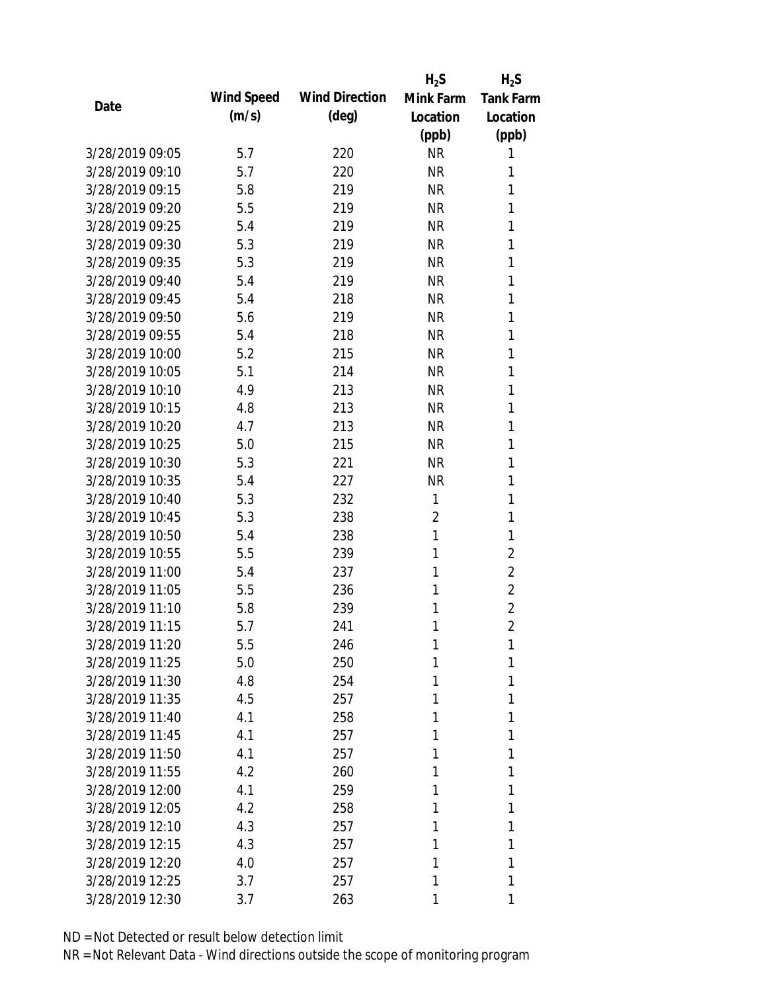|                 |            |                       | $H_2S$         | $H_2S$           |
|-----------------|------------|-----------------------|----------------|------------------|
| Date            | Wind Speed | <b>Wind Direction</b> | Mink Farm      | <b>Tank Farm</b> |
|                 | (m/s)      | $(\text{deg})$        | Location       | Location         |
|                 |            |                       | (ppb)          | (ppb)            |
| 3/28/2019 09:05 | 5.7        | 220                   | <b>NR</b>      | 1                |
| 3/28/2019 09:10 | 5.7        | 220                   | <b>NR</b>      | 1                |
| 3/28/2019 09:15 | 5.8        | 219                   | <b>NR</b>      | 1                |
| 3/28/2019 09:20 | 5.5        | 219                   | <b>NR</b>      | 1                |
| 3/28/2019 09:25 | 5.4        | 219                   | <b>NR</b>      | 1                |
| 3/28/2019 09:30 | 5.3        | 219                   | <b>NR</b>      | 1                |
| 3/28/2019 09:35 | 5.3        | 219                   | <b>NR</b>      | 1                |
| 3/28/2019 09:40 | 5.4        | 219                   | <b>NR</b>      | 1                |
| 3/28/2019 09:45 | 5.4        | 218                   | <b>NR</b>      | 1                |
| 3/28/2019 09:50 | 5.6        | 219                   | <b>NR</b>      | 1                |
| 3/28/2019 09:55 | 5.4        | 218                   | <b>NR</b>      | 1                |
| 3/28/2019 10:00 | 5.2        | 215                   | <b>NR</b>      | 1                |
| 3/28/2019 10:05 | 5.1        | 214                   | <b>NR</b>      | 1                |
| 3/28/2019 10:10 | 4.9        | 213                   | <b>NR</b>      | 1                |
| 3/28/2019 10:15 | 4.8        | 213                   | <b>NR</b>      | 1                |
| 3/28/2019 10:20 | 4.7        | 213                   | <b>NR</b>      | 1                |
| 3/28/2019 10:25 | 5.0        | 215                   | <b>NR</b>      | 1                |
| 3/28/2019 10:30 | 5.3        | 221                   | <b>NR</b>      | 1                |
| 3/28/2019 10:35 | 5.4        | 227                   | <b>NR</b>      | 1                |
| 3/28/2019 10:40 | 5.3        | 232                   | 1              | 1                |
| 3/28/2019 10:45 | 5.3        | 238                   | $\overline{2}$ | 1                |
| 3/28/2019 10:50 | 5.4        | 238                   | 1              | 1                |
| 3/28/2019 10:55 | 5.5        | 239                   | 1              | $\overline{2}$   |
| 3/28/2019 11:00 | 5.4        | 237                   | 1              | $\overline{2}$   |
| 3/28/2019 11:05 | 5.5        | 236                   | 1              | $\overline{2}$   |
| 3/28/2019 11:10 | 5.8        | 239                   | 1              | $\overline{2}$   |
| 3/28/2019 11:15 | 5.7        | 241                   | 1              | $\overline{2}$   |
| 3/28/2019 11:20 | 5.5        | 246                   | 1              | 1                |
| 3/28/2019 11:25 | 5.0        | 250                   | 1              | 1                |
| 3/28/2019 11:30 | 4.8        | 254                   | 1              | 1                |
| 3/28/2019 11:35 | 4.5        | 257                   | 1              | 1                |
| 3/28/2019 11:40 | 4.1        | 258                   | 1              | 1                |
| 3/28/2019 11:45 | 4.1        | 257                   | 1              | 1                |
| 3/28/2019 11:50 | 4.1        | 257                   | 1              | 1                |
| 3/28/2019 11:55 | 4.2        | 260                   | 1              | 1                |
| 3/28/2019 12:00 | 4.1        | 259                   | 1              | 1                |
| 3/28/2019 12:05 | 4.2        | 258                   | 1              | 1                |
| 3/28/2019 12:10 | 4.3        | 257                   | 1              | 1                |
| 3/28/2019 12:15 | 4.3        | 257                   | 1              | 1                |
| 3/28/2019 12:20 | 4.0        | 257                   | 1              | 1                |
| 3/28/2019 12:25 | 3.7        | 257                   | 1              | 1                |
| 3/28/2019 12:30 | 3.7        | 263                   | 1              | 1                |
|                 |            |                       |                |                  |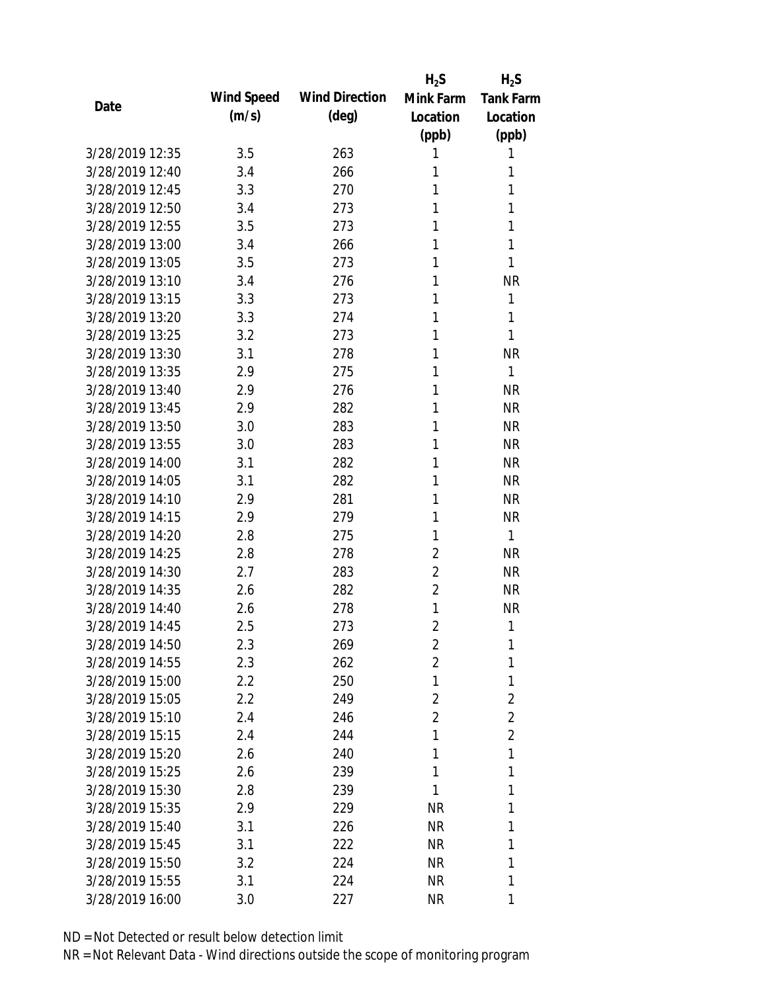|                 |            |                       | $H_2S$         | $H_2S$           |
|-----------------|------------|-----------------------|----------------|------------------|
| Date            | Wind Speed | <b>Wind Direction</b> | Mink Farm      | <b>Tank Farm</b> |
|                 | (m/s)      | $(\text{deg})$        | Location       | Location         |
|                 |            |                       | (ppb)          | (ppb)            |
| 3/28/2019 12:35 | 3.5        | 263                   | 1              | 1                |
| 3/28/2019 12:40 | 3.4        | 266                   | 1              | 1                |
| 3/28/2019 12:45 | 3.3        | 270                   | 1              | 1                |
| 3/28/2019 12:50 | 3.4        | 273                   | 1              | 1                |
| 3/28/2019 12:55 | 3.5        | 273                   | 1              | 1                |
| 3/28/2019 13:00 | 3.4        | 266                   | 1              | 1                |
| 3/28/2019 13:05 | 3.5        | 273                   | 1              | 1                |
| 3/28/2019 13:10 | 3.4        | 276                   | 1              | <b>NR</b>        |
| 3/28/2019 13:15 | 3.3        | 273                   | 1              | 1                |
| 3/28/2019 13:20 | 3.3        | 274                   | 1              | 1                |
| 3/28/2019 13:25 | 3.2        | 273                   | 1              | 1                |
| 3/28/2019 13:30 | 3.1        | 278                   | 1              | <b>NR</b>        |
| 3/28/2019 13:35 | 2.9        | 275                   | 1              | 1                |
| 3/28/2019 13:40 | 2.9        | 276                   | 1              | <b>NR</b>        |
| 3/28/2019 13:45 | 2.9        | 282                   | 1              | <b>NR</b>        |
| 3/28/2019 13:50 | 3.0        | 283                   | 1              | <b>NR</b>        |
| 3/28/2019 13:55 | 3.0        | 283                   | 1              | <b>NR</b>        |
| 3/28/2019 14:00 | 3.1        | 282                   | 1              | <b>NR</b>        |
| 3/28/2019 14:05 | 3.1        | 282                   | 1              | <b>NR</b>        |
| 3/28/2019 14:10 | 2.9        | 281                   | 1              | <b>NR</b>        |
| 3/28/2019 14:15 | 2.9        | 279                   | 1              | <b>NR</b>        |
| 3/28/2019 14:20 | 2.8        | 275                   | 1              | 1                |
| 3/28/2019 14:25 | 2.8        | 278                   | $\overline{2}$ | <b>NR</b>        |
| 3/28/2019 14:30 | 2.7        | 283                   | $\overline{2}$ | <b>NR</b>        |
| 3/28/2019 14:35 | 2.6        | 282                   | $\overline{2}$ | <b>NR</b>        |
| 3/28/2019 14:40 | 2.6        | 278                   | 1              | <b>NR</b>        |
| 3/28/2019 14:45 | 2.5        | 273                   | $\overline{2}$ | 1                |
| 3/28/2019 14:50 | 2.3        | 269                   | $\overline{2}$ | 1                |
| 3/28/2019 14:55 | 2.3        | 262                   | $\overline{2}$ | 1                |
| 3/28/2019 15:00 | $2.2\,$    | 250                   | 1              | 1                |
| 3/28/2019 15:05 | 2.2        | 249                   | $\overline{2}$ | 2                |
| 3/28/2019 15:10 | 2.4        | 246                   | $\overline{2}$ | $\overline{2}$   |
| 3/28/2019 15:15 | 2.4        | 244                   | 1              | $\overline{2}$   |
| 3/28/2019 15:20 | 2.6        | 240                   | 1              | 1                |
| 3/28/2019 15:25 | 2.6        | 239                   | 1              | 1                |
| 3/28/2019 15:30 | 2.8        | 239                   | 1              | 1                |
| 3/28/2019 15:35 | 2.9        | 229                   | NR             | 1                |
| 3/28/2019 15:40 | 3.1        | 226                   | <b>NR</b>      | 1                |
| 3/28/2019 15:45 | 3.1        | 222                   | <b>NR</b>      | 1                |
| 3/28/2019 15:50 | 3.2        | 224                   | <b>NR</b>      | 1                |
| 3/28/2019 15:55 | 3.1        | 224                   | <b>NR</b>      | 1                |
| 3/28/2019 16:00 |            |                       | <b>NR</b>      | 1                |
|                 | 3.0        | 227                   |                |                  |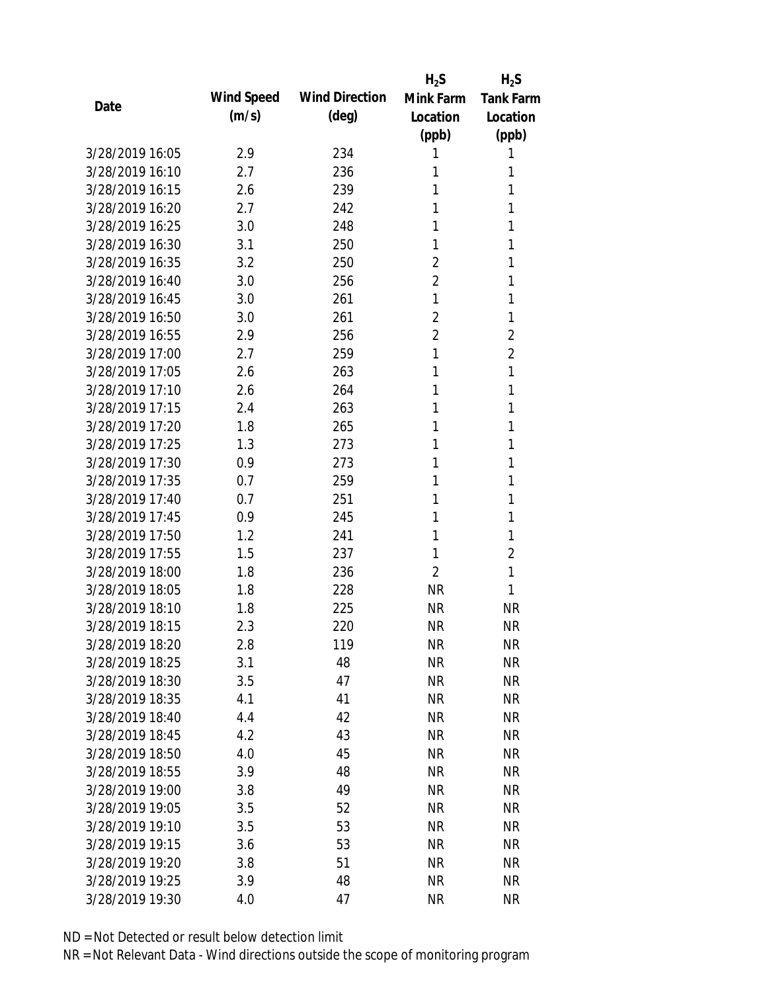|                 |            |                       | $H_2S$         | $H_2S$           |
|-----------------|------------|-----------------------|----------------|------------------|
| Date            | Wind Speed | <b>Wind Direction</b> | Mink Farm      | <b>Tank Farm</b> |
|                 | (m/s)      | $(\text{deg})$        | Location       | Location         |
|                 |            |                       | (ppb)          | (ppb)            |
| 3/28/2019 16:05 | 2.9        | 234                   | 1              | 1                |
| 3/28/2019 16:10 | 2.7        | 236                   | 1              | 1                |
| 3/28/2019 16:15 | 2.6        | 239                   | 1              | 1                |
| 3/28/2019 16:20 | 2.7        | 242                   | 1              | 1                |
| 3/28/2019 16:25 | 3.0        | 248                   | 1              | 1                |
| 3/28/2019 16:30 | 3.1        | 250                   | 1              | 1                |
| 3/28/2019 16:35 | 3.2        | 250                   | 2              | 1                |
| 3/28/2019 16:40 | 3.0        | 256                   | $\overline{2}$ | 1                |
| 3/28/2019 16:45 | 3.0        | 261                   | 1              | 1                |
| 3/28/2019 16:50 | 3.0        | 261                   | $\overline{2}$ | 1                |
| 3/28/2019 16:55 | 2.9        | 256                   | $\overline{2}$ | $\overline{2}$   |
| 3/28/2019 17:00 | 2.7        | 259                   | 1              | $\overline{2}$   |
| 3/28/2019 17:05 | 2.6        | 263                   | 1              | 1                |
| 3/28/2019 17:10 | 2.6        | 264                   | 1              | 1                |
| 3/28/2019 17:15 | 2.4        | 263                   | 1              | 1                |
| 3/28/2019 17:20 | 1.8        | 265                   | 1              | 1                |
| 3/28/2019 17:25 | 1.3        | 273                   | 1              | 1                |
| 3/28/2019 17:30 | 0.9        | 273                   | 1              | 1                |
| 3/28/2019 17:35 | 0.7        | 259                   | 1              | 1                |
| 3/28/2019 17:40 | 0.7        | 251                   | 1              | 1                |
| 3/28/2019 17:45 | 0.9        | 245                   | 1              | 1                |
| 3/28/2019 17:50 | 1.2        | 241                   | 1              | 1                |
| 3/28/2019 17:55 | 1.5        | 237                   | 1              | $\overline{2}$   |
| 3/28/2019 18:00 | 1.8        | 236                   | $\overline{2}$ | 1                |
| 3/28/2019 18:05 | 1.8        | 228                   | <b>NR</b>      | 1                |
| 3/28/2019 18:10 | 1.8        | 225                   | <b>NR</b>      | <b>NR</b>        |
| 3/28/2019 18:15 | 2.3        | 220                   | <b>NR</b>      | <b>NR</b>        |
| 3/28/2019 18:20 | 2.8        | 119                   | <b>NR</b>      | <b>NR</b>        |
| 3/28/2019 18:25 | 3.1        | 48                    | <b>NR</b>      | <b>NR</b>        |
| 3/28/2019 18:30 | 3.5        | 47                    | NR             | <b>NR</b>        |
| 3/28/2019 18:35 | 4.1        | 41                    | <b>NR</b>      | <b>NR</b>        |
| 3/28/2019 18:40 | 4.4        | 42                    | <b>NR</b>      | <b>NR</b>        |
| 3/28/2019 18:45 | 4.2        | 43                    | <b>NR</b>      | <b>NR</b>        |
| 3/28/2019 18:50 | 4.0        | 45                    | <b>NR</b>      | <b>NR</b>        |
| 3/28/2019 18:55 | 3.9        | 48                    | <b>NR</b>      | <b>NR</b>        |
| 3/28/2019 19:00 | 3.8        | 49                    | <b>NR</b>      | <b>NR</b>        |
| 3/28/2019 19:05 | 3.5        | 52                    | <b>NR</b>      | <b>NR</b>        |
| 3/28/2019 19:10 | 3.5        | 53                    | <b>NR</b>      | <b>NR</b>        |
| 3/28/2019 19:15 | 3.6        | 53                    | <b>NR</b>      | <b>NR</b>        |
| 3/28/2019 19:20 | 3.8        | 51                    | <b>NR</b>      | <b>NR</b>        |
| 3/28/2019 19:25 | 3.9        | 48                    | <b>NR</b>      | <b>NR</b>        |
| 3/28/2019 19:30 | 4.0        | 47                    | <b>NR</b>      | <b>NR</b>        |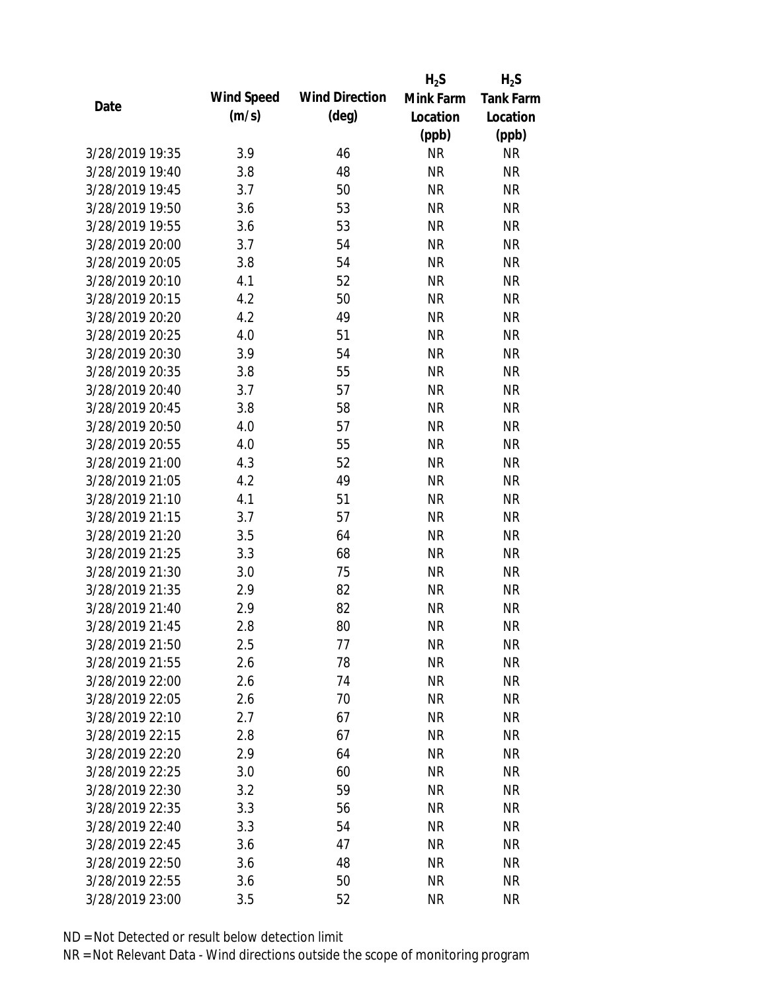|                 |            |                       | $H_2S$    | $H_2S$           |
|-----------------|------------|-----------------------|-----------|------------------|
|                 | Wind Speed | <b>Wind Direction</b> | Mink Farm | <b>Tank Farm</b> |
| Date            | (m/s)      | $(\text{deg})$        | Location  | Location         |
|                 |            |                       | (ppb)     | (ppb)            |
| 3/28/2019 19:35 | 3.9        | 46                    | <b>NR</b> | <b>NR</b>        |
| 3/28/2019 19:40 | 3.8        | 48                    | <b>NR</b> | <b>NR</b>        |
| 3/28/2019 19:45 | 3.7        | 50                    | <b>NR</b> | <b>NR</b>        |
| 3/28/2019 19:50 | 3.6        | 53                    | <b>NR</b> | <b>NR</b>        |
| 3/28/2019 19:55 | 3.6        | 53                    | <b>NR</b> | <b>NR</b>        |
| 3/28/2019 20:00 | 3.7        | 54                    | <b>NR</b> | <b>NR</b>        |
| 3/28/2019 20:05 | 3.8        | 54                    | <b>NR</b> | <b>NR</b>        |
| 3/28/2019 20:10 | 4.1        | 52                    | <b>NR</b> | <b>NR</b>        |
| 3/28/2019 20:15 | 4.2        | 50                    | <b>NR</b> | <b>NR</b>        |
| 3/28/2019 20:20 | 4.2        | 49                    | <b>NR</b> | <b>NR</b>        |
| 3/28/2019 20:25 | 4.0        | 51                    | <b>NR</b> | <b>NR</b>        |
| 3/28/2019 20:30 | 3.9        | 54                    | <b>NR</b> | <b>NR</b>        |
| 3/28/2019 20:35 | 3.8        | 55                    | <b>NR</b> | <b>NR</b>        |
| 3/28/2019 20:40 | 3.7        | 57                    | <b>NR</b> | <b>NR</b>        |
| 3/28/2019 20:45 | 3.8        | 58                    | <b>NR</b> | <b>NR</b>        |
| 3/28/2019 20:50 | 4.0        | 57                    | <b>NR</b> | <b>NR</b>        |
| 3/28/2019 20:55 | 4.0        | 55                    | <b>NR</b> | <b>NR</b>        |
| 3/28/2019 21:00 | 4.3        | 52                    | <b>NR</b> | <b>NR</b>        |
| 3/28/2019 21:05 | 4.2        | 49                    | <b>NR</b> | <b>NR</b>        |
| 3/28/2019 21:10 | 4.1        | 51                    | <b>NR</b> | <b>NR</b>        |
| 3/28/2019 21:15 | 3.7        | 57                    | <b>NR</b> | <b>NR</b>        |
| 3/28/2019 21:20 | 3.5        | 64                    | <b>NR</b> | <b>NR</b>        |
| 3/28/2019 21:25 | 3.3        | 68                    | <b>NR</b> | <b>NR</b>        |
| 3/28/2019 21:30 | 3.0        | 75                    | <b>NR</b> | <b>NR</b>        |
| 3/28/2019 21:35 | 2.9        | 82                    | <b>NR</b> | <b>NR</b>        |
| 3/28/2019 21:40 | 2.9        | 82                    | <b>NR</b> | <b>NR</b>        |
| 3/28/2019 21:45 | 2.8        | 80                    | <b>NR</b> | <b>NR</b>        |
| 3/28/2019 21:50 | 2.5        | 77                    | <b>NR</b> | <b>NR</b>        |
| 3/28/2019 21:55 | 2.6        | 78                    | <b>NR</b> | <b>NR</b>        |
| 3/28/2019 22:00 | 2.6        | 74                    | <b>NR</b> | <b>NR</b>        |
| 3/28/2019 22:05 | 2.6        | 70                    | <b>NR</b> | <b>NR</b>        |
| 3/28/2019 22:10 | 2.7        | 67                    | <b>NR</b> | NR               |
| 3/28/2019 22:15 | 2.8        | 67                    | <b>NR</b> | NR               |
| 3/28/2019 22:20 | 2.9        | 64                    | <b>NR</b> | <b>NR</b>        |
| 3/28/2019 22:25 | 3.0        | 60                    | <b>NR</b> | <b>NR</b>        |
| 3/28/2019 22:30 | 3.2        | 59                    | <b>NR</b> | NR               |
| 3/28/2019 22:35 | 3.3        | 56                    | <b>NR</b> | <b>NR</b>        |
| 3/28/2019 22:40 | 3.3        | 54                    | <b>NR</b> | <b>NR</b>        |
| 3/28/2019 22:45 | 3.6        | 47                    | <b>NR</b> | NR               |
| 3/28/2019 22:50 | 3.6        | 48                    | <b>NR</b> | NR               |
| 3/28/2019 22:55 | 3.6        | 50                    | <b>NR</b> | <b>NR</b>        |
| 3/28/2019 23:00 | 3.5        | 52                    | <b>NR</b> | <b>NR</b>        |
|                 |            |                       |           |                  |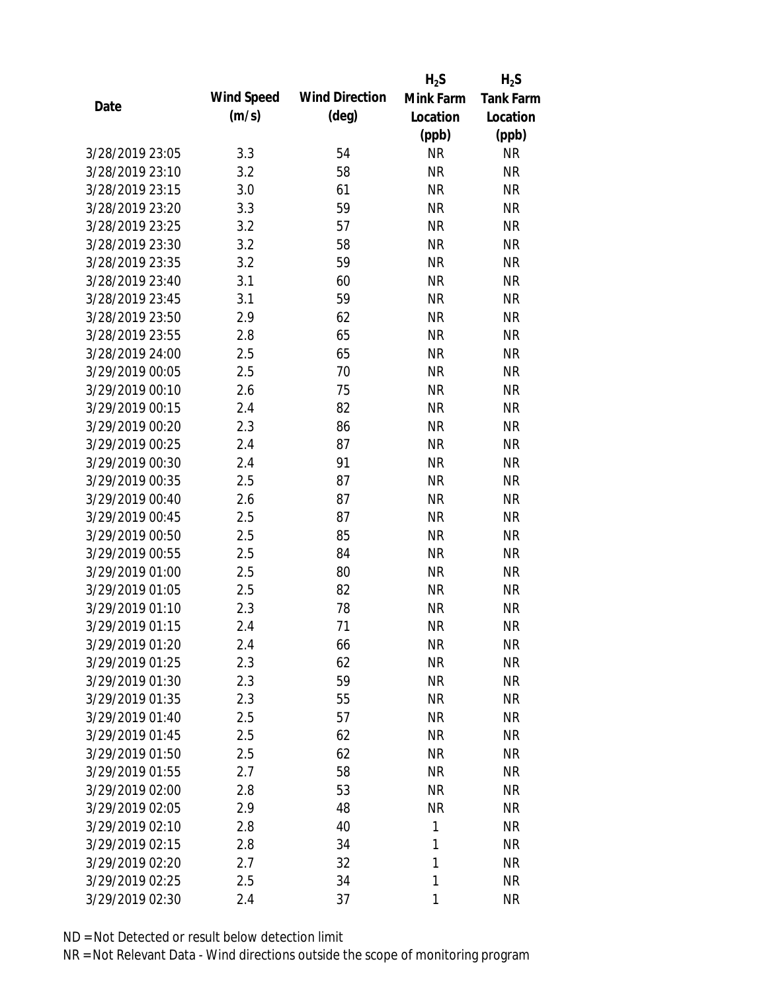|                 |            |                       | $H_2S$       | $H_2S$           |
|-----------------|------------|-----------------------|--------------|------------------|
|                 | Wind Speed | <b>Wind Direction</b> | Mink Farm    | <b>Tank Farm</b> |
| Date            | (m/s)      | $(\text{deg})$        | Location     | Location         |
|                 |            |                       | (ppb)        | (ppb)            |
| 3/28/2019 23:05 | 3.3        | 54                    | <b>NR</b>    | <b>NR</b>        |
| 3/28/2019 23:10 | 3.2        | 58                    | <b>NR</b>    | <b>NR</b>        |
| 3/28/2019 23:15 | 3.0        | 61                    | <b>NR</b>    | <b>NR</b>        |
| 3/28/2019 23:20 | 3.3        | 59                    | <b>NR</b>    | <b>NR</b>        |
| 3/28/2019 23:25 | 3.2        | 57                    | <b>NR</b>    | <b>NR</b>        |
| 3/28/2019 23:30 | 3.2        | 58                    | <b>NR</b>    | <b>NR</b>        |
| 3/28/2019 23:35 | 3.2        | 59                    | <b>NR</b>    | <b>NR</b>        |
| 3/28/2019 23:40 | 3.1        | 60                    | <b>NR</b>    | <b>NR</b>        |
| 3/28/2019 23:45 | 3.1        | 59                    | <b>NR</b>    | <b>NR</b>        |
| 3/28/2019 23:50 | 2.9        | 62                    | <b>NR</b>    | <b>NR</b>        |
| 3/28/2019 23:55 | 2.8        | 65                    | <b>NR</b>    | <b>NR</b>        |
| 3/28/2019 24:00 | 2.5        | 65                    | <b>NR</b>    | <b>NR</b>        |
| 3/29/2019 00:05 | 2.5        | 70                    | <b>NR</b>    | <b>NR</b>        |
| 3/29/2019 00:10 | 2.6        | 75                    | <b>NR</b>    | <b>NR</b>        |
| 3/29/2019 00:15 | 2.4        | 82                    | <b>NR</b>    | <b>NR</b>        |
| 3/29/2019 00:20 | 2.3        | 86                    | <b>NR</b>    | <b>NR</b>        |
| 3/29/2019 00:25 | 2.4        | 87                    | <b>NR</b>    | <b>NR</b>        |
| 3/29/2019 00:30 | 2.4        | 91                    | <b>NR</b>    | <b>NR</b>        |
| 3/29/2019 00:35 | 2.5        | 87                    | <b>NR</b>    | <b>NR</b>        |
| 3/29/2019 00:40 | 2.6        | 87                    | <b>NR</b>    | <b>NR</b>        |
| 3/29/2019 00:45 | 2.5        | 87                    | <b>NR</b>    | <b>NR</b>        |
| 3/29/2019 00:50 | 2.5        | 85                    | <b>NR</b>    | <b>NR</b>        |
| 3/29/2019 00:55 | 2.5        | 84                    | <b>NR</b>    | <b>NR</b>        |
| 3/29/2019 01:00 | 2.5        | 80                    | <b>NR</b>    | <b>NR</b>        |
| 3/29/2019 01:05 | 2.5        | 82                    | <b>NR</b>    | <b>NR</b>        |
| 3/29/2019 01:10 | 2.3        | 78                    | <b>NR</b>    | <b>NR</b>        |
| 3/29/2019 01:15 | 2.4        | 71                    | <b>NR</b>    | <b>NR</b>        |
| 3/29/2019 01:20 | 2.4        | 66                    | <b>NR</b>    | <b>NR</b>        |
| 3/29/2019 01:25 | 2.3        | 62                    | <b>NR</b>    | <b>NR</b>        |
| 3/29/2019 01:30 | 2.3        | 59                    | <b>NR</b>    | <b>NR</b>        |
| 3/29/2019 01:35 | 2.3        | 55                    | <b>NR</b>    | <b>NR</b>        |
| 3/29/2019 01:40 | 2.5        | 57                    | <b>NR</b>    | <b>NR</b>        |
| 3/29/2019 01:45 | 2.5        | 62                    | <b>NR</b>    | <b>NR</b>        |
| 3/29/2019 01:50 | 2.5        | 62                    | <b>NR</b>    | <b>NR</b>        |
| 3/29/2019 01:55 | 2.7        | 58                    | <b>NR</b>    | <b>NR</b>        |
| 3/29/2019 02:00 | 2.8        | 53                    | <b>NR</b>    | <b>NR</b>        |
| 3/29/2019 02:05 | 2.9        | 48                    | <b>NR</b>    | <b>NR</b>        |
| 3/29/2019 02:10 | 2.8        | 40                    | 1            | <b>NR</b>        |
| 3/29/2019 02:15 | 2.8        | 34                    | 1            | <b>NR</b>        |
| 3/29/2019 02:20 | 2.7        | 32                    | 1            | <b>NR</b>        |
| 3/29/2019 02:25 | 2.5        | 34                    | 1            | <b>NR</b>        |
| 3/29/2019 02:30 | 2.4        | 37                    | $\mathbf{1}$ | <b>NR</b>        |
|                 |            |                       |              |                  |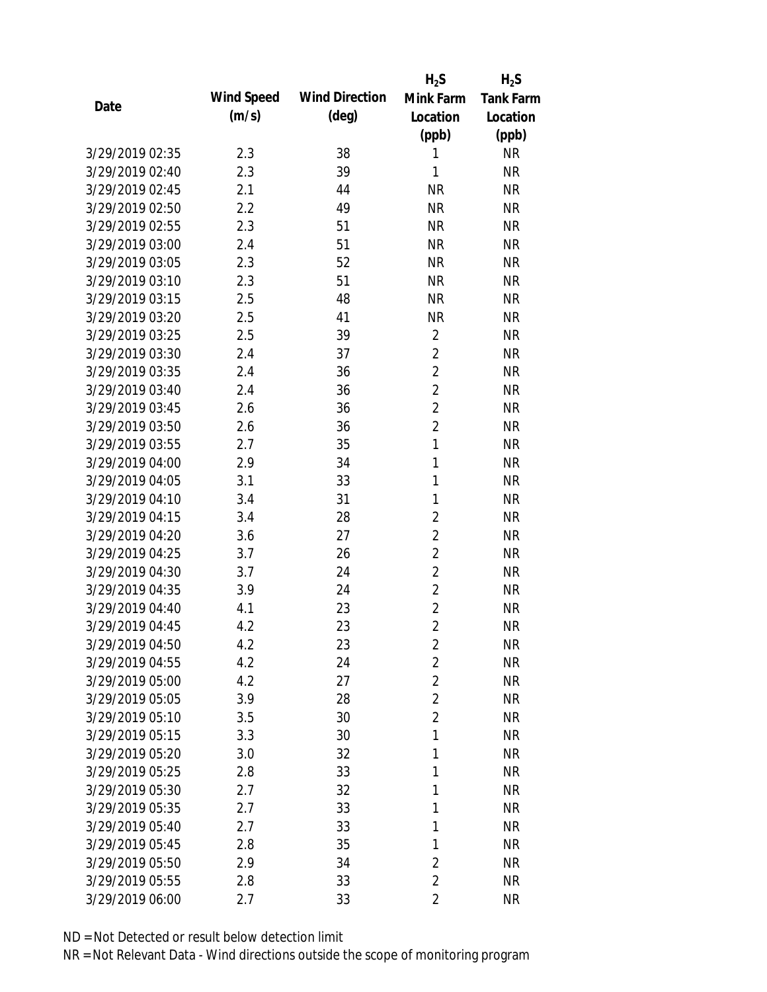|                 |            |                       | $H_2S$         | $H_2S$           |
|-----------------|------------|-----------------------|----------------|------------------|
| Date            | Wind Speed | <b>Wind Direction</b> | Mink Farm      | <b>Tank Farm</b> |
|                 | (m/s)      | $(\text{deg})$        | Location       | Location         |
|                 |            |                       | (ppb)          | (ppb)            |
| 3/29/2019 02:35 | 2.3        | 38                    | 1              | <b>NR</b>        |
| 3/29/2019 02:40 | 2.3        | 39                    | 1              | <b>NR</b>        |
| 3/29/2019 02:45 | 2.1        | 44                    | <b>NR</b>      | <b>NR</b>        |
| 3/29/2019 02:50 | 2.2        | 49                    | <b>NR</b>      | <b>NR</b>        |
| 3/29/2019 02:55 | 2.3        | 51                    | <b>NR</b>      | <b>NR</b>        |
| 3/29/2019 03:00 | 2.4        | 51                    | <b>NR</b>      | <b>NR</b>        |
| 3/29/2019 03:05 | 2.3        | 52                    | <b>NR</b>      | <b>NR</b>        |
| 3/29/2019 03:10 | 2.3        | 51                    | <b>NR</b>      | <b>NR</b>        |
| 3/29/2019 03:15 | 2.5        | 48                    | <b>NR</b>      | <b>NR</b>        |
| 3/29/2019 03:20 | 2.5        | 41                    | <b>NR</b>      | <b>NR</b>        |
| 3/29/2019 03:25 | 2.5        | 39                    | $\overline{2}$ | <b>NR</b>        |
| 3/29/2019 03:30 | 2.4        | 37                    | $\overline{2}$ | <b>NR</b>        |
| 3/29/2019 03:35 | 2.4        | 36                    | $\overline{2}$ | <b>NR</b>        |
| 3/29/2019 03:40 | 2.4        | 36                    | $\overline{2}$ | <b>NR</b>        |
| 3/29/2019 03:45 | 2.6        | 36                    | $\overline{2}$ | <b>NR</b>        |
| 3/29/2019 03:50 | 2.6        | 36                    | $\overline{2}$ | <b>NR</b>        |
| 3/29/2019 03:55 | 2.7        | 35                    | $\mathbf{1}$   | <b>NR</b>        |
| 3/29/2019 04:00 | 2.9        | 34                    | 1              | <b>NR</b>        |
| 3/29/2019 04:05 | 3.1        | 33                    | 1              | <b>NR</b>        |
| 3/29/2019 04:10 | 3.4        | 31                    | 1              | <b>NR</b>        |
| 3/29/2019 04:15 | 3.4        | 28                    | 2              | <b>NR</b>        |
| 3/29/2019 04:20 | 3.6        | 27                    | $\overline{2}$ | <b>NR</b>        |
| 3/29/2019 04:25 | 3.7        | 26                    | $\overline{2}$ | <b>NR</b>        |
| 3/29/2019 04:30 | 3.7        | 24                    | $\overline{2}$ | <b>NR</b>        |
| 3/29/2019 04:35 | 3.9        | 24                    | $\overline{2}$ | <b>NR</b>        |
| 3/29/2019 04:40 | 4.1        | 23                    | $\overline{2}$ | <b>NR</b>        |
| 3/29/2019 04:45 | 4.2        | 23                    | $\overline{2}$ | <b>NR</b>        |
| 3/29/2019 04:50 | 4.2        | 23                    | $\overline{2}$ | <b>NR</b>        |
| 3/29/2019 04:55 | 4.2        | 24                    | $\overline{2}$ | <b>NR</b>        |
| 3/29/2019 05:00 | 4.2        | 27                    | $\overline{2}$ | <b>NR</b>        |
| 3/29/2019 05:05 | 3.9        | 28                    | $\overline{2}$ | <b>NR</b>        |
| 3/29/2019 05:10 | 3.5        | 30                    | $\overline{2}$ | <b>NR</b>        |
| 3/29/2019 05:15 | 3.3        | 30                    | 1              | <b>NR</b>        |
| 3/29/2019 05:20 | 3.0        | 32                    | 1              | <b>NR</b>        |
| 3/29/2019 05:25 | 2.8        | 33                    | 1              | <b>NR</b>        |
| 3/29/2019 05:30 | 2.7        | 32                    | 1              | <b>NR</b>        |
| 3/29/2019 05:35 | 2.7        | 33                    | 1              | <b>NR</b>        |
| 3/29/2019 05:40 | 2.7        | 33                    | 1              | <b>NR</b>        |
| 3/29/2019 05:45 | 2.8        | 35                    | 1              | <b>NR</b>        |
| 3/29/2019 05:50 | 2.9        | 34                    | $\overline{2}$ | <b>NR</b>        |
| 3/29/2019 05:55 | 2.8        | 33                    | $\overline{2}$ | <b>NR</b>        |
| 3/29/2019 06:00 | 2.7        | 33                    | $\overline{2}$ | <b>NR</b>        |
|                 |            |                       |                |                  |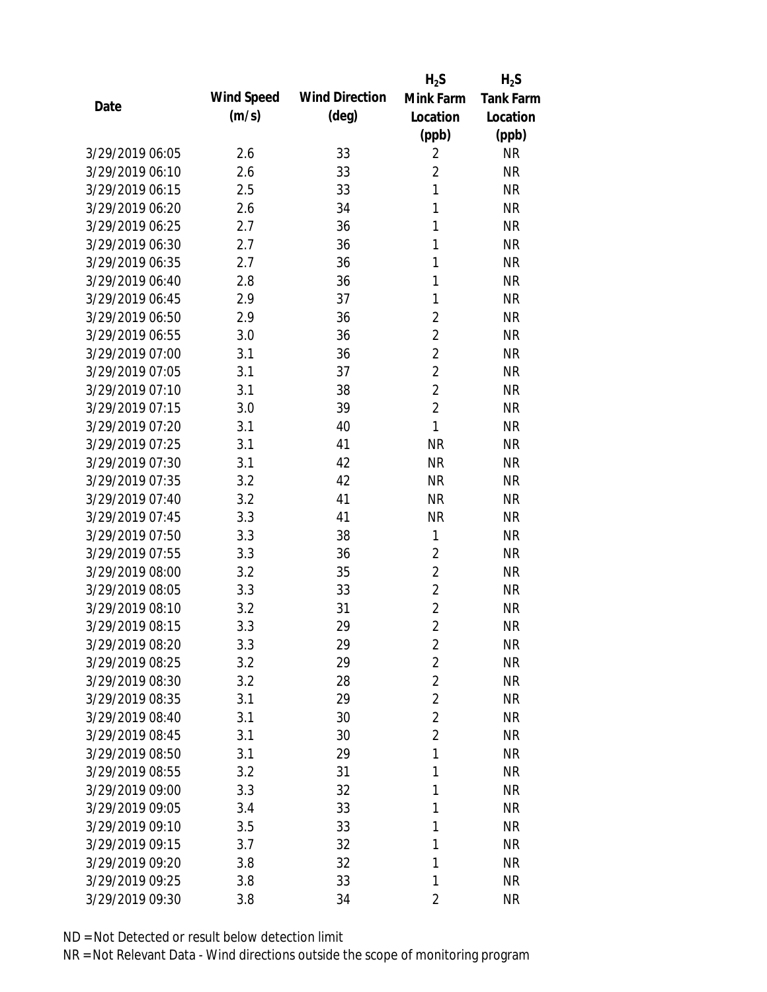|                 |            |                       | $H_2S$         | $H_2S$           |
|-----------------|------------|-----------------------|----------------|------------------|
| Date            | Wind Speed | <b>Wind Direction</b> | Mink Farm      | <b>Tank Farm</b> |
|                 | (m/s)      | $(\text{deg})$        | Location       | Location         |
|                 |            |                       | (ppb)          | (ppb)            |
| 3/29/2019 06:05 | 2.6        | 33                    | $\overline{2}$ | <b>NR</b>        |
| 3/29/2019 06:10 | 2.6        | 33                    | $\overline{2}$ | <b>NR</b>        |
| 3/29/2019 06:15 | 2.5        | 33                    | $\mathbf{1}$   | <b>NR</b>        |
| 3/29/2019 06:20 | 2.6        | 34                    | 1              | <b>NR</b>        |
| 3/29/2019 06:25 | 2.7        | 36                    | 1              | <b>NR</b>        |
| 3/29/2019 06:30 | 2.7        | 36                    | 1              | <b>NR</b>        |
| 3/29/2019 06:35 | 2.7        | 36                    | 1              | <b>NR</b>        |
| 3/29/2019 06:40 | 2.8        | 36                    | 1              | <b>NR</b>        |
| 3/29/2019 06:45 | 2.9        | 37                    | 1              | <b>NR</b>        |
| 3/29/2019 06:50 | 2.9        | 36                    | $\overline{2}$ | <b>NR</b>        |
| 3/29/2019 06:55 | 3.0        | 36                    | $\overline{2}$ | <b>NR</b>        |
| 3/29/2019 07:00 | 3.1        | 36                    | $\overline{2}$ | <b>NR</b>        |
| 3/29/2019 07:05 | 3.1        | 37                    | $\overline{2}$ | <b>NR</b>        |
| 3/29/2019 07:10 | 3.1        | 38                    | $\overline{2}$ | <b>NR</b>        |
| 3/29/2019 07:15 | 3.0        | 39                    | $\overline{2}$ | <b>NR</b>        |
| 3/29/2019 07:20 | 3.1        | 40                    | 1              | <b>NR</b>        |
| 3/29/2019 07:25 | 3.1        | 41                    | <b>NR</b>      | <b>NR</b>        |
| 3/29/2019 07:30 | 3.1        | 42                    | <b>NR</b>      | <b>NR</b>        |
| 3/29/2019 07:35 | 3.2        | 42                    | <b>NR</b>      | <b>NR</b>        |
| 3/29/2019 07:40 | 3.2        | 41                    | <b>NR</b>      | <b>NR</b>        |
| 3/29/2019 07:45 | 3.3        | 41                    | <b>NR</b>      | <b>NR</b>        |
| 3/29/2019 07:50 | 3.3        | 38                    | 1              | <b>NR</b>        |
| 3/29/2019 07:55 | 3.3        | 36                    | $\overline{2}$ | <b>NR</b>        |
| 3/29/2019 08:00 | 3.2        | 35                    | $\overline{2}$ | <b>NR</b>        |
| 3/29/2019 08:05 | 3.3        | 33                    | $\overline{2}$ | <b>NR</b>        |
| 3/29/2019 08:10 | 3.2        | 31                    | $\overline{2}$ | <b>NR</b>        |
| 3/29/2019 08:15 | 3.3        | 29                    | $\overline{2}$ | <b>NR</b>        |
| 3/29/2019 08:20 | 3.3        | 29                    | $\overline{2}$ | <b>NR</b>        |
| 3/29/2019 08:25 | 3.2        | 29                    | $\overline{2}$ | <b>NR</b>        |
| 3/29/2019 08:30 | 3.2        | 28                    | $\overline{2}$ | <b>NR</b>        |
| 3/29/2019 08:35 | 3.1        | 29                    | $\overline{2}$ | <b>NR</b>        |
| 3/29/2019 08:40 | 3.1        | 30                    | $\overline{2}$ | <b>NR</b>        |
| 3/29/2019 08:45 | 3.1        | 30                    | $\overline{2}$ | <b>NR</b>        |
| 3/29/2019 08:50 | 3.1        | 29                    | 1              | <b>NR</b>        |
| 3/29/2019 08:55 | 3.2        | 31                    | $\mathbf{1}$   | <b>NR</b>        |
| 3/29/2019 09:00 | 3.3        | 32                    | 1              | <b>NR</b>        |
| 3/29/2019 09:05 | 3.4        | 33                    | 1              | <b>NR</b>        |
| 3/29/2019 09:10 | 3.5        | 33                    | 1              | <b>NR</b>        |
| 3/29/2019 09:15 | 3.7        | 32                    | 1              | <b>NR</b>        |
| 3/29/2019 09:20 | 3.8        | 32                    | 1              | <b>NR</b>        |
| 3/29/2019 09:25 | 3.8        | 33                    | 1              | <b>NR</b>        |
| 3/29/2019 09:30 | 3.8        | 34                    | 2              | <b>NR</b>        |
|                 |            |                       |                |                  |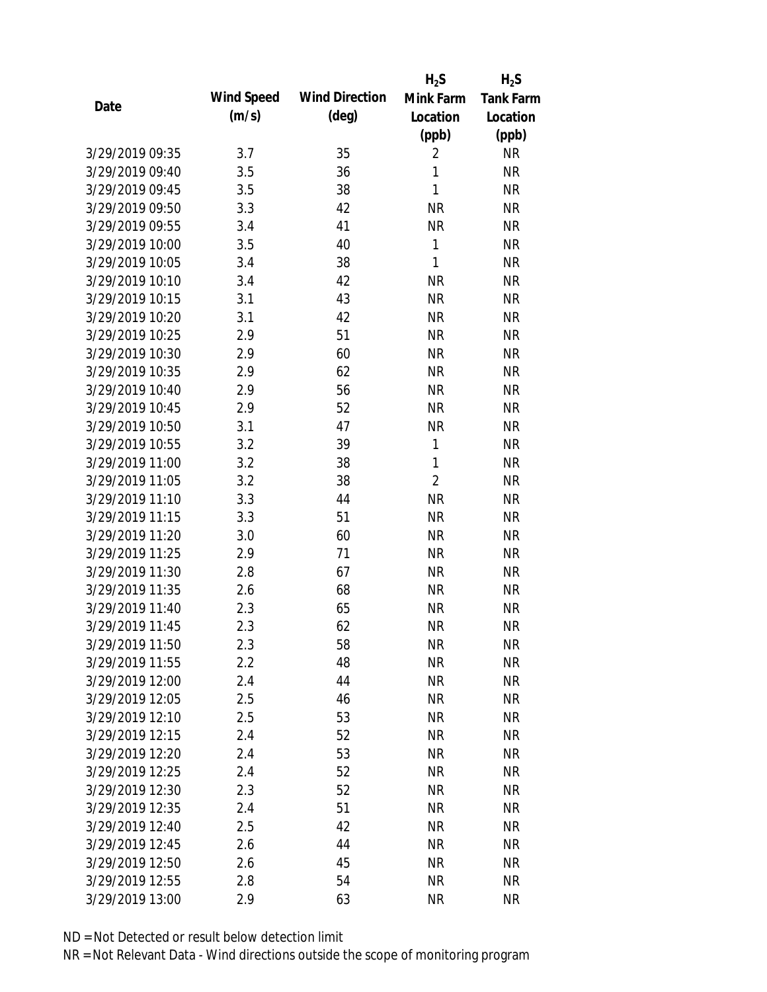|                 |            |                       | $H_2S$         | $H_2S$           |
|-----------------|------------|-----------------------|----------------|------------------|
| Date            | Wind Speed | <b>Wind Direction</b> | Mink Farm      | <b>Tank Farm</b> |
|                 | (m/s)      | $(\text{deg})$        | Location       | Location         |
|                 |            |                       | (ppb)          | (ppb)            |
| 3/29/2019 09:35 | 3.7        | 35                    | $\overline{2}$ | <b>NR</b>        |
| 3/29/2019 09:40 | 3.5        | 36                    | 1              | <b>NR</b>        |
| 3/29/2019 09:45 | 3.5        | 38                    | 1              | <b>NR</b>        |
| 3/29/2019 09:50 | 3.3        | 42                    | <b>NR</b>      | <b>NR</b>        |
| 3/29/2019 09:55 | 3.4        | 41                    | <b>NR</b>      | <b>NR</b>        |
| 3/29/2019 10:00 | 3.5        | 40                    | $\mathbf{1}$   | <b>NR</b>        |
| 3/29/2019 10:05 | 3.4        | 38                    | 1              | <b>NR</b>        |
| 3/29/2019 10:10 | 3.4        | 42                    | <b>NR</b>      | <b>NR</b>        |
| 3/29/2019 10:15 | 3.1        | 43                    | <b>NR</b>      | <b>NR</b>        |
| 3/29/2019 10:20 | 3.1        | 42                    | <b>NR</b>      | <b>NR</b>        |
| 3/29/2019 10:25 | 2.9        | 51                    | <b>NR</b>      | <b>NR</b>        |
| 3/29/2019 10:30 | 2.9        | 60                    | <b>NR</b>      | <b>NR</b>        |
| 3/29/2019 10:35 | 2.9        | 62                    | <b>NR</b>      | <b>NR</b>        |
| 3/29/2019 10:40 | 2.9        | 56                    | <b>NR</b>      | <b>NR</b>        |
| 3/29/2019 10:45 | 2.9        | 52                    | <b>NR</b>      | <b>NR</b>        |
| 3/29/2019 10:50 | 3.1        | 47                    | <b>NR</b>      | <b>NR</b>        |
| 3/29/2019 10:55 | 3.2        | 39                    | $\mathbf{1}$   | <b>NR</b>        |
| 3/29/2019 11:00 | 3.2        | 38                    | $\mathbf{1}$   | <b>NR</b>        |
| 3/29/2019 11:05 | 3.2        | 38                    | $\overline{2}$ | <b>NR</b>        |
| 3/29/2019 11:10 | 3.3        | 44                    | <b>NR</b>      | <b>NR</b>        |
| 3/29/2019 11:15 | 3.3        | 51                    | <b>NR</b>      | <b>NR</b>        |
| 3/29/2019 11:20 | 3.0        | 60                    | <b>NR</b>      | <b>NR</b>        |
| 3/29/2019 11:25 | 2.9        | 71                    | <b>NR</b>      | <b>NR</b>        |
| 3/29/2019 11:30 | 2.8        | 67                    | <b>NR</b>      | <b>NR</b>        |
| 3/29/2019 11:35 | 2.6        | 68                    | <b>NR</b>      | <b>NR</b>        |
| 3/29/2019 11:40 | 2.3        | 65                    | <b>NR</b>      | <b>NR</b>        |
| 3/29/2019 11:45 | 2.3        | 62                    | <b>NR</b>      | <b>NR</b>        |
| 3/29/2019 11:50 | 2.3        | 58                    | <b>NR</b>      | <b>NR</b>        |
| 3/29/2019 11:55 | 2.2        | 48                    | <b>NR</b>      | <b>NR</b>        |
| 3/29/2019 12:00 | 2.4        | 44                    | NR             | <b>NR</b>        |
| 3/29/2019 12:05 | 2.5        | 46                    | <b>NR</b>      | <b>NR</b>        |
| 3/29/2019 12:10 | 2.5        | 53                    | <b>NR</b>      | <b>NR</b>        |
| 3/29/2019 12:15 | 2.4        | 52                    | <b>NR</b>      | <b>NR</b>        |
| 3/29/2019 12:20 | 2.4        | 53                    | <b>NR</b>      | <b>NR</b>        |
| 3/29/2019 12:25 | 2.4        | 52                    | <b>NR</b>      | <b>NR</b>        |
| 3/29/2019 12:30 | 2.3        | 52                    | <b>NR</b>      | <b>NR</b>        |
| 3/29/2019 12:35 | 2.4        | 51                    | <b>NR</b>      | <b>NR</b>        |
| 3/29/2019 12:40 | 2.5        | 42                    | NR             | <b>NR</b>        |
| 3/29/2019 12:45 | 2.6        | 44                    | <b>NR</b>      | <b>NR</b>        |
| 3/29/2019 12:50 | 2.6        | 45                    | <b>NR</b>      | <b>NR</b>        |
| 3/29/2019 12:55 | 2.8        | 54                    | <b>NR</b>      | <b>NR</b>        |
| 3/29/2019 13:00 | 2.9        | 63                    | <b>NR</b>      | <b>NR</b>        |
|                 |            |                       |                |                  |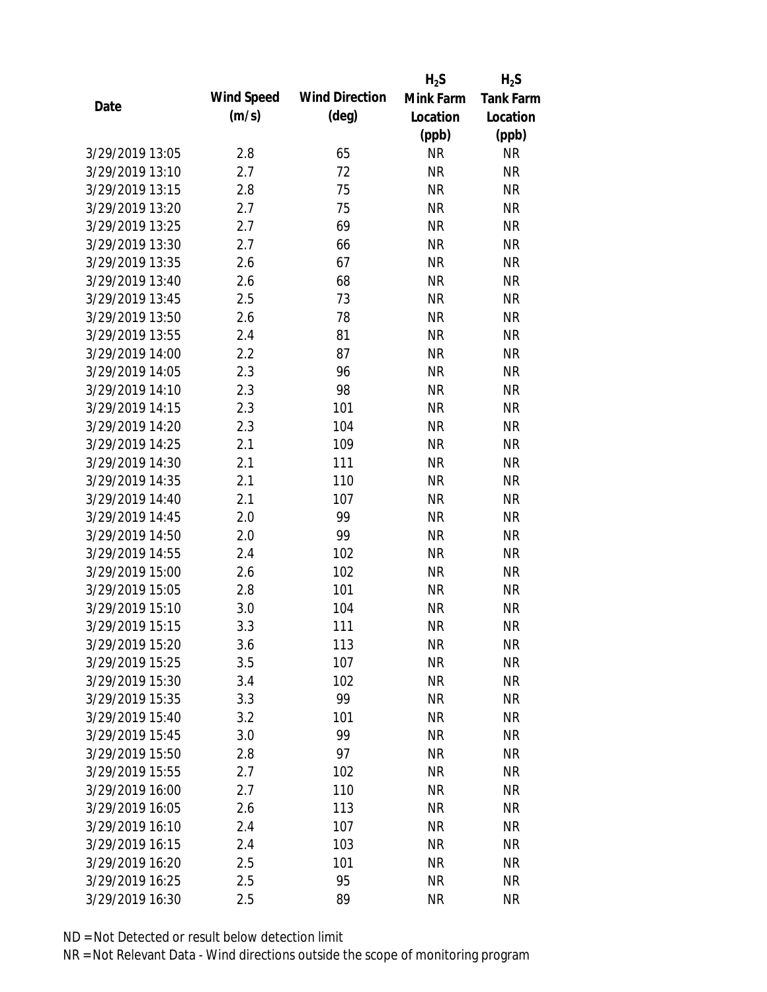|                 |            |                       | $H_2S$    | $H_2S$           |
|-----------------|------------|-----------------------|-----------|------------------|
| Date            | Wind Speed | <b>Wind Direction</b> | Mink Farm | <b>Tank Farm</b> |
|                 | (m/s)      | $(\text{deg})$        | Location  | Location         |
|                 |            |                       | (ppb)     | (ppb)            |
| 3/29/2019 13:05 | 2.8        | 65                    | <b>NR</b> | <b>NR</b>        |
| 3/29/2019 13:10 | 2.7        | 72                    | <b>NR</b> | <b>NR</b>        |
| 3/29/2019 13:15 | 2.8        | 75                    | <b>NR</b> | <b>NR</b>        |
| 3/29/2019 13:20 | 2.7        | 75                    | <b>NR</b> | <b>NR</b>        |
| 3/29/2019 13:25 | 2.7        | 69                    | <b>NR</b> | <b>NR</b>        |
| 3/29/2019 13:30 | 2.7        | 66                    | <b>NR</b> | <b>NR</b>        |
| 3/29/2019 13:35 | 2.6        | 67                    | <b>NR</b> | <b>NR</b>        |
| 3/29/2019 13:40 | 2.6        | 68                    | <b>NR</b> | <b>NR</b>        |
| 3/29/2019 13:45 | 2.5        | 73                    | <b>NR</b> | <b>NR</b>        |
| 3/29/2019 13:50 | 2.6        | 78                    | <b>NR</b> | <b>NR</b>        |
| 3/29/2019 13:55 | 2.4        | 81                    | <b>NR</b> | <b>NR</b>        |
| 3/29/2019 14:00 | 2.2        | 87                    | <b>NR</b> | <b>NR</b>        |
| 3/29/2019 14:05 | 2.3        | 96                    | <b>NR</b> | <b>NR</b>        |
| 3/29/2019 14:10 | 2.3        | 98                    | <b>NR</b> | <b>NR</b>        |
| 3/29/2019 14:15 | 2.3        | 101                   | <b>NR</b> | <b>NR</b>        |
| 3/29/2019 14:20 | 2.3        | 104                   | <b>NR</b> | <b>NR</b>        |
| 3/29/2019 14:25 | 2.1        | 109                   | <b>NR</b> | <b>NR</b>        |
| 3/29/2019 14:30 | 2.1        | 111                   | <b>NR</b> | <b>NR</b>        |
| 3/29/2019 14:35 | 2.1        | 110                   | <b>NR</b> | <b>NR</b>        |
| 3/29/2019 14:40 | 2.1        | 107                   | <b>NR</b> | <b>NR</b>        |
| 3/29/2019 14:45 | 2.0        | 99                    | <b>NR</b> | <b>NR</b>        |
| 3/29/2019 14:50 | 2.0        | 99                    | <b>NR</b> | <b>NR</b>        |
| 3/29/2019 14:55 | 2.4        | 102                   | <b>NR</b> | <b>NR</b>        |
| 3/29/2019 15:00 | 2.6        | 102                   | <b>NR</b> | <b>NR</b>        |
| 3/29/2019 15:05 | 2.8        | 101                   | <b>NR</b> | <b>NR</b>        |
| 3/29/2019 15:10 | 3.0        | 104                   | <b>NR</b> | <b>NR</b>        |
| 3/29/2019 15:15 | 3.3        | 111                   | <b>NR</b> | <b>NR</b>        |
| 3/29/2019 15:20 | 3.6        | 113                   | <b>NR</b> | <b>NR</b>        |
| 3/29/2019 15:25 | 3.5        | 107                   | <b>NR</b> | <b>NR</b>        |
| 3/29/2019 15:30 | 3.4        | 102                   | <b>NR</b> | <b>NR</b>        |
| 3/29/2019 15:35 | 3.3        | 99                    | <b>NR</b> | <b>NR</b>        |
| 3/29/2019 15:40 | 3.2        | 101                   | <b>NR</b> | <b>NR</b>        |
| 3/29/2019 15:45 | 3.0        | 99                    | <b>NR</b> | <b>NR</b>        |
| 3/29/2019 15:50 | 2.8        | 97                    | <b>NR</b> | <b>NR</b>        |
| 3/29/2019 15:55 | 2.7        | 102                   | <b>NR</b> | <b>NR</b>        |
| 3/29/2019 16:00 | 2.7        | 110                   | <b>NR</b> | <b>NR</b>        |
| 3/29/2019 16:05 | 2.6        | 113                   | <b>NR</b> | <b>NR</b>        |
| 3/29/2019 16:10 | 2.4        | 107                   | NR        | <b>NR</b>        |
| 3/29/2019 16:15 | 2.4        | 103                   | <b>NR</b> | <b>NR</b>        |
| 3/29/2019 16:20 | 2.5        | 101                   | <b>NR</b> | NR               |
| 3/29/2019 16:25 | 2.5        | 95                    | <b>NR</b> | <b>NR</b>        |
|                 |            |                       |           |                  |
| 3/29/2019 16:30 | 2.5        | 89                    | <b>NR</b> | <b>NR</b>        |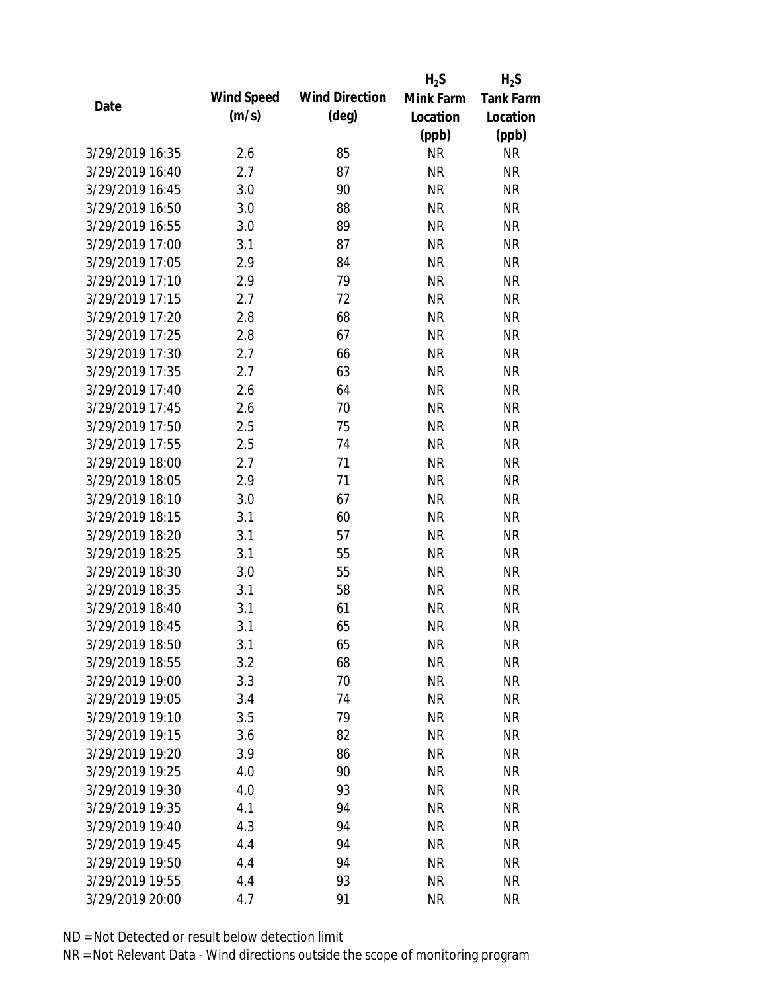|                 |            |                       | $H_2S$    | $H_2S$           |
|-----------------|------------|-----------------------|-----------|------------------|
| Date            | Wind Speed | <b>Wind Direction</b> | Mink Farm | <b>Tank Farm</b> |
|                 | (m/s)      | $(\text{deg})$        | Location  | Location         |
|                 |            |                       | (ppb)     | (ppb)            |
| 3/29/2019 16:35 | 2.6        | 85                    | <b>NR</b> | <b>NR</b>        |
| 3/29/2019 16:40 | 2.7        | 87                    | <b>NR</b> | <b>NR</b>        |
| 3/29/2019 16:45 | 3.0        | 90                    | <b>NR</b> | <b>NR</b>        |
| 3/29/2019 16:50 | 3.0        | 88                    | <b>NR</b> | <b>NR</b>        |
| 3/29/2019 16:55 | 3.0        | 89                    | <b>NR</b> | <b>NR</b>        |
| 3/29/2019 17:00 | 3.1        | 87                    | NR        | <b>NR</b>        |
| 3/29/2019 17:05 | 2.9        | 84                    | <b>NR</b> | <b>NR</b>        |
| 3/29/2019 17:10 | 2.9        | 79                    | <b>NR</b> | <b>NR</b>        |
| 3/29/2019 17:15 | 2.7        | 72                    | <b>NR</b> | <b>NR</b>        |
| 3/29/2019 17:20 | 2.8        | 68                    | <b>NR</b> | <b>NR</b>        |
| 3/29/2019 17:25 | 2.8        | 67                    | <b>NR</b> | <b>NR</b>        |
| 3/29/2019 17:30 | 2.7        | 66                    | <b>NR</b> | <b>NR</b>        |
| 3/29/2019 17:35 | 2.7        | 63                    | <b>NR</b> | <b>NR</b>        |
| 3/29/2019 17:40 | 2.6        | 64                    | <b>NR</b> | <b>NR</b>        |
| 3/29/2019 17:45 | 2.6        | 70                    | <b>NR</b> | <b>NR</b>        |
| 3/29/2019 17:50 | 2.5        | 75                    | <b>NR</b> | <b>NR</b>        |
| 3/29/2019 17:55 | 2.5        | 74                    | <b>NR</b> | <b>NR</b>        |
| 3/29/2019 18:00 | 2.7        | 71                    | <b>NR</b> | <b>NR</b>        |
| 3/29/2019 18:05 | 2.9        | 71                    | <b>NR</b> | <b>NR</b>        |
| 3/29/2019 18:10 | 3.0        | 67                    | <b>NR</b> | <b>NR</b>        |
| 3/29/2019 18:15 | 3.1        | 60                    | <b>NR</b> | <b>NR</b>        |
| 3/29/2019 18:20 | 3.1        | 57                    | <b>NR</b> | <b>NR</b>        |
| 3/29/2019 18:25 | 3.1        | 55                    | <b>NR</b> | <b>NR</b>        |
| 3/29/2019 18:30 | 3.0        | 55                    | <b>NR</b> | <b>NR</b>        |
| 3/29/2019 18:35 | 3.1        | 58                    | <b>NR</b> | <b>NR</b>        |
| 3/29/2019 18:40 | 3.1        | 61                    | <b>NR</b> | <b>NR</b>        |
| 3/29/2019 18:45 | 3.1        | 65                    | <b>NR</b> | <b>NR</b>        |
| 3/29/2019 18:50 | 3.1        | 65                    | <b>NR</b> | <b>NR</b>        |
| 3/29/2019 18:55 | 3.2        | 68                    | <b>NR</b> | <b>NR</b>        |
| 3/29/2019 19:00 | 3.3        | 70                    | <b>NR</b> | <b>NR</b>        |
| 3/29/2019 19:05 | 3.4        | 74                    | <b>NR</b> | <b>NR</b>        |
| 3/29/2019 19:10 | 3.5        | 79                    | <b>NR</b> | <b>NR</b>        |
| 3/29/2019 19:15 | 3.6        | 82                    | <b>NR</b> | <b>NR</b>        |
| 3/29/2019 19:20 | 3.9        | 86                    | <b>NR</b> | <b>NR</b>        |
| 3/29/2019 19:25 | 4.0        | 90                    | <b>NR</b> | NR               |
| 3/29/2019 19:30 | 4.0        | 93                    | <b>NR</b> | <b>NR</b>        |
| 3/29/2019 19:35 | 4.1        | 94                    | <b>NR</b> | <b>NR</b>        |
| 3/29/2019 19:40 | 4.3        | 94                    | <b>NR</b> | <b>NR</b>        |
| 3/29/2019 19:45 | 4.4        | 94                    | <b>NR</b> | NR               |
| 3/29/2019 19:50 | 4.4        | 94                    | <b>NR</b> | NR               |
| 3/29/2019 19:55 | 4.4        | 93                    | <b>NR</b> | <b>NR</b>        |
| 3/29/2019 20:00 | 4.7        | 91                    | <b>NR</b> | <b>NR</b>        |
|                 |            |                       |           |                  |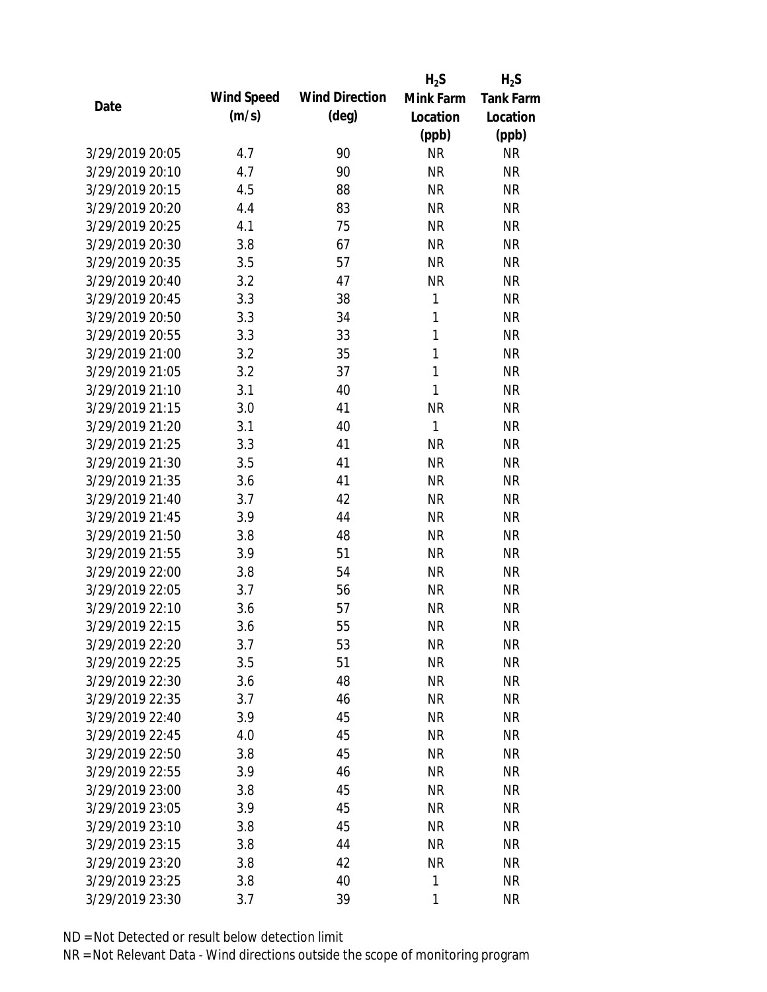|                 |            |                       | $H_2S$       | $H_2S$           |
|-----------------|------------|-----------------------|--------------|------------------|
| Date            | Wind Speed | <b>Wind Direction</b> | Mink Farm    | <b>Tank Farm</b> |
|                 | (m/s)      | $(\text{deg})$        | Location     | Location         |
|                 |            |                       | (ppb)        | (ppb)            |
| 3/29/2019 20:05 | 4.7        | 90                    | <b>NR</b>    | <b>NR</b>        |
| 3/29/2019 20:10 | 4.7        | 90                    | <b>NR</b>    | <b>NR</b>        |
| 3/29/2019 20:15 | 4.5        | 88                    | <b>NR</b>    | <b>NR</b>        |
| 3/29/2019 20:20 | 4.4        | 83                    | <b>NR</b>    | <b>NR</b>        |
| 3/29/2019 20:25 | 4.1        | 75                    | <b>NR</b>    | <b>NR</b>        |
| 3/29/2019 20:30 | 3.8        | 67                    | <b>NR</b>    | <b>NR</b>        |
| 3/29/2019 20:35 | 3.5        | 57                    | <b>NR</b>    | <b>NR</b>        |
| 3/29/2019 20:40 | 3.2        | 47                    | <b>NR</b>    | <b>NR</b>        |
| 3/29/2019 20:45 | 3.3        | 38                    | 1            | <b>NR</b>        |
| 3/29/2019 20:50 | 3.3        | 34                    | 1            | <b>NR</b>        |
| 3/29/2019 20:55 | 3.3        | 33                    | 1            | <b>NR</b>        |
| 3/29/2019 21:00 | 3.2        | 35                    | $\mathbf{1}$ | <b>NR</b>        |
| 3/29/2019 21:05 | 3.2        | 37                    | $\mathbf{1}$ | <b>NR</b>        |
| 3/29/2019 21:10 | 3.1        | 40                    | 1            | <b>NR</b>        |
| 3/29/2019 21:15 | 3.0        | 41                    | <b>NR</b>    | <b>NR</b>        |
| 3/29/2019 21:20 | 3.1        | 40                    | 1            | <b>NR</b>        |
| 3/29/2019 21:25 | 3.3        | 41                    | <b>NR</b>    | <b>NR</b>        |
| 3/29/2019 21:30 | 3.5        | 41                    | <b>NR</b>    | <b>NR</b>        |
| 3/29/2019 21:35 | 3.6        | 41                    | <b>NR</b>    | <b>NR</b>        |
| 3/29/2019 21:40 | 3.7        | 42                    | <b>NR</b>    | <b>NR</b>        |
| 3/29/2019 21:45 | 3.9        | 44                    | <b>NR</b>    | <b>NR</b>        |
| 3/29/2019 21:50 | 3.8        | 48                    | <b>NR</b>    | <b>NR</b>        |
| 3/29/2019 21:55 | 3.9        | 51                    | <b>NR</b>    | <b>NR</b>        |
| 3/29/2019 22:00 | 3.8        | 54                    | <b>NR</b>    | <b>NR</b>        |
| 3/29/2019 22:05 | 3.7        | 56                    | <b>NR</b>    | <b>NR</b>        |
| 3/29/2019 22:10 | 3.6        | 57                    | <b>NR</b>    | <b>NR</b>        |
| 3/29/2019 22:15 | 3.6        | 55                    | <b>NR</b>    | <b>NR</b>        |
| 3/29/2019 22:20 | 3.7        | 53                    | <b>NR</b>    | <b>NR</b>        |
| 3/29/2019 22:25 | 3.5        | 51                    | <b>NR</b>    | <b>NR</b>        |
| 3/29/2019 22:30 | 3.6        | 48                    | <b>NR</b>    | <b>NR</b>        |
| 3/29/2019 22:35 | 3.7        | 46                    | <b>NR</b>    | <b>NR</b>        |
| 3/29/2019 22:40 | 3.9        | 45                    | <b>NR</b>    | <b>NR</b>        |
| 3/29/2019 22:45 | 4.0        | 45                    | <b>NR</b>    | <b>NR</b>        |
| 3/29/2019 22:50 | 3.8        | 45                    | <b>NR</b>    | <b>NR</b>        |
| 3/29/2019 22:55 | 3.9        | 46                    | <b>NR</b>    | <b>NR</b>        |
| 3/29/2019 23:00 | 3.8        | 45                    | <b>NR</b>    | <b>NR</b>        |
| 3/29/2019 23:05 | 3.9        | 45                    | <b>NR</b>    | <b>NR</b>        |
| 3/29/2019 23:10 | 3.8        | 45                    | <b>NR</b>    | <b>NR</b>        |
| 3/29/2019 23:15 | 3.8        | 44                    | <b>NR</b>    | <b>NR</b>        |
| 3/29/2019 23:20 | 3.8        | 42                    | <b>NR</b>    | NR               |
| 3/29/2019 23:25 | 3.8        | 40                    | 1            | <b>NR</b>        |
| 3/29/2019 23:30 | 3.7        | 39                    | 1            | <b>NR</b>        |
|                 |            |                       |              |                  |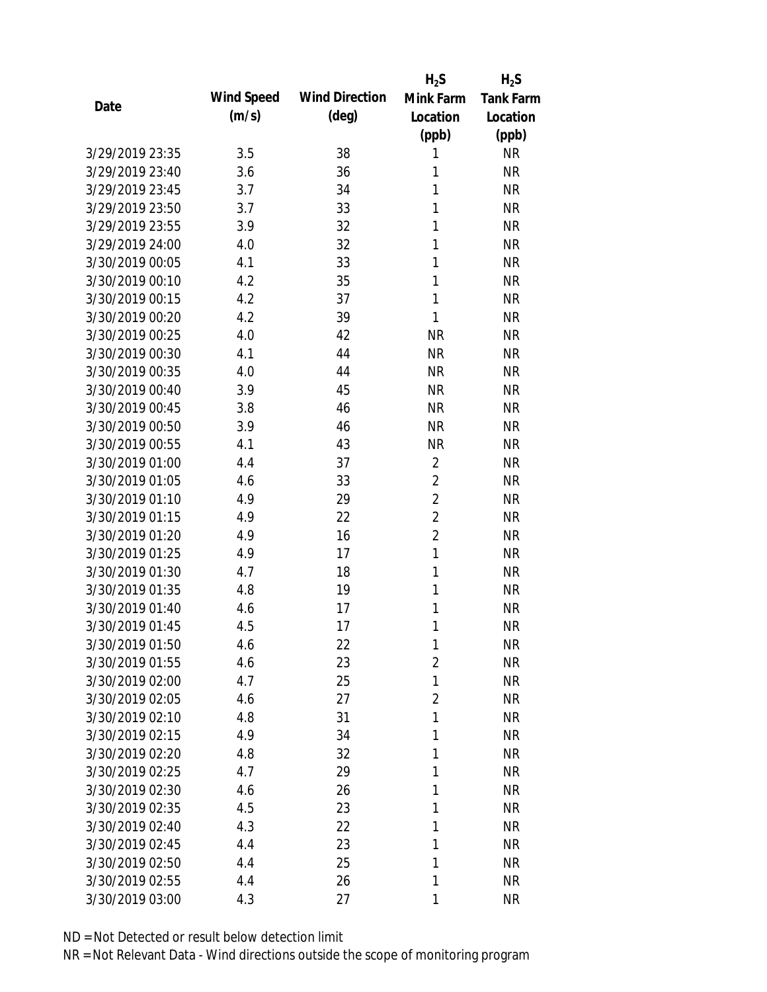|                 |            |                       | $H_2S$         | $H_2S$           |
|-----------------|------------|-----------------------|----------------|------------------|
| Date            | Wind Speed | <b>Wind Direction</b> | Mink Farm      | <b>Tank Farm</b> |
|                 | (m/s)      | $(\text{deg})$        | Location       | Location         |
|                 |            |                       | (ppb)          | (ppb)            |
| 3/29/2019 23:35 | 3.5        | 38                    | 1              | <b>NR</b>        |
| 3/29/2019 23:40 | 3.6        | 36                    | 1              | <b>NR</b>        |
| 3/29/2019 23:45 | 3.7        | 34                    | 1              | <b>NR</b>        |
| 3/29/2019 23:50 | 3.7        | 33                    | 1              | <b>NR</b>        |
| 3/29/2019 23:55 | 3.9        | 32                    | 1              | <b>NR</b>        |
| 3/29/2019 24:00 | 4.0        | 32                    | 1              | <b>NR</b>        |
| 3/30/2019 00:05 | 4.1        | 33                    | 1              | <b>NR</b>        |
| 3/30/2019 00:10 | 4.2        | 35                    | 1              | <b>NR</b>        |
| 3/30/2019 00:15 | 4.2        | 37                    | 1              | <b>NR</b>        |
| 3/30/2019 00:20 | 4.2        | 39                    | 1              | <b>NR</b>        |
| 3/30/2019 00:25 | 4.0        | 42                    | <b>NR</b>      | <b>NR</b>        |
| 3/30/2019 00:30 | 4.1        | 44                    | <b>NR</b>      | <b>NR</b>        |
| 3/30/2019 00:35 | 4.0        | 44                    | <b>NR</b>      | <b>NR</b>        |
| 3/30/2019 00:40 | 3.9        | 45                    | <b>NR</b>      | <b>NR</b>        |
| 3/30/2019 00:45 | 3.8        | 46                    | <b>NR</b>      | <b>NR</b>        |
| 3/30/2019 00:50 | 3.9        | 46                    | <b>NR</b>      | <b>NR</b>        |
| 3/30/2019 00:55 | 4.1        | 43                    | <b>NR</b>      | <b>NR</b>        |
| 3/30/2019 01:00 | 4.4        | 37                    | $\overline{2}$ | <b>NR</b>        |
| 3/30/2019 01:05 | 4.6        | 33                    | $\overline{2}$ | <b>NR</b>        |
| 3/30/2019 01:10 | 4.9        | 29                    | $\overline{2}$ | <b>NR</b>        |
| 3/30/2019 01:15 | 4.9        | 22                    | $\overline{2}$ | <b>NR</b>        |
| 3/30/2019 01:20 | 4.9        | 16                    | $\overline{2}$ | <b>NR</b>        |
| 3/30/2019 01:25 | 4.9        | 17                    | $\mathbf{1}$   | <b>NR</b>        |
| 3/30/2019 01:30 | 4.7        | 18                    | 1              | <b>NR</b>        |
| 3/30/2019 01:35 | 4.8        | 19                    | 1              | <b>NR</b>        |
| 3/30/2019 01:40 | 4.6        | 17                    | 1              | <b>NR</b>        |
| 3/30/2019 01:45 | 4.5        | 17                    | 1              | <b>NR</b>        |
| 3/30/2019 01:50 | 4.6        | 22                    | 1              | <b>NR</b>        |
| 3/30/2019 01:55 | 4.6        | 23                    | $\overline{2}$ | <b>NR</b>        |
| 3/30/2019 02:00 | 4.7        | 25                    | 1              | <b>NR</b>        |
| 3/30/2019 02:05 | 4.6        | 27                    | $\overline{2}$ | <b>NR</b>        |
| 3/30/2019 02:10 | 4.8        | 31                    | 1              | <b>NR</b>        |
| 3/30/2019 02:15 | 4.9        | 34                    | 1              | <b>NR</b>        |
| 3/30/2019 02:20 | 4.8        | 32                    | 1              | <b>NR</b>        |
| 3/30/2019 02:25 | 4.7        | 29                    | 1              | <b>NR</b>        |
| 3/30/2019 02:30 | 4.6        | 26                    | 1              | <b>NR</b>        |
| 3/30/2019 02:35 | 4.5        | 23                    | 1              | <b>NR</b>        |
| 3/30/2019 02:40 | 4.3        | 22                    | 1              | <b>NR</b>        |
| 3/30/2019 02:45 | 4.4        | 23                    | 1              | <b>NR</b>        |
| 3/30/2019 02:50 | 4.4        | 25                    | 1              | <b>NR</b>        |
| 3/30/2019 02:55 | 4.4        | 26                    | 1              | <b>NR</b>        |
| 3/30/2019 03:00 | 4.3        | 27                    | 1              | <b>NR</b>        |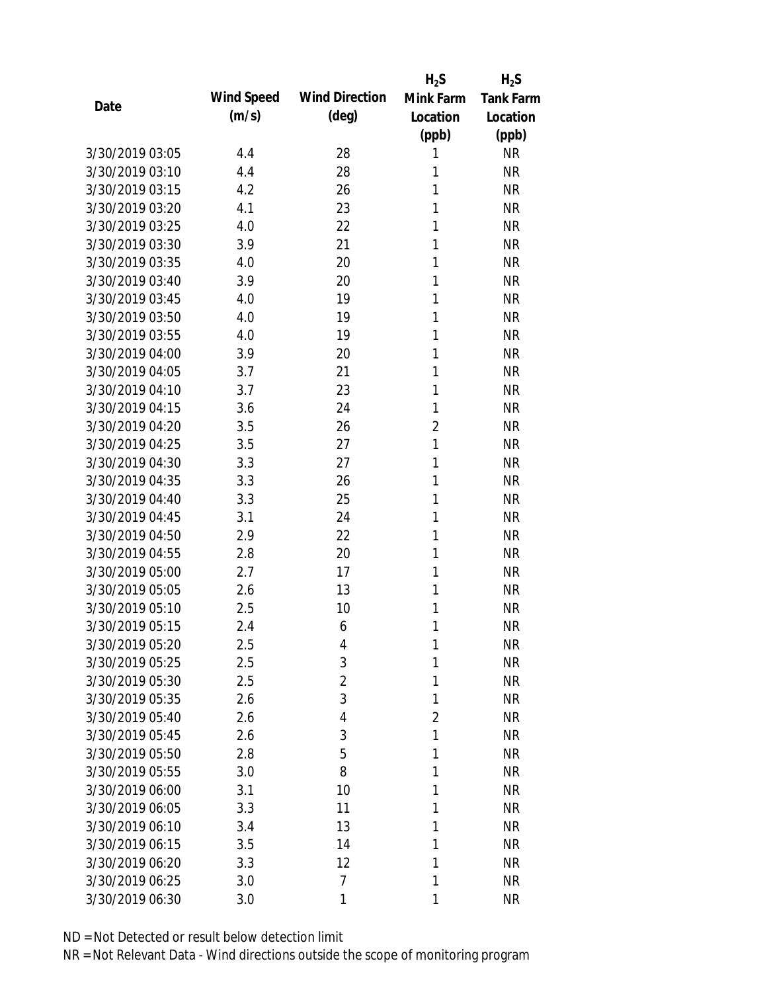|                 |            |                       | $H_2S$         | $H_2S$           |
|-----------------|------------|-----------------------|----------------|------------------|
| Date            | Wind Speed | <b>Wind Direction</b> | Mink Farm      | <b>Tank Farm</b> |
|                 | (m/s)      | $(\text{deg})$        | Location       | Location         |
|                 |            |                       | (ppb)          | (ppb)            |
| 3/30/2019 03:05 | 4.4        | 28                    | 1              | <b>NR</b>        |
| 3/30/2019 03:10 | 4.4        | 28                    | 1              | <b>NR</b>        |
| 3/30/2019 03:15 | 4.2        | 26                    | 1              | <b>NR</b>        |
| 3/30/2019 03:20 | 4.1        | 23                    | 1              | <b>NR</b>        |
| 3/30/2019 03:25 | 4.0        | 22                    | 1              | <b>NR</b>        |
| 3/30/2019 03:30 | 3.9        | 21                    | 1              | <b>NR</b>        |
| 3/30/2019 03:35 | 4.0        | 20                    | 1              | <b>NR</b>        |
| 3/30/2019 03:40 | 3.9        | 20                    | 1              | <b>NR</b>        |
| 3/30/2019 03:45 | 4.0        | 19                    | 1              | <b>NR</b>        |
| 3/30/2019 03:50 | 4.0        | 19                    | 1              | <b>NR</b>        |
| 3/30/2019 03:55 | 4.0        | 19                    | 1              | <b>NR</b>        |
| 3/30/2019 04:00 | 3.9        | 20                    | 1              | <b>NR</b>        |
| 3/30/2019 04:05 | 3.7        | 21                    | 1              | <b>NR</b>        |
| 3/30/2019 04:10 | 3.7        | 23                    | 1              | <b>NR</b>        |
| 3/30/2019 04:15 | 3.6        | 24                    | 1              | <b>NR</b>        |
| 3/30/2019 04:20 | 3.5        | 26                    | $\overline{2}$ | <b>NR</b>        |
| 3/30/2019 04:25 | 3.5        | 27                    | 1              | <b>NR</b>        |
| 3/30/2019 04:30 | 3.3        | 27                    | 1              | <b>NR</b>        |
| 3/30/2019 04:35 | 3.3        | 26                    | 1              | <b>NR</b>        |
| 3/30/2019 04:40 | 3.3        | 25                    | 1              | <b>NR</b>        |
| 3/30/2019 04:45 | 3.1        | 24                    | 1              | <b>NR</b>        |
| 3/30/2019 04:50 | 2.9        | 22                    | 1              | <b>NR</b>        |
| 3/30/2019 04:55 | 2.8        | 20                    | 1              | <b>NR</b>        |
| 3/30/2019 05:00 | 2.7        | 17                    | 1              | <b>NR</b>        |
| 3/30/2019 05:05 | 2.6        | 13                    | 1              | <b>NR</b>        |
| 3/30/2019 05:10 | 2.5        | 10                    | 1              | <b>NR</b>        |
| 3/30/2019 05:15 | 2.4        | 6                     | 1              | <b>NR</b>        |
| 3/30/2019 05:20 | 2.5        | 4                     | 1              | <b>NR</b>        |
| 3/30/2019 05:25 | 2.5        | 3                     | 1              | <b>NR</b>        |
| 3/30/2019 05:30 | 2.5        | 2                     | 1              | <b>NR</b>        |
| 3/30/2019 05:35 | 2.6        | 3                     | 1              | <b>NR</b>        |
| 3/30/2019 05:40 | 2.6        | 4                     | $\overline{2}$ | <b>NR</b>        |
| 3/30/2019 05:45 | 2.6        | 3                     | 1              | <b>NR</b>        |
| 3/30/2019 05:50 | 2.8        | 5                     | 1              | <b>NR</b>        |
| 3/30/2019 05:55 | 3.0        | 8                     | 1              | <b>NR</b>        |
| 3/30/2019 06:00 | 3.1        | 10                    | 1              | <b>NR</b>        |
| 3/30/2019 06:05 | 3.3        | 11                    | 1              | <b>NR</b>        |
| 3/30/2019 06:10 | 3.4        | 13                    | 1              | <b>NR</b>        |
| 3/30/2019 06:15 | 3.5        | 14                    | 1              | <b>NR</b>        |
| 3/30/2019 06:20 | 3.3        | 12                    | 1              | <b>NR</b>        |
| 3/30/2019 06:25 | 3.0        | 7                     | 1              | <b>NR</b>        |
| 3/30/2019 06:30 | 3.0        | 1                     | 1              | <b>NR</b>        |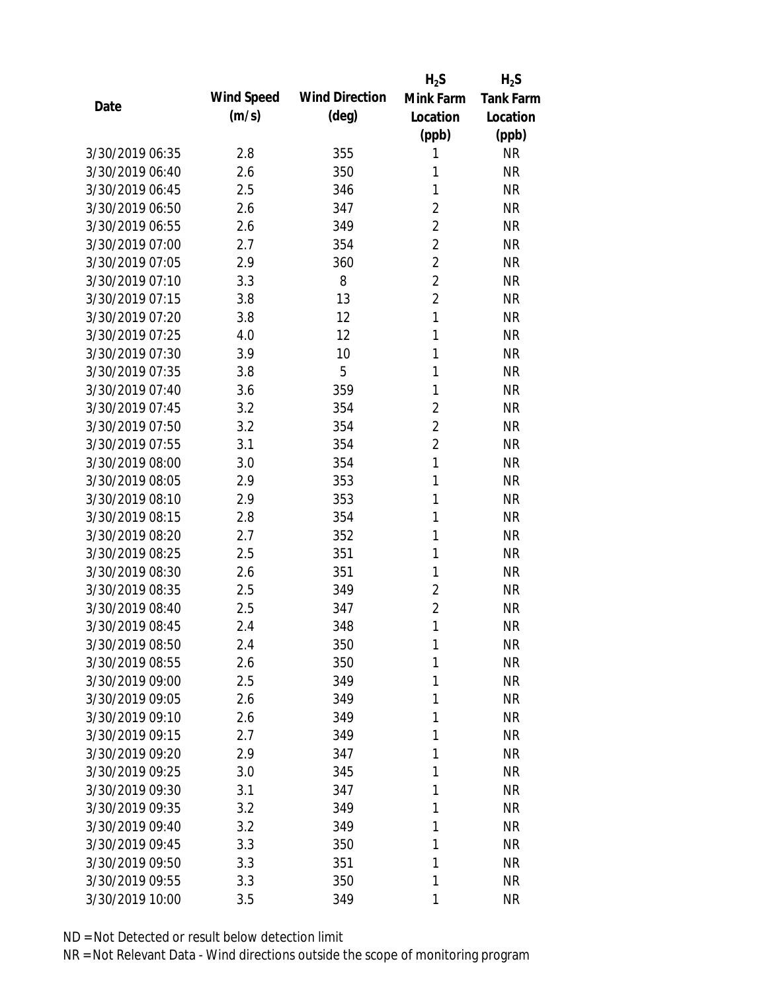|                 |            |                       | $H_2S$         | $H_2S$           |
|-----------------|------------|-----------------------|----------------|------------------|
| Date            | Wind Speed | <b>Wind Direction</b> | Mink Farm      | <b>Tank Farm</b> |
|                 | (m/s)      | $(\text{deg})$        | Location       | Location         |
|                 |            |                       | (ppb)          | (ppb)            |
| 3/30/2019 06:35 | 2.8        | 355                   | 1              | <b>NR</b>        |
| 3/30/2019 06:40 | 2.6        | 350                   | 1              | <b>NR</b>        |
| 3/30/2019 06:45 | 2.5        | 346                   | 1              | <b>NR</b>        |
| 3/30/2019 06:50 | 2.6        | 347                   | $\overline{2}$ | <b>NR</b>        |
| 3/30/2019 06:55 | 2.6        | 349                   | $\overline{2}$ | <b>NR</b>        |
| 3/30/2019 07:00 | 2.7        | 354                   | $\overline{2}$ | <b>NR</b>        |
| 3/30/2019 07:05 | 2.9        | 360                   | $\overline{2}$ | <b>NR</b>        |
| 3/30/2019 07:10 | 3.3        | 8                     | $\overline{2}$ | <b>NR</b>        |
| 3/30/2019 07:15 | 3.8        | 13                    | $\overline{2}$ | <b>NR</b>        |
| 3/30/2019 07:20 | 3.8        | 12                    | $\mathbf{1}$   | <b>NR</b>        |
| 3/30/2019 07:25 | 4.0        | 12                    | 1              | <b>NR</b>        |
| 3/30/2019 07:30 | 3.9        | 10                    | 1              | <b>NR</b>        |
| 3/30/2019 07:35 | 3.8        | 5                     | 1              | <b>NR</b>        |
| 3/30/2019 07:40 | 3.6        | 359                   | 1              | <b>NR</b>        |
| 3/30/2019 07:45 | 3.2        | 354                   | $\overline{2}$ | <b>NR</b>        |
| 3/30/2019 07:50 | 3.2        | 354                   | $\overline{2}$ | <b>NR</b>        |
| 3/30/2019 07:55 | 3.1        | 354                   | $\overline{2}$ | <b>NR</b>        |
| 3/30/2019 08:00 | 3.0        | 354                   | 1              | <b>NR</b>        |
| 3/30/2019 08:05 | 2.9        | 353                   | $\mathbf{1}$   | <b>NR</b>        |
| 3/30/2019 08:10 | 2.9        | 353                   | 1              | <b>NR</b>        |
| 3/30/2019 08:15 | 2.8        | 354                   | 1              | <b>NR</b>        |
| 3/30/2019 08:20 | 2.7        | 352                   | 1              | <b>NR</b>        |
| 3/30/2019 08:25 | 2.5        | 351                   | 1              | <b>NR</b>        |
| 3/30/2019 08:30 | 2.6        | 351                   | 1              | <b>NR</b>        |
| 3/30/2019 08:35 | 2.5        | 349                   | $\overline{2}$ | <b>NR</b>        |
| 3/30/2019 08:40 | 2.5        | 347                   | $\overline{2}$ | <b>NR</b>        |
| 3/30/2019 08:45 | 2.4        | 348                   | 1              | <b>NR</b>        |
| 3/30/2019 08:50 | 2.4        | 350                   | 1              | <b>NR</b>        |
| 3/30/2019 08:55 | 2.6        | 350                   | 1              | <b>NR</b>        |
| 3/30/2019 09:00 | 2.5        | 349                   | 1              | <b>NR</b>        |
| 3/30/2019 09:05 | 2.6        | 349                   | 1              | <b>NR</b>        |
| 3/30/2019 09:10 | 2.6        | 349                   | 1              | <b>NR</b>        |
| 3/30/2019 09:15 | 2.7        | 349                   | 1              | <b>NR</b>        |
| 3/30/2019 09:20 | 2.9        | 347                   | 1              | <b>NR</b>        |
| 3/30/2019 09:25 | 3.0        | 345                   | 1              | <b>NR</b>        |
| 3/30/2019 09:30 | 3.1        | 347                   | 1              | <b>NR</b>        |
| 3/30/2019 09:35 | 3.2        | 349                   | 1              | <b>NR</b>        |
| 3/30/2019 09:40 | 3.2        | 349                   | 1              | <b>NR</b>        |
| 3/30/2019 09:45 | 3.3        | 350                   | 1              | <b>NR</b>        |
| 3/30/2019 09:50 | 3.3        | 351                   | 1              | <b>NR</b>        |
| 3/30/2019 09:55 | 3.3        | 350                   | 1              | <b>NR</b>        |
| 3/30/2019 10:00 | 3.5        | 349                   | 1              | <b>NR</b>        |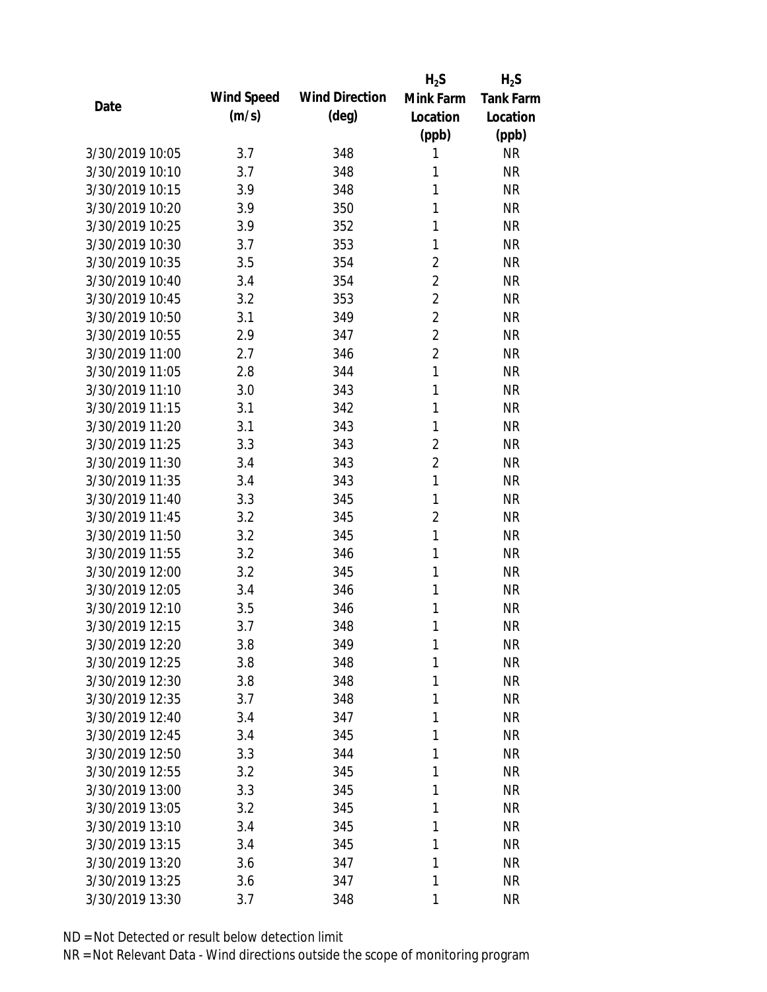|                 |            |                       | $H_2S$         | $H_2S$           |
|-----------------|------------|-----------------------|----------------|------------------|
| Date            | Wind Speed | <b>Wind Direction</b> | Mink Farm      | <b>Tank Farm</b> |
|                 | (m/s)      | $(\text{deg})$        | Location       | Location         |
|                 |            |                       | (ppb)          | (ppb)            |
| 3/30/2019 10:05 | 3.7        | 348                   | 1              | <b>NR</b>        |
| 3/30/2019 10:10 | 3.7        | 348                   | 1              | <b>NR</b>        |
| 3/30/2019 10:15 | 3.9        | 348                   | 1              | <b>NR</b>        |
| 3/30/2019 10:20 | 3.9        | 350                   | 1              | <b>NR</b>        |
| 3/30/2019 10:25 | 3.9        | 352                   | 1              | <b>NR</b>        |
| 3/30/2019 10:30 | 3.7        | 353                   | 1              | <b>NR</b>        |
| 3/30/2019 10:35 | 3.5        | 354                   | $\overline{2}$ | <b>NR</b>        |
| 3/30/2019 10:40 | 3.4        | 354                   | $\overline{2}$ | <b>NR</b>        |
| 3/30/2019 10:45 | 3.2        | 353                   | $\overline{2}$ | <b>NR</b>        |
| 3/30/2019 10:50 | 3.1        | 349                   | $\overline{2}$ | <b>NR</b>        |
| 3/30/2019 10:55 | 2.9        | 347                   | $\overline{2}$ | <b>NR</b>        |
| 3/30/2019 11:00 | 2.7        | 346                   | $\overline{2}$ | <b>NR</b>        |
| 3/30/2019 11:05 | 2.8        | 344                   | 1              | <b>NR</b>        |
| 3/30/2019 11:10 | 3.0        | 343                   | 1              | <b>NR</b>        |
| 3/30/2019 11:15 | 3.1        | 342                   | 1              | <b>NR</b>        |
| 3/30/2019 11:20 | 3.1        | 343                   | 1              | <b>NR</b>        |
| 3/30/2019 11:25 | 3.3        | 343                   | $\overline{2}$ | <b>NR</b>        |
| 3/30/2019 11:30 | 3.4        | 343                   | $\overline{2}$ | <b>NR</b>        |
| 3/30/2019 11:35 | 3.4        | 343                   | $\mathbf{1}$   | <b>NR</b>        |
| 3/30/2019 11:40 | 3.3        | 345                   | 1              | <b>NR</b>        |
| 3/30/2019 11:45 | 3.2        | 345                   | $\overline{2}$ | <b>NR</b>        |
| 3/30/2019 11:50 | 3.2        | 345                   | 1              | <b>NR</b>        |
| 3/30/2019 11:55 | 3.2        | 346                   | 1              | <b>NR</b>        |
| 3/30/2019 12:00 | 3.2        | 345                   | 1              | <b>NR</b>        |
| 3/30/2019 12:05 | 3.4        | 346                   | 1              | <b>NR</b>        |
| 3/30/2019 12:10 | 3.5        | 346                   | 1              | <b>NR</b>        |
| 3/30/2019 12:15 | 3.7        | 348                   | 1              | <b>NR</b>        |
| 3/30/2019 12:20 | 3.8        | 349                   | $\mathbf{1}$   | <b>NR</b>        |
| 3/30/2019 12:25 | 3.8        | 348                   | 1              | <b>NR</b>        |
| 3/30/2019 12:30 | 3.8        | 348                   | 1              | <b>NR</b>        |
| 3/30/2019 12:35 | 3.7        | 348                   | 1              | <b>NR</b>        |
| 3/30/2019 12:40 | 3.4        | 347                   | 1              | <b>NR</b>        |
| 3/30/2019 12:45 | 3.4        | 345                   | 1              | <b>NR</b>        |
| 3/30/2019 12:50 | 3.3        | 344                   | 1              | <b>NR</b>        |
| 3/30/2019 12:55 | 3.2        | 345                   | 1              | <b>NR</b>        |
| 3/30/2019 13:00 | 3.3        | 345                   | 1              | <b>NR</b>        |
| 3/30/2019 13:05 | 3.2        | 345                   | 1              | <b>NR</b>        |
| 3/30/2019 13:10 | 3.4        | 345                   | 1              | <b>NR</b>        |
| 3/30/2019 13:15 | 3.4        | 345                   | 1              | <b>NR</b>        |
| 3/30/2019 13:20 | 3.6        | 347                   | 1              | <b>NR</b>        |
| 3/30/2019 13:25 | 3.6        | 347                   | 1              | <b>NR</b>        |
| 3/30/2019 13:30 | 3.7        | 348                   | 1              | <b>NR</b>        |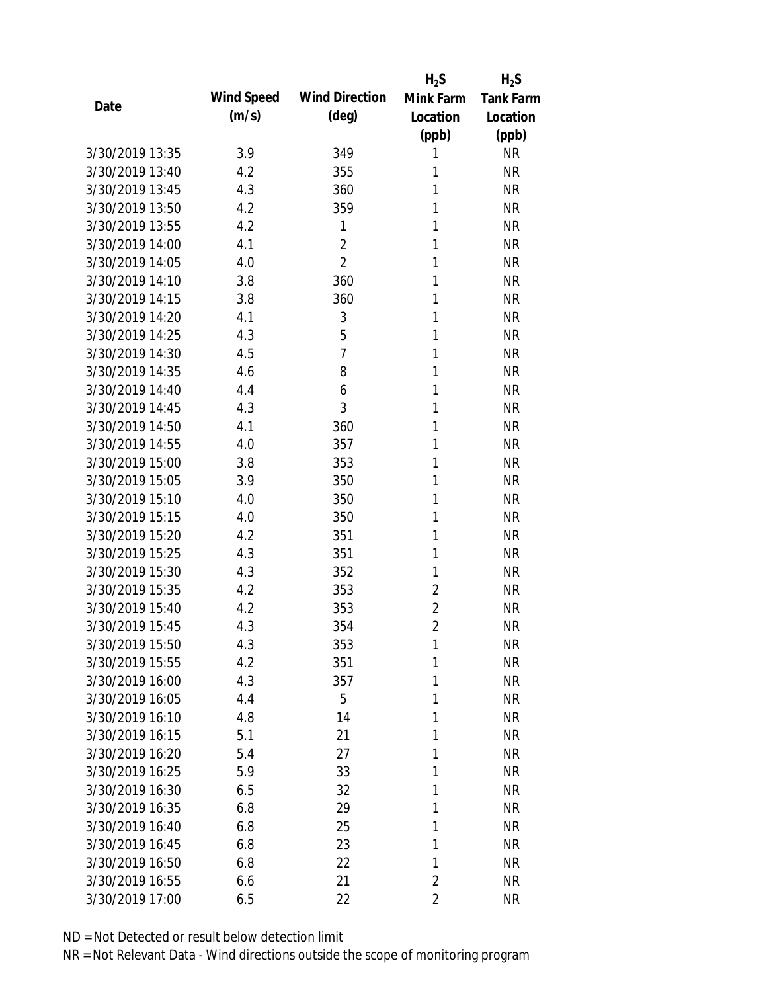|                 |            |                       | $H_2S$         | $H_2S$           |
|-----------------|------------|-----------------------|----------------|------------------|
| Date            | Wind Speed | <b>Wind Direction</b> | Mink Farm      | <b>Tank Farm</b> |
|                 | (m/s)      | $(\text{deg})$        | Location       | Location         |
|                 |            |                       | (ppb)          | (ppb)            |
| 3/30/2019 13:35 | 3.9        | 349                   | 1              | <b>NR</b>        |
| 3/30/2019 13:40 | 4.2        | 355                   | 1              | <b>NR</b>        |
| 3/30/2019 13:45 | 4.3        | 360                   | 1              | <b>NR</b>        |
| 3/30/2019 13:50 | 4.2        | 359                   | 1              | <b>NR</b>        |
| 3/30/2019 13:55 | 4.2        | 1                     | 1              | <b>NR</b>        |
| 3/30/2019 14:00 | 4.1        | $\overline{2}$        | 1              | <b>NR</b>        |
| 3/30/2019 14:05 | 4.0        | $\overline{2}$        | 1              | <b>NR</b>        |
| 3/30/2019 14:10 | 3.8        | 360                   | 1              | <b>NR</b>        |
| 3/30/2019 14:15 | 3.8        | 360                   | 1              | <b>NR</b>        |
| 3/30/2019 14:20 | 4.1        | 3                     | 1              | <b>NR</b>        |
| 3/30/2019 14:25 | 4.3        | 5                     | 1              | <b>NR</b>        |
| 3/30/2019 14:30 | 4.5        | $\overline{7}$        | 1              | <b>NR</b>        |
| 3/30/2019 14:35 | 4.6        | 8                     | 1              | <b>NR</b>        |
| 3/30/2019 14:40 | 4.4        | 6                     | 1              | <b>NR</b>        |
| 3/30/2019 14:45 | 4.3        | 3                     | 1              | <b>NR</b>        |
| 3/30/2019 14:50 | 4.1        | 360                   | 1              | <b>NR</b>        |
| 3/30/2019 14:55 | 4.0        | 357                   | 1              | <b>NR</b>        |
| 3/30/2019 15:00 | 3.8        | 353                   | 1              | <b>NR</b>        |
| 3/30/2019 15:05 | 3.9        | 350                   | 1              | <b>NR</b>        |
| 3/30/2019 15:10 | 4.0        | 350                   | 1              | <b>NR</b>        |
| 3/30/2019 15:15 | 4.0        | 350                   | 1              | <b>NR</b>        |
| 3/30/2019 15:20 | 4.2        | 351                   | 1              | <b>NR</b>        |
| 3/30/2019 15:25 | 4.3        | 351                   | 1              | <b>NR</b>        |
| 3/30/2019 15:30 | 4.3        | 352                   | 1              | <b>NR</b>        |
| 3/30/2019 15:35 | 4.2        | 353                   | $\overline{2}$ | <b>NR</b>        |
| 3/30/2019 15:40 | 4.2        | 353                   | $\overline{2}$ | <b>NR</b>        |
| 3/30/2019 15:45 | 4.3        | 354                   | $\overline{2}$ | <b>NR</b>        |
| 3/30/2019 15:50 | 4.3        | 353                   | 1              | <b>NR</b>        |
| 3/30/2019 15:55 | 4.2        | 351                   | 1              | <b>NR</b>        |
| 3/30/2019 16:00 | 4.3        | 357                   | 1              | <b>NR</b>        |
| 3/30/2019 16:05 | 4.4        | 5                     | 1              | <b>NR</b>        |
| 3/30/2019 16:10 | 4.8        | 14                    | 1              | <b>NR</b>        |
| 3/30/2019 16:15 | 5.1        | 21                    | 1              | <b>NR</b>        |
| 3/30/2019 16:20 | 5.4        | 27                    | 1              | <b>NR</b>        |
| 3/30/2019 16:25 | 5.9        | 33                    | 1              | <b>NR</b>        |
| 3/30/2019 16:30 | 6.5        | 32                    | 1              | <b>NR</b>        |
| 3/30/2019 16:35 | 6.8        | 29                    | 1              | <b>NR</b>        |
| 3/30/2019 16:40 | 6.8        | 25                    | 1              | <b>NR</b>        |
| 3/30/2019 16:45 | 6.8        | 23                    | 1              | <b>NR</b>        |
| 3/30/2019 16:50 | 6.8        | 22                    | 1              | <b>NR</b>        |
| 3/30/2019 16:55 | 6.6        | 21                    | $\overline{2}$ | <b>NR</b>        |
| 3/30/2019 17:00 | 6.5        | 22                    | $\overline{2}$ | <b>NR</b>        |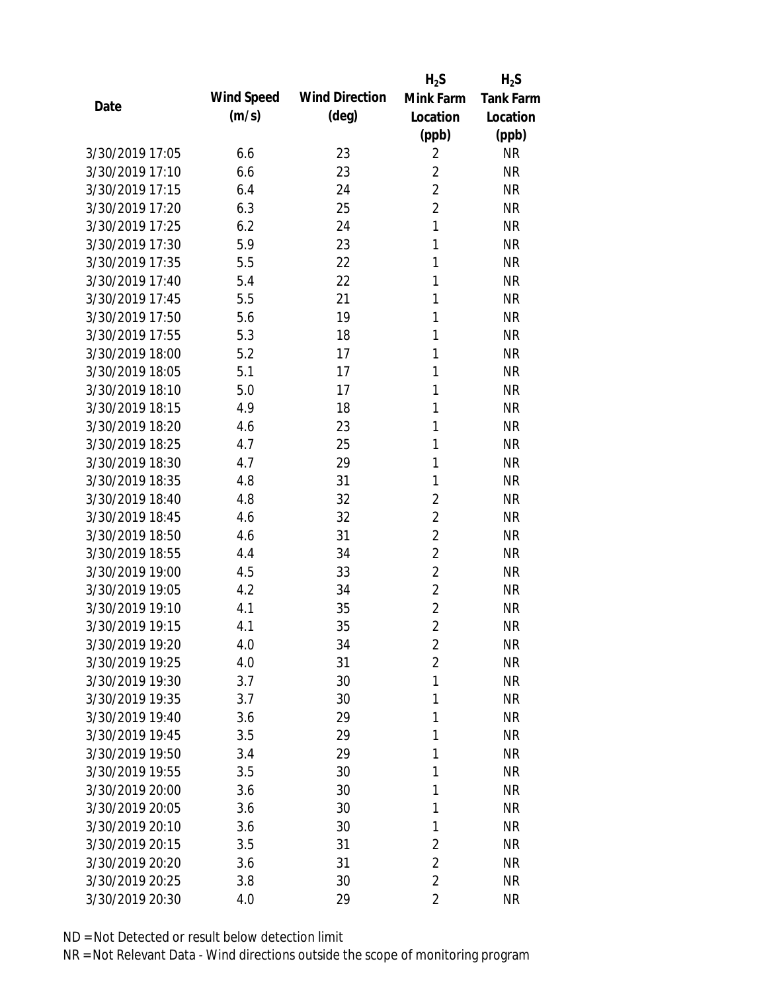|                 |            |                       | $H_2S$         | $H_2S$           |
|-----------------|------------|-----------------------|----------------|------------------|
| Date            | Wind Speed | <b>Wind Direction</b> | Mink Farm      | <b>Tank Farm</b> |
|                 | (m/s)      | $(\text{deg})$        | Location       | Location         |
|                 |            |                       | (ppb)          | (ppb)            |
| 3/30/2019 17:05 | 6.6        | 23                    | $\overline{2}$ | <b>NR</b>        |
| 3/30/2019 17:10 | 6.6        | 23                    | $\overline{2}$ | <b>NR</b>        |
| 3/30/2019 17:15 | 6.4        | 24                    | $\overline{2}$ | <b>NR</b>        |
| 3/30/2019 17:20 | 6.3        | 25                    | $\overline{2}$ | <b>NR</b>        |
| 3/30/2019 17:25 | 6.2        | 24                    | $\mathbf{1}$   | <b>NR</b>        |
| 3/30/2019 17:30 | 5.9        | 23                    | 1              | <b>NR</b>        |
| 3/30/2019 17:35 | 5.5        | 22                    | 1              | <b>NR</b>        |
| 3/30/2019 17:40 | 5.4        | 22                    | 1              | <b>NR</b>        |
| 3/30/2019 17:45 | 5.5        | 21                    | 1              | <b>NR</b>        |
| 3/30/2019 17:50 | 5.6        | 19                    | 1              | <b>NR</b>        |
| 3/30/2019 17:55 | 5.3        | 18                    | 1              | <b>NR</b>        |
| 3/30/2019 18:00 | 5.2        | 17                    | 1              | <b>NR</b>        |
| 3/30/2019 18:05 | 5.1        | 17                    | 1              | <b>NR</b>        |
| 3/30/2019 18:10 | 5.0        | 17                    | 1              | <b>NR</b>        |
| 3/30/2019 18:15 | 4.9        | 18                    | 1              | <b>NR</b>        |
| 3/30/2019 18:20 | 4.6        | 23                    | 1              | <b>NR</b>        |
| 3/30/2019 18:25 | 4.7        | 25                    | 1              | <b>NR</b>        |
| 3/30/2019 18:30 | 4.7        | 29                    | 1              | <b>NR</b>        |
| 3/30/2019 18:35 | 4.8        | 31                    | 1              | <b>NR</b>        |
| 3/30/2019 18:40 | 4.8        | 32                    | $\overline{2}$ | <b>NR</b>        |
| 3/30/2019 18:45 | 4.6        | 32                    | $\overline{2}$ | <b>NR</b>        |
| 3/30/2019 18:50 | 4.6        | 31                    | $\overline{2}$ | <b>NR</b>        |
| 3/30/2019 18:55 | 4.4        | 34                    | $\overline{2}$ | <b>NR</b>        |
| 3/30/2019 19:00 | 4.5        | 33                    | $\overline{2}$ | <b>NR</b>        |
| 3/30/2019 19:05 | 4.2        | 34                    | $\overline{2}$ | <b>NR</b>        |
| 3/30/2019 19:10 | 4.1        | 35                    | $\overline{2}$ | <b>NR</b>        |
| 3/30/2019 19:15 | 4.1        | 35                    | $\overline{2}$ | <b>NR</b>        |
| 3/30/2019 19:20 | 4.0        | 34                    | $\overline{2}$ | <b>NR</b>        |
| 3/30/2019 19:25 | 4.0        | 31                    | $\overline{2}$ | <b>NR</b>        |
| 3/30/2019 19:30 | 3.7        | 30                    | 1              | <b>NR</b>        |
| 3/30/2019 19:35 | 3.7        | 30                    | 1              | <b>NR</b>        |
| 3/30/2019 19:40 | 3.6        | 29                    | 1              | <b>NR</b>        |
| 3/30/2019 19:45 | 3.5        | 29                    | 1              | <b>NR</b>        |
| 3/30/2019 19:50 | 3.4        | 29                    | 1              | <b>NR</b>        |
| 3/30/2019 19:55 | 3.5        | 30                    | 1              | <b>NR</b>        |
| 3/30/2019 20:00 | 3.6        | 30                    | 1              | <b>NR</b>        |
| 3/30/2019 20:05 | 3.6        | 30                    | 1              | <b>NR</b>        |
| 3/30/2019 20:10 | 3.6        | 30                    | 1              | <b>NR</b>        |
| 3/30/2019 20:15 | 3.5        | 31                    | $\overline{2}$ | <b>NR</b>        |
| 3/30/2019 20:20 | 3.6        | 31                    | $\overline{2}$ | <b>NR</b>        |
| 3/30/2019 20:25 | 3.8        | 30                    | $\overline{2}$ | <b>NR</b>        |
| 3/30/2019 20:30 | 4.0        | 29                    | $\overline{2}$ | <b>NR</b>        |
|                 |            |                       |                |                  |